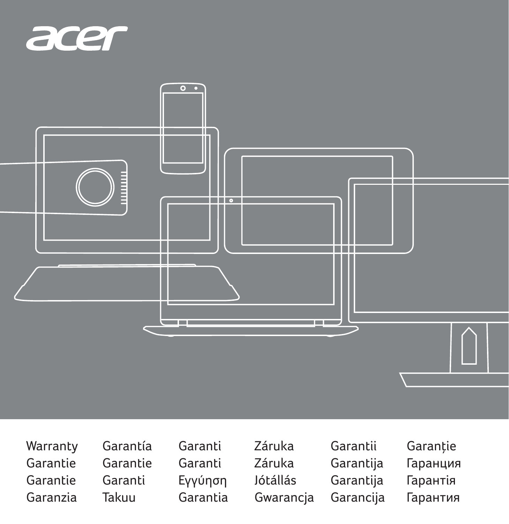



Warranty Garantie Garantie Garanzia

Garantía Garantie Garanti Takuu

Garanti Garanti Εγγύηση Garantia

Záruka Záruka Jótállás Gwarancja Garantii Garantija Garantija Garancija Garanție Гаранция Гарантія Гарантия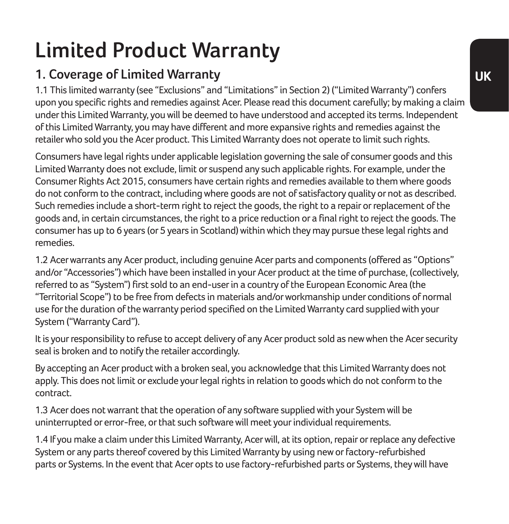# **Limited Product Warranty**

## **1. Coverage of Limited Warranty**

1.1 This limited warranty (see "Exclusions" and "Limitations" in Section 2) ("Limited Warranty") confers upon you specific rights and remedies against Acer. Please read this document carefully; by making a claim under this Limited Warranty, you will be deemed to have understood and accepted its terms. Independent of this Limited Warranty, you may have different and more expansive rights and remedies against the retailer who sold you the Acer product. This Limited Warranty does not operate to limit such rights.

Consumers have legal rights under applicable legislation governing the sale of consumer goods and this Limited Warranty does not exclude, limit or suspend any such applicable rights. For example, under the Consumer Rights Act 2015, consumers have certain rights and remedies available to them where goods do not conform to the contract, including where goods are not of satisfactory quality or not as described. Such remedies include a short-term right to reject the goods, the right to a repair or replacement of the goods and, in certain circumstances, the right to a price reduction or a final right to reject the goods. The consumer has up to 6 years (or 5 years in Scotland) within which they may pursue these legal rights and remedies.

1.2 Acer warrants any Acer product, including genuine Acer parts and components (offered as "Options" and/or "Accessories") which have been installed in your Acer product at the time of purchase, (collectively, referred to as "System") first sold to an end-user in a country of the European Economic Area (the "Territorial Scope") to be free from defects in materials and/or workmanship under conditions of normal use for the duration of the warranty period specified on the Limited Warranty card supplied with your System ("Warranty Card").

It is your responsibility to refuse to accept delivery of any Acer product sold as new when the Acer security seal is broken and to notify the retailer accordingly.

By accepting an Acer product with a broken seal, you acknowledge that this Limited Warranty does not apply. This does not limit or exclude your legal rights in relation to goods which do not conform to the contract.

1.3 Acer does not warrant that the operation of any software supplied with your System will be uninterrupted or error-free, or that such software will meet your individual requirements.

1.4 If you make a claim under this Limited Warranty, Acer will, at its option, repair or replace any defective System or any parts thereof covered by this Limited Warranty by using new or factory-refurbished parts or Systems. In the event that Acer opts to use factory-refurbished parts or Systems, they will have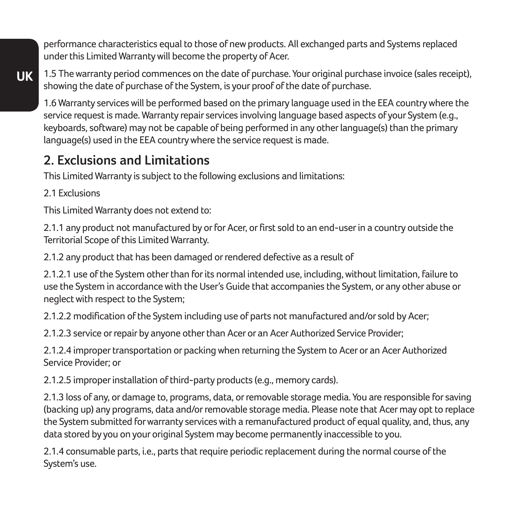performance characteristics equal to those of new products. All exchanged parts and Systems replaced under this Limited Warranty will become the property of Acer.

**UK** 1.5 The warranty period commences on the date of purchase. Your original purchase invoice (sales receipt), showing the date of purchase of the System, is your proof of the date of purchase.

1.6 Warranty services will be performed based on the primary language used in the EEA country where the service request is made. Warranty repair services involving language based aspects of your System (e.g., keyboards, software) may not be capable of being performed in any other language(s) than the primary language(s) used in the EEA country where the service request is made.

### **2. Exclusions and Limitations**

This Limited Warranty is subject to the following exclusions and limitations:

2.1 Evelusions

This Limited Warranty does not extend to:

2.1.1 any product not manufactured by or for Acer, or first sold to an end-user in a country outside the Territorial Scope of this Limited Warranty.

2.1.2 any product that has been damaged or rendered defective as a result of

2.1.2.1 use of the System other than for its normal intended use, including, without limitation, failure to use the System in accordance with the User's Guide that accompanies the System, or any other abuse or neglect with respect to the System;

2.1.2.2 modification of the System including use of parts not manufactured and/or sold by Acer;

2.1.2.3 service or repair by anyone other than Acer or an Acer Authorized Service Provider;

2.1.2.4 improper transportation or packing when returning the System to Acer or an Acer Authorized Service Provider; or

2.1.2.5 improper installation of third-party products (e.g., memory cards).

2.1.3 loss of any, or damage to, programs, data, or removable storage media. You are responsible for saving (backing up) any programs, data and/or removable storage media. Please note that Acer may opt to replace the System submitted for warranty services with a remanufactured product of equal quality, and, thus, any data stored by you on your original System may become permanently inaccessible to you.

2.1.4 consumable parts, i.e., parts that require periodic replacement during the normal course of the System's use.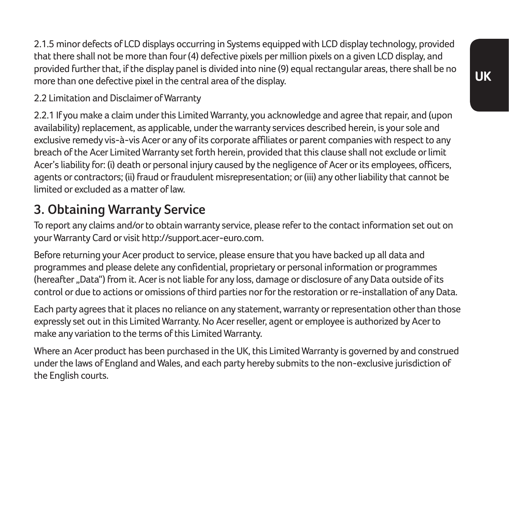2.1.5 minor defects of LCD displays occurring in Systems equipped with LCD display technology, provided that there shall not be more than four (4) defective pixels per million pixels on a given LCD display, and provided further that, if the display panel is divided into nine (9) equal rectangular areas, there shall be no more than one defective pixel in the central area of the display.

#### 2.2 Limitation and Disclaimer of Warranty

2.2.1 If you make a claim under this Limited Warranty, you acknowledge and agree that repair, and (upon availability) replacement, as applicable, under the warranty services described herein, is your sole and exclusive remedy vis-à-vis Acer or any of its corporate affiliates or parent companies with respect to any breach of the Acer Limited Warranty set forth herein, provided that this clause shall not exclude or limit Acer's liability for: (i) death or personal injury caused by the negligence of Acer or its employees, officers, agents or contractors; (ii) fraud or fraudulent misrepresentation; or (iii) any other liability that cannot be limited or excluded as a matter of law.

### **3. Obtaining Warranty Service**

To report any claims and/or to obtain warranty service, please refer to the contact information set out on your Warranty Card or visit http://support.acer-euro.com.

Before returning your Acer product to service, please ensure that you have backed up all data and programmes and please delete any confidential, proprietary or personal information or programmes (hereafter "Data") from it. Acer is not liable for any loss, damage or disclosure of any Data outside of its control or due to actions or omissions of third parties nor for the restoration or re-installation of any Data.

Each party agrees that it places no reliance on any statement, warranty or representation other than those expressly set out in this Limited Warranty. No Acer reseller, agent or employee is authorized by Acer to make any variation to the terms of this Limited Warranty.

Where an Acer product has been purchased in the UK, this Limited Warranty is governed by and construed under the laws of England and Wales, and each party hereby submits to the non-exclusive jurisdiction of the English courts.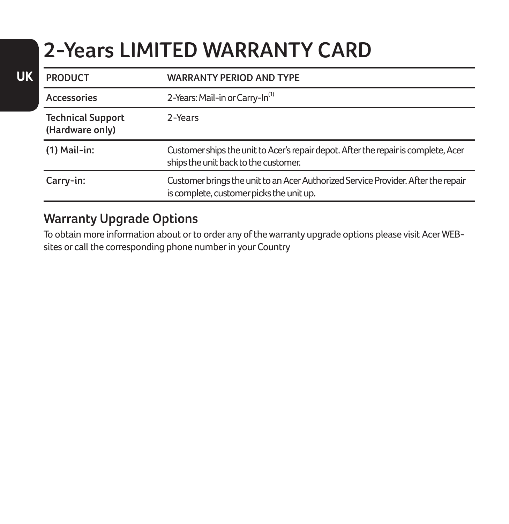# **2-Years LIMITED WARRANTY CARD**

| <b>PRODUCT</b>                              | <b>WARRANTY PERIOD AND TYPE</b>                                                                                               |
|---------------------------------------------|-------------------------------------------------------------------------------------------------------------------------------|
| Accessories                                 | 2-Years: Mail-in or Carry-In <sup>(1)</sup>                                                                                   |
| <b>Technical Support</b><br>(Hardware only) | $2-YParts$                                                                                                                    |
| $(1)$ Mail-in:                              | Customer ships the unit to Acer's repair depot. After the repair is complete, Acer<br>ships the unit back to the customer.    |
| Carry-in:                                   | Customer brings the unit to an Acer Authorized Service Provider. After the repair<br>is complete, customer picks the unit up. |

#### **Warranty Upgrade Options**

**UK**

To obtain more information about or to order any of the warranty upgrade options please visit Acer WEBsites or call the corresponding phone number in your Country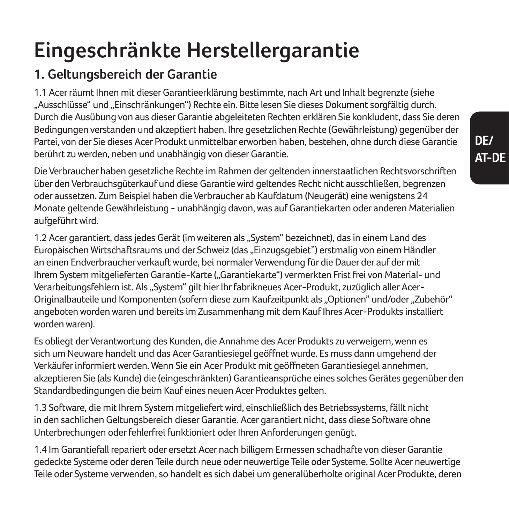# **Eingeschränkte Herstellergarantie**

## **1. Geltungsbereich der Garantie**

1.1 Acer räumt Ihnen mit dieser Garantieerklärung bestimmte, nach Art und Inhalt begrenzte (siehe "Ausschlüsse" und "Einschränkungen") Rechte ein. Bitte lesen Sie dieses Dokument sorgfältig durch. Durch die Ausübung von aus dieser Garantie abgeleiteten Rechten erklären Sie konkludent, dass Sie deren Bedingungen verstanden und akzeptiert haben. Ihre gesetzlichen Rechte (Gewährleistung) gegenüber der Partei, von der Sie dieses Acer Produkt unmittelbar erworben haben, bestehen, ohne durch diese Garantie berührt zu werden, neben und unabhängig von dieser Garantie.

Die Verbraucher haben gesetzliche Rechte im Rahmen der geltenden innerstaatlichen Rechtsvorschriften über den Verbrauchsgüterkauf und diese Garantie wird geltendes Recht nicht ausschließen, begrenzen oder aussetzen. Zum Beispiel haben die Verbraucher ab Kaufdatum (Neugerät) eine wenigstens 24 Monate geltende Gewährleistung - unabhängig davon, was auf Garantiekarten oder anderen Materialien aufgeführt wird.

1.2 Acer garantiert, dass jedes Gerät (im weiteren als "System" bezeichnet), das in einem Land des Europäischen Wirtschaftsraums und der Schweiz (das "Einzugsgebiet") erstmalig von einem Händler an einen Endverbraucher verkauft wurde, bei normaler Verwendung für die Dauer der auf der mit Ihrem System mitgelieferten Garantie-Karte ("Garantiekarte") vermerkten Frist frei von Material- und Verarbeitungsfehlern ist. Als "System" gilt hier Ihr fabrikneues Acer-Produkt, zuzüglich aller Acer-Originalbauteile und Komponenten (sofern diese zum Kaufzeitpunkt als "Optionen" und/oder "Zubehör" angeboten worden waren und bereits im Zusammenhang mit dem Kauf Ihres Acer-Produkts installiert worden waren).

Es obliegt der Verantwortung des Kunden, die Annahme des Acer Produkts zu verweigern, wenn es sich um Neuware handelt und das Acer Garantiesiegel geöffnet wurde. Es muss dann umgehend der Verkäufer informiert werden. Wenn Sie ein Acer Produkt mit geöffneten Garantiesiegel annehmen, akzeptieren Sie (als Kunde) die (eingeschränkten) Garantieansprüche eines solches Gerätes gegenüber den Standardbedingungen die beim Kauf eines neuen Acer Produktes gelten.

1.3 Software, die mit Ihrem System mitgeliefert wird, einschließlich des Betriebssystems, fällt nicht in den sachlichen Geltungsbereich dieser Garantie. Acer garantiert nicht, dass diese Software ohne Unterbrechungen oder fehlerfrei funktioniert oder Ihren Anforderungen genügt.

1.4 Im Garantiefall repariert oder ersetzt Acer nach billigem Ermessen schadhafte von dieser Garantie gedeckte Systeme oder deren Teile durch neue oder neuwertige Teile oder Systeme. Sollte Acer neuwertige Teile oder Systeme verwenden, so handelt es sich dabei um generalüberholte original Acer Produkte, deren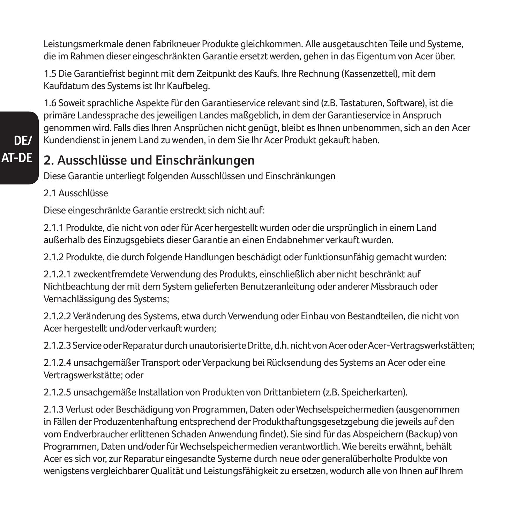Leistungsmerkmale denen fabrikneuer Produkte gleichkommen. Alle ausgetauschten Teile und Systeme, die im Rahmen dieser eingeschränkten Garantie ersetzt werden, gehen in das Eigentum von Acer über.

1.5 Die Garantiefrist beginnt mit dem Zeitpunkt des Kaufs. Ihre Rechnung (Kassenzettel), mit dem Kaufdatum des Systems ist Ihr Kaufbeleg.

1.6 Soweit sprachliche Aspekte für den Garantieservice relevant sind (z.B. Tastaturen, Software), ist die primäre Landessprache des jeweiligen Landes maßgeblich, in dem der Garantieservice in Anspruch genommen wird. Falls dies Ihren Ansprüchen nicht genügt, bleibt es Ihnen unbenommen, sich an den Acer Kundendienst in jenem Land zu wenden, in dem Sie Ihr Acer Produkt gekauft haben.

### **2. Ausschlüsse und Einschränkungen**

Diese Garantie unterliegt folgenden Ausschlüssen und Einschränkungen

2.1 Ausschlüsse

**DE/ AT-DE**

Diese eingeschränkte Garantie erstreckt sich nicht auf:

2.1.1 Produkte, die nicht von oder für Acer hergestellt wurden oder die ursprünglich in einem Land außerhalb des Einzugsgebiets dieser Garantie an einen Endabnehmer verkauft wurden.

2.1.2 Produkte, die durch folgende Handlungen beschädigt oder funktionsunfähig gemacht wurden:

2.1.2.1 zweckentfremdete Verwendung des Produkts, einschließlich aber nicht beschränkt auf Nichtbeachtung der mit dem System gelieferten Benutzeranleitung oder anderer Missbrauch oder Vernachlässigung des Systems;

2.1.2.2 Veränderung des Systems, etwa durch Verwendung oder Einbau von Bestandteilen, die nicht von Acer hergestellt und/oder verkauft wurden;

2.1.2.3 Service oder Reparatur durch unautorisierte Dritte, d.h. nicht von Acer oder Acer-Vertragswerkstätten;

2.1.2.4 unsachgemäßer Transport oder Verpackung bei Rücksendung des Systems an Acer oder eine Vertragswerkstätte; oder

2.1.2.5 unsachgemäße Installation von Produkten von Drittanbietern (z.B. Speicherkarten).

2.1.3 Verlust oder Beschädigung von Programmen, Daten oder Wechselspeichermedien (ausgenommen in Fällen der Produzentenhaftung entsprechend der Produkthaftungsgesetzgebung die jeweils auf den vom Endverbraucher erlittenen Schaden Anwendung findet). Sie sind für das Abspeichern (Backup) von Programmen, Daten und/oder für Wechselspeichermedien verantwortlich. Wie bereits erwähnt, behält Acer es sich vor, zur Reparatur eingesandte Systeme durch neue oder generalüberholte Produkte von wenigstens vergleichbarer Qualität und Leistungsfähigkeit zu ersetzen, wodurch alle von Ihnen auf Ihrem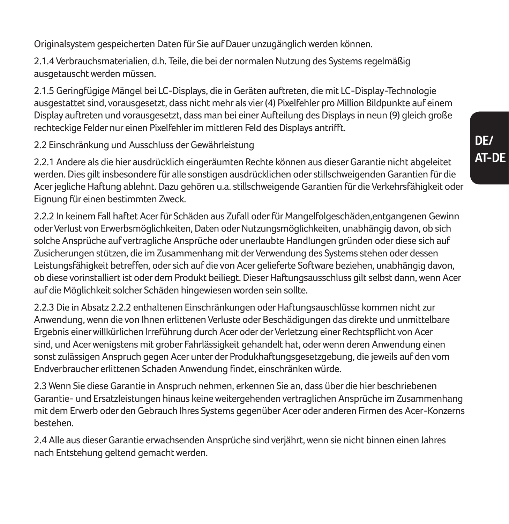Originalsystem gespeicherten Daten für Sie auf Dauer unzugänglich werden können.

2.1.4 Verbrauchsmaterialien, d.h. Teile, die bei der normalen Nutzung des Systems regelmäßig ausgetauscht werden müssen.

2.1.5 Geringfügige Mängel bei LC-Displays, die in Geräten auftreten, die mit LC-Display-Technologie ausgestattet sind, vorausgesetzt, dass nicht mehr als vier (4) Pixelfehler pro Million Bildpunkte auf einem Display auftreten und vorausgesetzt, dass man bei einer Aufteilung des Displays in neun (9) gleich große rechteckige Felder nur einen Pixelfehler im mittleren Feld des Displays antrifft.

2.2 Einschränkung und Ausschluss der Gewährleistung

2.2.1 Andere als die hier ausdrücklich eingeräumten Rechte können aus dieser Garantie nicht abgeleitet werden. Dies gilt insbesondere für alle sonstigen ausdrücklichen oder stillschweigenden Garantien für die Acer jegliche Haftung ablehnt. Dazu gehören u.a. stillschweigende Garantien für die Verkehrsfähigkeit oder Eignung für einen bestimmten Zweck.

2.2.2 In keinem Fall haftet Acer für Schäden aus Zufall oder für Mangelfolgeschäden,entgangenen Gewinn oder Verlust von Erwerbsmöglichkeiten, Daten oder Nutzungsmöglichkeiten, unabhängig davon, ob sich solche Ansprüche auf vertragliche Ansprüche oder unerlaubte Handlungen gründen oder diese sich auf Zusicherungen stützen, die im Zusammenhang mit der Verwendung des Systems stehen oder dessen Leistungsfähigkeit betreffen, oder sich auf die von Acer gelieferte Software beziehen, unabhängig davon, ob diese vorinstalliert ist oder dem Produkt beiliegt. Dieser Haftungsausschluss gilt selbst dann, wenn Acer auf die Möglichkeit solcher Schäden hingewiesen worden sein sollte.

2.2.3 Die in Absatz 2.2.2 enthaltenen Einschränkungen oder Haftungsauschlüsse kommen nicht zur Anwendung, wenn die von Ihnen erlittenen Verluste oder Beschädigungen das direkte und unmittelbare Ergebnis einer willkürlichen Irreführung durch Acer oder der Verletzung einer Rechtspflicht von Acer sind, und Acer wenigstens mit grober Fahrlässigkeit gehandelt hat, oder wenn deren Anwendung einen sonst zulässigen Anspruch gegen Acer unter der Produkhaftungsgesetzgebung, die jeweils auf den vom Endverbraucher erlittenen Schaden Anwendung findet, einschränken würde.

2.3 Wenn Sie diese Garantie in Anspruch nehmen, erkennen Sie an, dass über die hier beschriebenen Garantie- und Ersatzleistungen hinaus keine weitergehenden vertraglichen Ansprüche im Zusammenhang mit dem Erwerb oder den Gebrauch Ihres Systems gegenüber Acer oder anderen Firmen des Acer-Konzerns bestehen.

2.4 Alle aus dieser Garantie erwachsenden Ansprüche sind verjährt, wenn sie nicht binnen einen Jahres nach Entstehung geltend gemacht werden.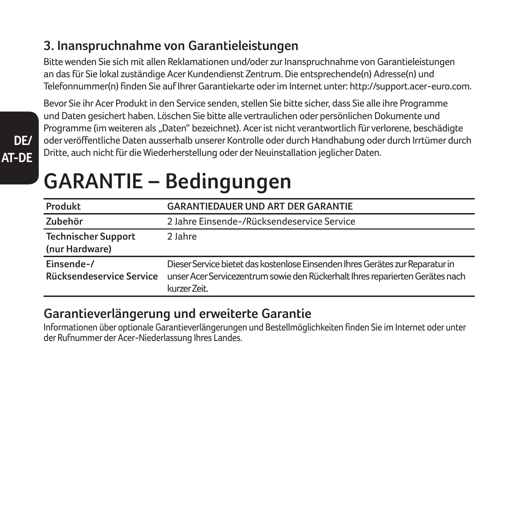### **3. Inanspruchnahme von Garantieleistungen**

Bitte wenden Sie sich mit allen Reklamationen und/oder zur Inanspruchnahme von Garantieleistungen an das für Sie lokal zuständige Acer Kundendienst Zentrum. Die entsprechende(n) Adresse(n) und Telefonnummer(n) finden Sie auf Ihrer Garantiekarte oder im Internet unter: http://support.acer-euro.com.

Bevor Sie ihr Acer Produkt in den Service senden, stellen Sie bitte sicher, dass Sie alle ihre Programme und Daten gesichert haben. Löschen Sie bitte alle vertraulichen oder persönlichen Dokumente und Programme (im weiteren als "Daten" bezeichnet). Acer ist nicht verantwortlich für verlorene, beschädigte oder veröffentliche Daten ausserhalb unserer Kontrolle oder durch Handhabung oder durch Irrtümer durch Dritte, auch nicht für die Wiederherstellung oder der Neuinstallation jeglicher Daten.

# **GARANTIE – Bedingungen**

**DE/ AT-DE**

| Produkt                                      | <b>GARANTIEDAUER UND ART DER GARANTIE</b>                                                                                                                                      |
|----------------------------------------------|--------------------------------------------------------------------------------------------------------------------------------------------------------------------------------|
| Zubehör                                      | 2 Jahre Einsende-/Rücksendeservice Service                                                                                                                                     |
| <b>Technischer Support</b><br>(nur Hardware) | 2 Jahre                                                                                                                                                                        |
| Einsende-/<br>Rücksendeservice Service       | Dieser Service bietet das kostenlose Einsenden Ihres Gerätes zur Reparatur in<br>unser Acer Servicezentrum sowie den Rückerhalt Ihres reparierten Gerätes nach<br>kurzer Zeit. |

### **Garantieverlängerung und erweiterte Garantie**

Informationen über optionale Garantieverlängerungen und Bestellmöglichkeiten finden Sie im Internet oder unter der Rufnummer der Acer-Niederlassung Ihres Landes.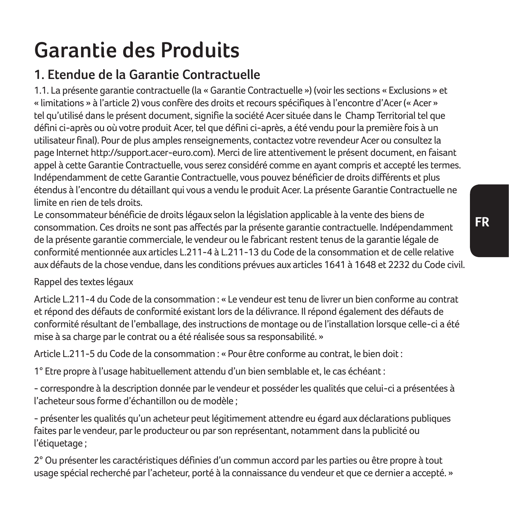# **Garantie des Produits**

## **1. Etendue de la Garantie Contractuelle**

1.1. La présente garantie contractuelle (la « Garantie Contractuelle ») (voir les sections « Exclusions » et « limitations » à l'article 2) vous confère des droits et recours spécifiques à l'encontre d'Acer (« Acer » tel qu'utilisé dans le présent document, signifie la société Acer située dans le Champ Territorial tel que défini ci-après ou où votre produit Acer, tel que défini ci-après, a été vendu pour la première fois à un utilisateur final). Pour de plus amples renseignements, contactez votre revendeur Acer ou consultez la page Internet http://support.acer-euro.com). Merci de lire attentivement le présent document, en faisant appel à cette Garantie Contractuelle, vous serez considéré comme en ayant compris et accepté les termes. Indépendamment de cette Garantie Contractuelle, vous pouvez bénéficier de droits différents et plus étendus à l'encontre du détaillant qui vous a vendu le produit Acer. La présente Garantie Contractuelle ne limite en rien de tels droits.

Le consommateur bénéficie de droits légaux selon la législation applicable à la vente des biens de consommation. Ces droits ne sont pas affectés par la présente garantie contractuelle. Indépendamment de la présente garantie commerciale, le vendeur ou le fabricant restent tenus de la garantie légale de conformité mentionnée aux articles L.211-4 à L.211-13 du Code de la consommation et de celle relative aux défauts de la chose vendue, dans les conditions prévues aux articles 1641 à 1648 et 2232 du Code civil.

#### Rappel des textes légaux

Article L.211-4 du Code de la consommation : « Le vendeur est tenu de livrer un bien conforme au contrat et répond des défauts de conformité existant lors de la délivrance. Il répond également des défauts de conformité résultant de l'emballage, des instructions de montage ou de l'installation lorsque celle-ci a été mise à sa charge par le contrat ou a été réalisée sous sa responsabilité. »

Article L.211-5 du Code de la consommation : « Pour être conforme au contrat, le bien doit :

1° Etre propre à l'usage habituellement attendu d'un bien semblable et, le cas échéant :

- correspondre à la description donnée par le vendeur et posséder les qualités que celui-ci a présentées à l'acheteur sous forme d'échantillon ou de modèle ;

- présenter les qualités qu'un acheteur peut légitimement attendre eu égard aux déclarations publiques faites par le vendeur, par le producteur ou par son représentant, notamment dans la publicité ou l'étiquetage ;

2° Ou présenter les caractéristiques définies d'un commun accord par les parties ou être propre à tout usage spécial recherché par l'acheteur, porté à la connaissance du vendeur et que ce dernier a accepté. »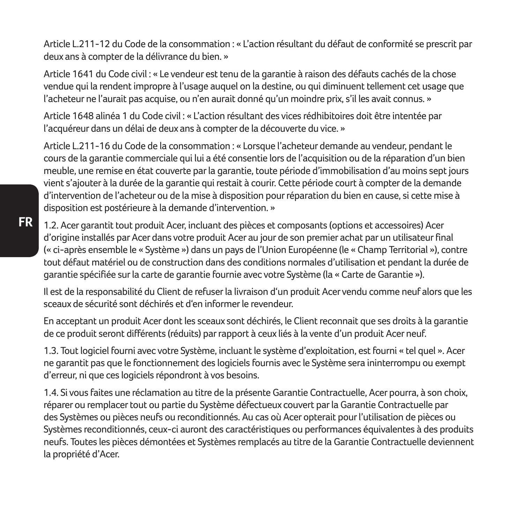Article L.211-12 du Code de la consommation : « L'action résultant du défaut de conformité se prescrit par deux ans à compter de la délivrance du bien. »

Article 1641 du Code civil : « Le vendeur est tenu de la garantie à raison des défauts cachés de la chose vendue qui la rendent impropre à l'usage auquel on la destine, ou qui diminuent tellement cet usage que l'acheteur ne l'aurait pas acquise, ou n'en aurait donné qu'un moindre prix, s'il les avait connus. »

Article 1648 alinéa 1 du Code civil : « L'action résultant des vices rédhibitoires doit être intentée par l'acquéreur dans un délai de deux ans à compter de la découverte du vice. »

Article L.211-16 du Code de la consommation : « Lorsque l'acheteur demande au vendeur, pendant le cours de la garantie commerciale qui lui a été consentie lors de l'acquisition ou de la réparation d'un bien meuble, une remise en état couverte par la garantie, toute période d'immobilisation d'au moins sept jours vient s'ajouter à la durée de la garantie qui restait à courir. Cette période court à compter de la demande d'intervention de l'acheteur ou de la mise à disposition pour réparation du bien en cause, si cette mise à disposition est postérieure à la demande d'intervention. »

1.2. Acer garantit tout produit Acer, incluant des pièces et composants (options et accessoires) Acer d'origine installés par Acer dans votre produit Acer au jour de son premier achat par un utilisateur final (« ci-après ensemble le « Système ») dans un pays de l'Union Européenne (le « Champ Territorial »), contre tout défaut matériel ou de construction dans des conditions normales d'utilisation et pendant la durée de garantie spécifiée sur la carte de garantie fournie avec votre Système (la « Carte de Garantie »).

Il est de la responsabilité du Client de refuser la livraison d'un produit Acer vendu comme neuf alors que les sceaux de sécurité sont déchirés et d'en informer le revendeur.

En acceptant un produit Acer dont les sceaux sont déchirés, le Client reconnait que ses droits à la garantie de ce produit seront différents (réduits) par rapport à ceux liés à la vente d'un produit Acer neuf.

1.3. Tout logiciel fourni avec votre Système, incluant le système d'exploitation, est fourni « tel quel ». Acer ne garantit pas que le fonctionnement des logiciels fournis avec le Système sera ininterrompu ou exempt d'erreur, ni que ces logiciels répondront à vos besoins.

1.4. Si vous faites une réclamation au titre de la présente Garantie Contractuelle, Acer pourra, à son choix, réparer ou remplacer tout ou partie du Système défectueux couvert par la Garantie Contractuelle par des Systèmes ou pièces neufs ou reconditionnés. Au cas où Acer opterait pour l'utilisation de pièces ou Systèmes reconditionnés, ceux-ci auront des caractéristiques ou performances équivalentes à des produits neufs. Toutes les pièces démontées et Systèmes remplacés au titre de la Garantie Contractuelle deviennent la propriété d'Acer.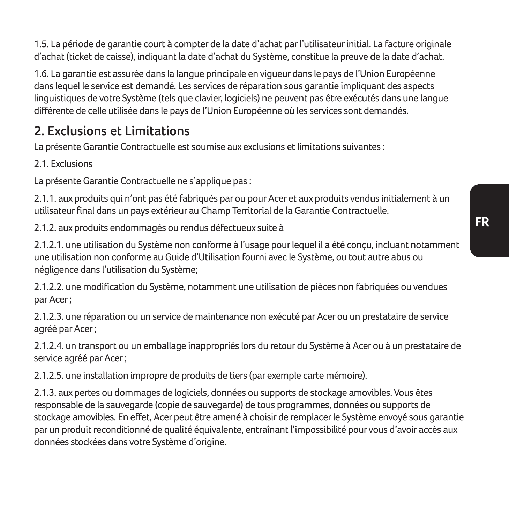1.5. La période de garantie court à compter de la date d'achat par l'utilisateur initial. La facture originale d'achat (ticket de caisse), indiquant la date d'achat du Système, constitue la preuve de la date d'achat.

1.6. La garantie est assurée dans la langue principale en vigueur dans le pays de l'Union Européenne dans lequel le service est demandé. Les services de réparation sous garantie impliquant des aspects linguistiques de votre Système (tels que clavier, logiciels) ne peuvent pas être exécutés dans une langue différente de celle utilisée dans le pays de l'Union Européenne où les services sont demandés.

### **2. Exclusions et Limitations**

La présente Garantie Contractuelle est soumise aux exclusions et limitations suivantes :

2.1. Evelucions

La présente Garantie Contractuelle ne s'applique pas :

2.1.1. aux produits qui n'ont pas été fabriqués par ou pour Acer et aux produits vendus initialement à un utilisateur final dans un pays extérieur au Champ Territorial de la Garantie Contractuelle.

2.1.2. aux produits endommagés ou rendus défectueux suite à

2.1.2.1. une utilisation du Système non conforme à l'usage pour lequel il a été conçu, incluant notamment une utilisation non conforme au Guide d'Utilisation fourni avec le Système, ou tout autre abus ou négligence dans l'utilisation du Système;

2.1.2.2. une modification du Système, notamment une utilisation de pièces non fabriquées ou vendues par Acer ;

2.1.2.3. une réparation ou un service de maintenance non exécuté par Acer ou un prestataire de service agréé par Acer ;

2.1.2.4. un transport ou un emballage inappropriés lors du retour du Système à Acer ou à un prestataire de service agréé par Acer ;

2.1.2.5. une installation impropre de produits de tiers (par exemple carte mémoire).

2.1.3. aux pertes ou dommages de logiciels, données ou supports de stockage amovibles. Vous êtes responsable de la sauvegarde (copie de sauvegarde) de tous programmes, données ou supports de stockage amovibles. En effet, Acer peut être amené à choisir de remplacer le Système envoyé sous garantie par un produit reconditionné de qualité équivalente, entraînant l'impossibilité pour vous d'avoir accès aux données stockées dans votre Système d'origine.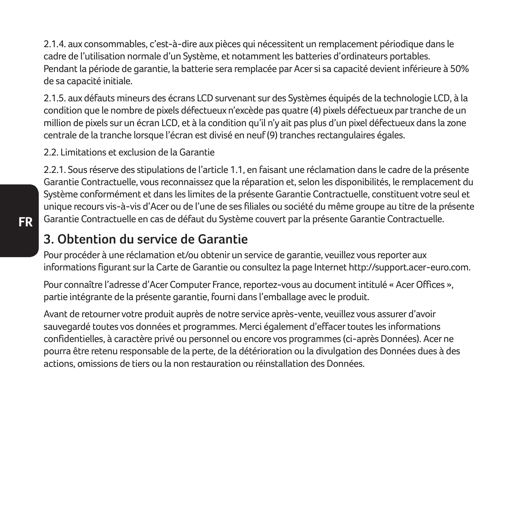2.1.4. aux consommables, c'est-à-dire aux pièces qui nécessitent un remplacement périodique dans le cadre de l'utilisation normale d'un Système, et notamment les batteries d'ordinateurs portables. Pendant la période de garantie, la batterie sera remplacée par Acer si sa capacité devient inférieure à 50% de sa capacité initiale.

2.1.5. aux défauts mineurs des écrans LCD survenant sur des Systèmes équipés de la technologie LCD, à la condition que le nombre de pixels défectueux n'excède pas quatre (4) pixels défectueux par tranche de un million de pixels sur un écran LCD, et à la condition qu'il n'y ait pas plus d'un pixel défectueux dans la zone centrale de la tranche lorsque l'écran est divisé en neuf (9) tranches rectangulaires égales.

2.2. Limitations et exclusion de la Garantie

2.2.1. Sous réserve des stipulations de l'article 1.1, en faisant une réclamation dans le cadre de la présente Garantie Contractuelle, vous reconnaissez que la réparation et, selon les disponibilités, le remplacement du Système conformément et dans les limites de la présente Garantie Contractuelle, constituent votre seul et unique recours vis-à-vis d'Acer ou de l'une de ses filiales ou société du même groupe au titre de la présente Garantie Contractuelle en cas de défaut du Système couvert par la présente Garantie Contractuelle.

### **3. Obtention du service de Garantie**

Pour procéder à une réclamation et/ou obtenir un service de garantie, veuillez vous reporter aux informations figurant sur la Carte de Garantie ou consultez la page Internet http://support.acer-euro.com.

Pour connaître l'adresse d'Acer Computer France, reportez-vous au document intitulé « Acer Offices », partie intégrante de la présente garantie, fourni dans l'emballage avec le produit.

Avant de retourner votre produit auprès de notre service après-vente, veuillez vous assurer d'avoir sauvegardé toutes vos données et programmes. Merci également d'effacer toutes les informations confidentielles, à caractère privé ou personnel ou encore vos programmes (ci-après Données). Acer ne pourra être retenu responsable de la perte, de la détérioration ou la divulgation des Données dues à des actions, omissions de tiers ou la non restauration ou réinstallation des Données.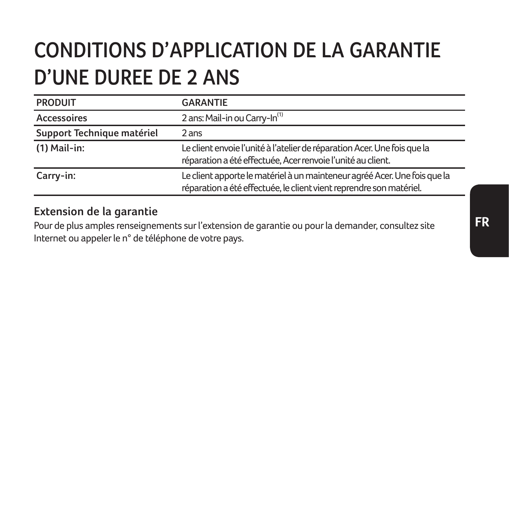# **CONDITIONS D'APPLICATION DE LA GARANTIE D'UNE DUREE DE 2 ANS**

| <b>PRODUIT</b>             | <b>GARANTIE</b>                                                                                                                                  |
|----------------------------|--------------------------------------------------------------------------------------------------------------------------------------------------|
| Accessoires                | 2 ans: Mail-in ou Carry-In <sup>(1)</sup>                                                                                                        |
| Support Technique matériel | 2 ans                                                                                                                                            |
| $(1)$ Mail-in:             | Le client envoie l'unité à l'atelier de réparation Acer. Une fois que la<br>réparation a été effectuée, Acer renvoie l'unité au client.          |
| Carry-in:                  | Le client apporte le matériel à un mainteneur agréé Acer. Une fois que la<br>réparation a été effectuée, le client vient reprendre son matériel. |

#### **Extension de la garantie**

Pour de plus amples renseignements sur l'extension de garantie ou pour la demander, consultez site Internet ou appeler le n° de téléphone de votre pays.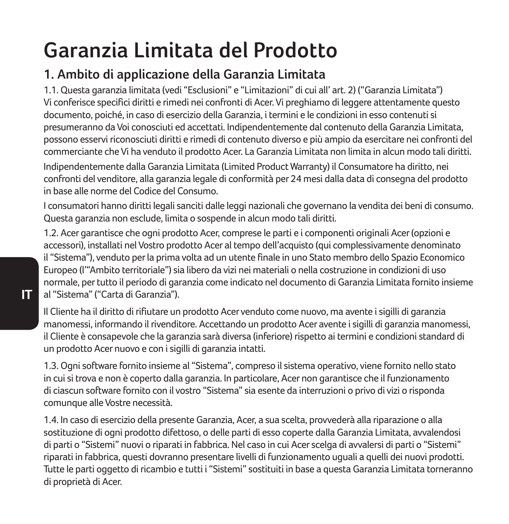# **Garanzia Limitata del Prodotto**

### **1. Ambito di applicazione della Garanzia Limitata**

1.1. Questa garanzia limitata (vedi "Esclusioni" e "Limitazioni" di cui all' art. 2) ("Garanzia Limitata") Vi conferisce specifici diritti e rimedi nei confronti di Acer. Vi preghiamo di leggere attentamente questo documento, poiché, in caso di esercizio della Garanzia, i termini e le condizioni in esso contenuti si presumeranno da Voi conosciuti ed accettati. Indipendentemente dal contenuto della Garanzia Limitata, possono esservi riconosciuti diritti e rimedi di contenuto diverso e più ampio da esercitare nei confronti del commerciante che Vi ha venduto il prodotto Acer. La Garanzia Limitata non limita in alcun modo tali diritti.

Indipendentemente dalla Garanzia Limitata (Limited Product Warranty) il Consumatore ha diritto, nei confronti del venditore, alla garanzia legale di conformità per 24 mesi dalla data di consegna del prodotto in base alle norme del Codice del Consumo.

I consumatori hanno diritti legali sanciti dalle leggi nazionali che governano la vendita dei beni di consumo. Questa garanzia non esclude, limita o sospende in alcun modo tali diritti.

1.2. Acer garantisce che ogni prodotto Acer, comprese le parti e i componenti originali Acer (opzioni e accessori), installati nel Vostro prodotto Acer al tempo dell'acquisto (qui complessivamente denominato il "Sistema"), venduto per la prima volta ad un utente finale in uno Stato membro dello Spazio Economico Europeo (l'"Ambito territoriale") sia libero da vizi nei materiali o nella costruzione in condizioni di uso normale, per tutto il periodo di garanzia come indicato nel documento di Garanzia Limitata fornito insieme al "Sistema" ("Carta di Garanzia").

Il Cliente ha il diritto di rifiutare un prodotto Acer venduto come nuovo, ma avente i sigilli di garanzia manomessi, informando il rivenditore. Accettando un prodotto Acer avente i sigilli di garanzia manomessi, il Cliente è consapevole che la garanzia sarà diversa (inferiore) rispetto ai termini e condizioni standard di un prodotto Acer nuovo e con i sigilli di garanzia intatti.

1.3. Ogni software fornito insieme al "Sistema", compreso il sistema operativo, viene fornito nello stato in cui si trova e non è coperto dalla garanzia. In particolare, Acer non garantisce che il funzionamento di ciascun software fornito con il vostro "Sistema" sia esente da interruzioni o privo di vizi o risponda comunque alle Vostre necessità.

1.4. In caso di esercizio della presente Garanzia, Acer, a sua scelta, provvederà alla riparazione o alla sostituzione di ogni prodotto difettoso, o delle parti di esso coperte dalla Garanzia Limitata, avvalendosi di parti o "Sistemi" nuovi o riparati in fabbrica. Nel caso in cui Acer scelga di avvalersi di parti o "Sistemi" riparati in fabbrica, questi dovranno presentare livelli di funzionamento uguali a quelli dei nuovi prodotti. Tutte le parti oggetto di ricambio e tutti i "Sistemi" sostituiti in base a questa Garanzia Limitata torneranno di proprietà di Acer.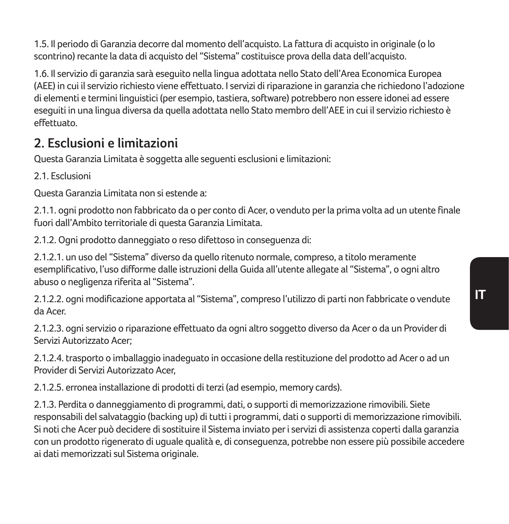1.5. Il periodo di Garanzia decorre dal momento dell'acquisto. La fattura di acquisto in originale (o lo scontrino) recante la data di acquisto del "Sistema" costituisce prova della data dell'acquisto.

1.6. Il servizio di garanzia sarà eseguito nella lingua adottata nello Stato dell'Area Economica Europea (AEE) in cui il servizio richiesto viene effettuato. I servizi di riparazione in garanzia che richiedono l'adozione di elementi e termini linguistici (per esempio, tastiera, software) potrebbero non essere idonei ad essere eseguiti in una lingua diversa da quella adottata nello Stato membro dell'AEE in cui il servizio richiesto è effettuato.

### **2. Esclusioni e limitazioni**

Questa Garanzia Limitata è soggetta alle seguenti esclusioni e limitazioni:

2.1. Esclusioni

Questa Garanzia Limitata non si estende a:

2.1.1. ogni prodotto non fabbricato da o per conto di Acer, o venduto per la prima volta ad un utente finale fuori dall'Ambito territoriale di questa Garanzia Limitata.

2.1.2. Ogni prodotto danneggiato o reso difettoso in conseguenza di:

2.1.2.1. un uso del "Sistema" diverso da quello ritenuto normale, compreso, a titolo meramente esemplificativo, l'uso difforme dalle istruzioni della Guida all'utente allegate al "Sistema", o ogni altro abuso o negligenza riferita al "Sistema".

2.1.2.2. ogni modificazione apportata al "Sistema", compreso l'utilizzo di parti non fabbricate o vendute da Acer.

2.1.2.3. ogni servizio o riparazione effettuato da ogni altro soggetto diverso da Acer o da un Provider di Servizi Autorizzato Acer;

2.1.2.4. trasporto o imballaggio inadeguato in occasione della restituzione del prodotto ad Acer o ad un Provider di Servizi Autorizzato Acer,

2.1.2.5. erronea installazione di prodotti di terzi (ad esempio, memory cards).

2.1.3. Perdita o danneggiamento di programmi, dati, o supporti di memorizzazione rimovibili. Siete responsabili del salvataggio (backing up) di tutti i programmi, dati o supporti di memorizzazione rimovibili. Si noti che Acer può decidere di sostituire il Sistema inviato per i servizi di assistenza coperti dalla garanzia con un prodotto rigenerato di uguale qualità e, di conseguenza, potrebbe non essere più possibile accedere ai dati memorizzati sul Sistema originale.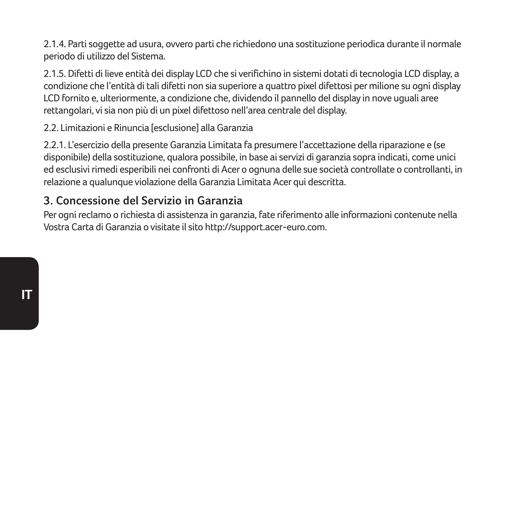2.1.4. Parti soggette ad usura, ovvero parti che richiedono una sostituzione periodica durante il normale periodo di utilizzo del Sistema.

2.1.5. Difetti di lieve entità dei display LCD che si verifichino in sistemi dotati di tecnologia LCD display, a condizione che l'entità di tali difetti non sia superiore a quattro pixel difettosi per milione su ogni display LCD fornito e, ulteriormente, a condizione che, dividendo il pannello del display in nove uguali aree rettangolari, vi sia non più di un pixel difettoso nell'area centrale del display.

2.2. Limitazioni e Rinuncia [esclusione] alla Garanzia

2.2.1. L'esercizio della presente Garanzia Limitata fa presumere l'accettazione della riparazione e (se disponibile) della sostituzione, qualora possibile, in base ai servizi di garanzia sopra indicati, come unici ed esclusivi rimedi esperibili nei confronti di Acer o ognuna delle sue società controllate o controllanti, in relazione a qualunque violazione della Garanzia Limitata Acer qui descritta.

#### **3. Concessione del Servizio in Garanzia**

Per ogni reclamo o richiesta di assistenza in garanzia, fate riferimento alle informazioni contenute nella Vostra Carta di Garanzia o visitate il sito http://support.acer-euro.com.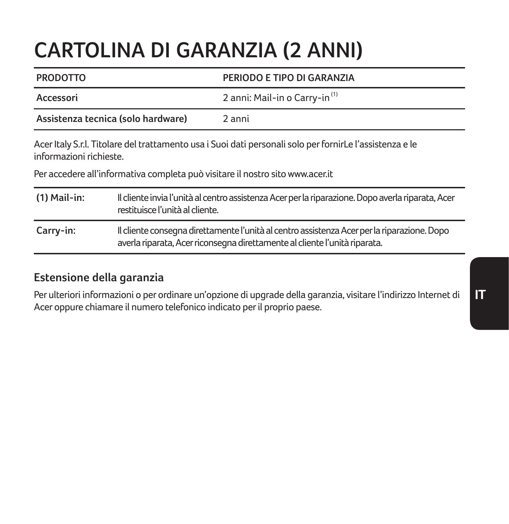# **CARTOLINA DI GARANZIA (2 ANNI)**

| <b>PRODOTTO</b>                    |                                                                                                                                      | PERIODO E TIPO DI GARANZIA                                                                                                                                                                |  |
|------------------------------------|--------------------------------------------------------------------------------------------------------------------------------------|-------------------------------------------------------------------------------------------------------------------------------------------------------------------------------------------|--|
| Accessori                          |                                                                                                                                      | 2 anni: Mail-in o Carry-in <sup>(1)</sup>                                                                                                                                                 |  |
| Assistenza tecnica (solo hardware) |                                                                                                                                      | 2 anni                                                                                                                                                                                    |  |
| informazioni richieste.            |                                                                                                                                      | Acer Italy S.r.l. Titolare del trattamento usa i Suoi dati personali solo per fornirLe l'assistenza e le<br>Per accedere all'informativa completa può visitare il nostro sito www.acer.it |  |
| $(1)$ Mail-in:                     | Il cliente invia l'unità al centro assistenza Acer per la riparazione. Dopo averla riparata, Acer<br>restituisce l'unità al cliente. |                                                                                                                                                                                           |  |
| Carry-in:                          |                                                                                                                                      | Il cliente consegna direttamente l'unità al centro assistenza Acer per la riparazione. Dopo<br>averla riparata, Acer riconsegna direttamente al cliente l'unità riparata.                 |  |
|                                    |                                                                                                                                      |                                                                                                                                                                                           |  |

#### **Estensione della garanzia**

Per ulteriori informazioni o per ordinare un'opzione di upgrade della garanzia, visitare l'indirizzo Internet di Acer oppure chiamare il numero telefonico indicato per il proprio paese.

**IT**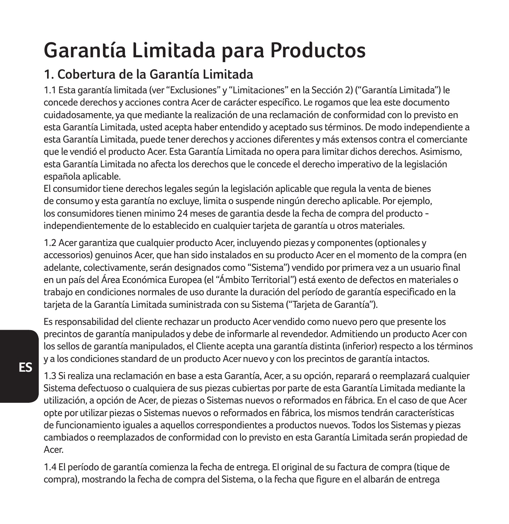# **Garantía Limitada para Productos**

## **1. Cobertura de la Garantía Limitada**

1.1 Esta garantía limitada (ver "Exclusiones" y "Limitaciones" en la Sección 2) ("Garantía Limitada") le concede derechos y acciones contra Acer de carácter específico. Le rogamos que lea este documento cuidadosamente, ya que mediante la realización de una reclamación de conformidad con lo previsto en esta Garantía Limitada, usted acepta haber entendido y aceptado sus términos. De modo independiente a esta Garantía Limitada, puede tener derechos y acciones diferentes y más extensos contra el comerciante que le vendió el producto Acer. Esta Garantía Limitada no opera para limitar dichos derechos. Asimismo, esta Garantía Limitada no afecta los derechos que le concede el derecho imperativo de la legislación española aplicable.

El consumidor tiene derechos legales según la legislación aplicable que regula la venta de bienes de consumo y esta garantía no excluye, limita o suspende ningún derecho aplicable. Por ejemplo, los consumidores tienen minimo 24 meses de garantia desde la fecha de compra del producto independientemente de lo establecido en cualquier tarjeta de garantía u otros materiales.

1.2 Acer garantiza que cualquier producto Acer, incluyendo piezas y componentes (optionales y accessorios) genuinos Acer, que han sido instalados en su producto Acer en el momento de la compra (en adelante, colectivamente, serán designados como "Sistema") vendido por primera vez a un usuario final en un país del Área Económica Europea (el "Ámbito Territorial") está exento de defectos en materiales o trabajo en condiciones normales de uso durante la duración del período de garantía especificado en la tarjeta de la Garantía Limitada suministrada con su Sistema ("Tarjeta de Garantía").

Es responsabilidad del cliente rechazar un producto Acer vendido como nuevo pero que presente los precintos de garantía manipulados y debe de informarle al revendedor. Admitiendo un producto Acer con los sellos de garantía manipulados, el Cliente acepta una garantía distinta (inferior) respecto a los términos y a los condiciones standard de un producto Acer nuevo y con los precintos de garantía intactos.

1.3 Si realiza una reclamación en base a esta Garantía, Acer, a su opción, reparará o reemplazará cualquier Sistema defectuoso o cualquiera de sus piezas cubiertas por parte de esta Garantía Limitada mediante la utilización, a opción de Acer, de piezas o Sistemas nuevos o reformados en fábrica. En el caso de que Acer opte por utilizar piezas o Sistemas nuevos o reformados en fábrica, los mismos tendrán características de funcionamiento iguales a aquellos correspondientes a productos nuevos. Todos los Sistemas y piezas cambiados o reemplazados de conformidad con lo previsto en esta Garantía Limitada serán propiedad de Acer.

1.4 El período de garantía comienza la fecha de entrega. El original de su factura de compra (tique de compra), mostrando la fecha de compra del Sistema, o la fecha que figure en el albarán de entrega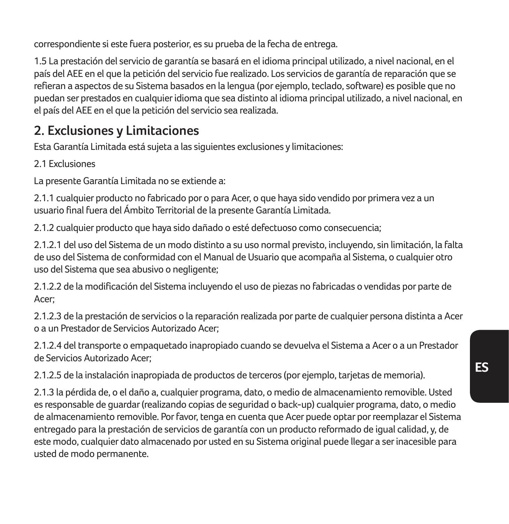correspondiente si este fuera posterior, es su prueba de la fecha de entrega.

1.5 La prestación del servicio de garantía se basará en el idioma principal utilizado, a nivel nacional, en el país del AEE en el que la petición del servicio fue realizado. Los servicios de garantía de reparación que se refieran a aspectos de su Sistema basados en la lengua (por ejemplo, teclado, software) es posible que no puedan ser prestados en cualquier idioma que sea distinto al idioma principal utilizado, a nivel nacional, en el país del AEE en el que la petición del servicio sea realizada.

### **2. Exclusiones y Limitaciones**

Esta Garantía Limitada está sujeta a las siguientes exclusiones y limitaciones:

2.1 Exclusiones

La presente Garantía Limitada no se extiende a:

2.1.1 cualquier producto no fabricado por o para Acer, o que haya sido vendido por primera vez a un usuario final fuera del Ámbito Territorial de la presente Garantía Limitada.

2.1.2 cualquier producto que haya sido dañado o esté defectuoso como consecuencia;

2.1.2.1 del uso del Sistema de un modo distinto a su uso normal previsto, incluyendo, sin limitación, la falta de uso del Sistema de conformidad con el Manual de Usuario que acompaña al Sistema, o cualquier otro uso del Sistema que sea abusivo o negligente;

2.1.2.2 de la modificación del Sistema incluyendo el uso de piezas no fabricadas o vendidas por parte de Acer;

2.1.2.3 de la prestación de servicios o la reparación realizada por parte de cualquier persona distinta a Acer o a un Prestador de Servicios Autorizado Acer;

2.1.2.4 del transporte o empaquetado inapropiado cuando se devuelva el Sistema a Acer o a un Prestador de Servicios Autorizado Acer;

2.1.2.5 de la instalación inapropiada de productos de terceros (por ejemplo, tarjetas de memoria).

2.1.3 la pérdida de, o el daño a, cualquier programa, dato, o medio de almacenamiento removible. Usted es responsable de guardar (realizando copias de seguridad o back-up) cualquier programa, dato, o medio de almacenamiento removible. Por favor, tenga en cuenta que Acer puede optar por reemplazar el Sistema entregado para la prestación de servicios de garantía con un producto reformado de igual calidad, y, de este modo, cualquier dato almacenado por usted en su Sistema original puede llegar a ser inacesible para usted de modo permanente.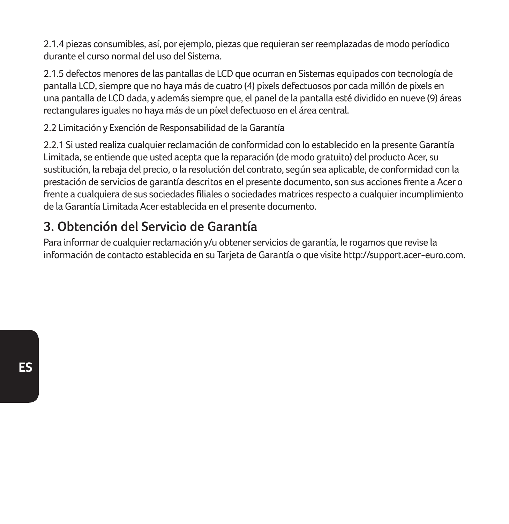2.1.4 piezas consumibles, así, por ejemplo, piezas que requieran ser reemplazadas de modo períodico durante el curso normal del uso del Sistema.

2.1.5 defectos menores de las pantallas de LCD que ocurran en Sistemas equipados con tecnología de pantalla LCD, siempre que no haya más de cuatro (4) pixels defectuosos por cada millón de pixels en una pantalla de LCD dada, y además siempre que, el panel de la pantalla esté dividido en nueve (9) áreas rectangulares iguales no haya más de un píxel defectuoso en el área central.

2.2 Limitación y Exención de Responsabilidad de la Garantía

2.2.1 Si usted realiza cualquier reclamación de conformidad con lo establecido en la presente Garantía Limitada, se entiende que usted acepta que la reparación (de modo gratuito) del producto Acer, su sustitución, la rebaja del precio, o la resolución del contrato, según sea aplicable, de conformidad con la prestación de servicios de garantía descritos en el presente documento, son sus acciones frente a Acer o frente a cualquiera de sus sociedades filiales o sociedades matrices respecto a cualquier incumplimiento de la Garantía Limitada Acer establecida en el presente documento.

### **3. Obtención del Servicio de Garantía**

Para informar de cualquier reclamación y/u obtener servicios de garantía, le rogamos que revise la información de contacto establecida en su Tarjeta de Garantía o que visite http://support.acer-euro.com.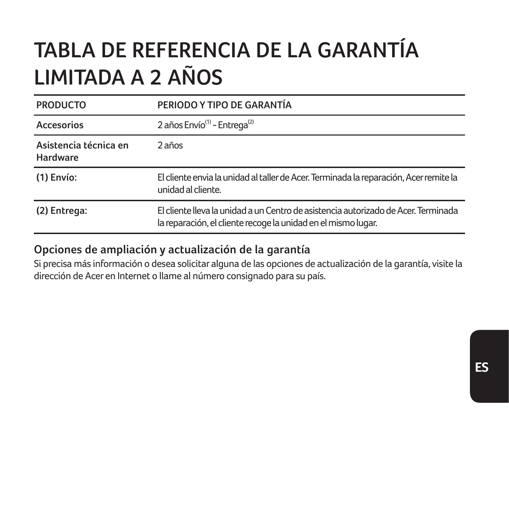# **TABLA DE REFERENCIA DE LA GARANTÍA LIMITADA A 2 AÑOS**

| <b>PRODUCTO</b>                   | PERIODO Y TIPO DE GARANTÍA                                                                                                                          |
|-----------------------------------|-----------------------------------------------------------------------------------------------------------------------------------------------------|
| Accesorios                        | 2 años Envío <sup>(1)</sup> - Entrega <sup>(2)</sup>                                                                                                |
| Asistencia técnica en<br>Hardware | 2 años                                                                                                                                              |
| $(1)$ Envío:                      | El cliente envia la unidad al taller de Acer. Terminada la reparación, Acer remite la<br>unidad al cliente.                                         |
| (2) Entrega:                      | El cliente lleva la unidad a un Centro de asistencia autorizado de Acer. Terminada<br>la reparación, el cliente recoge la unidad en el mismo lugar. |

#### **Opciones de ampliación y actualización de la garantía**

Si precisa más información o desea solicitar alguna de las opciones de actualización de la garantía, visite la dirección de Acer en Internet o llame al número consignado para su país.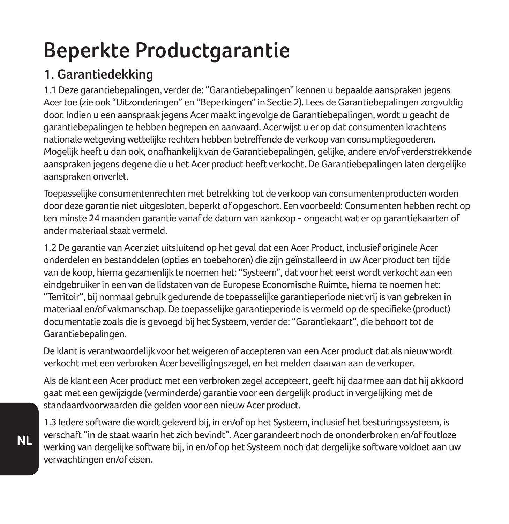# **Beperkte Productgarantie**

### **1. Garantiedekking**

1.1 Deze garantiebepalingen, verder de: "Garantiebepalingen" kennen u bepaalde aanspraken jegens Acer toe (zie ook "Uitzonderingen" en "Beperkingen" in Sectie 2). Lees de Garantiebepalingen zorgvuldig door. Indien u een aanspraak jegens Acer maakt ingevolge de Garantiebepalingen, wordt u geacht de garantiebepalingen te hebben begrepen en aanvaard. Acer wijst u er op dat consumenten krachtens nationale wetgeving wettelijke rechten hebben betreffende de verkoop van consumptiegoederen. Mogelijk heeft u dan ook, onafhankelijk van de Garantiebepalingen, gelijke, andere en/of verderstrekkende aanspraken jegens degene die u het Acer product heeft verkocht. De Garantiebepalingen laten dergelijke aanspraken onverlet.

Toepasselijke consumentenrechten met betrekking tot de verkoop van consumentenproducten worden door deze garantie niet uitgesloten, beperkt of opgeschort. Een voorbeeld: Consumenten hebben recht op ten minste 24 maanden garantie vanaf de datum van aankoop - ongeacht wat er op garantiekaarten of ander materiaal staat vermeld.

1.2 De garantie van Acer ziet uitsluitend op het geval dat een Acer Product, inclusief originele Acer onderdelen en bestanddelen (opties en toebehoren) die zijn geïnstalleerd in uw Acer product ten tijde van de koop, hierna gezamenlijk te noemen het: "Systeem", dat voor het eerst wordt verkocht aan een eindgebruiker in een van de lidstaten van de Europese Economische Ruimte, hierna te noemen het: "Territoir", bij normaal gebruik gedurende de toepasselijke garantieperiode niet vrij is van gebreken in materiaal en/of vakmanschap. De toepasselijke garantieperiode is vermeld op de specifieke (product) documentatie zoals die is gevoegd bij het Systeem, verder de: "Garantiekaart", die behoort tot de Garantiebepalingen.

De klant is verantwoordelijk voor het weigeren of accepteren van een Acer product dat als nieuw wordt verkocht met een verbroken Acer beveiligingszegel, en het melden daarvan aan de verkoper.

Als de klant een Acer product met een verbroken zegel accepteert, geeft hij daarmee aan dat hij akkoord gaat met een gewijzigde (verminderde) garantie voor een dergelijk product in vergelijking met de standaardvoorwaarden die gelden voor een nieuw Acer product.

1.3 Iedere software die wordt geleverd bij, in en/of op het Systeem, inclusief het besturingssysteem, is verschaft "in de staat waarin het zich bevindt". Acer garandeert noch de ononderbroken en/of foutloze werking van dergelijke software bij, in en/of op het Systeem noch dat dergelijke software voldoet aan uw verwachtingen en/of eisen.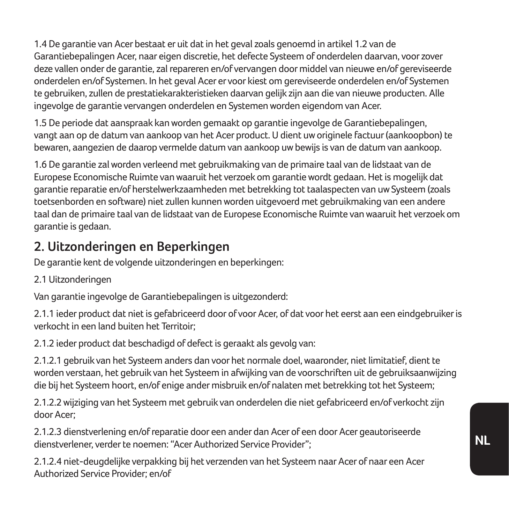1.4 De garantie van Acer bestaat er uit dat in het geval zoals genoemd in artikel 1.2 van de Garantiebepalingen Acer, naar eigen discretie, het defecte Systeem of onderdelen daarvan, voor zover deze vallen onder de garantie, zal repareren en/of vervangen door middel van nieuwe en/of gereviseerde onderdelen en/of Systemen. In het geval Acer er voor kiest om gereviseerde onderdelen en/of Systemen te gebruiken, zullen de prestatiekarakteristieken daarvan gelijk zijn aan die van nieuwe producten. Alle ingevolge de garantie vervangen onderdelen en Systemen worden eigendom van Acer.

1.5 De periode dat aanspraak kan worden gemaakt op garantie ingevolge de Garantiebepalingen, vangt aan op de datum van aankoop van het Acer product. U dient uw originele factuur (aankoopbon) te bewaren, aangezien de daarop vermelde datum van aankoop uw bewijs is van de datum van aankoop.

1.6 De garantie zal worden verleend met gebruikmaking van de primaire taal van de lidstaat van de Europese Economische Ruimte van waaruit het verzoek om garantie wordt gedaan. Het is mogelijk dat garantie reparatie en/of herstelwerkzaamheden met betrekking tot taalaspecten van uw Systeem (zoals toetsenborden en software) niet zullen kunnen worden uitgevoerd met gebruikmaking van een andere taal dan de primaire taal van de lidstaat van de Europese Economische Ruimte van waaruit het verzoek om garantie is gedaan.

### **2. Uitzonderingen en Beperkingen**

De garantie kent de volgende uitzonderingen en beperkingen:

2.1 Uitzonderingen

Van garantie ingevolge de Garantiebepalingen is uitgezonderd:

2.1.1 ieder product dat niet is gefabriceerd door of voor Acer, of dat voor het eerst aan een eindgebruiker is verkocht in een land buiten het Territoir;

2.1.2 ieder product dat beschadigd of defect is geraakt als gevolg van:

2.1.2.1 gebruik van het Systeem anders dan voor het normale doel, waaronder, niet limitatief, dient te worden verstaan, het gebruik van het Systeem in afwijking van de voorschriften uit de gebruiksaanwijzing die bij het Systeem hoort, en/of enige ander misbruik en/of nalaten met betrekking tot het Systeem;

2.1.2.2 wijziging van het Systeem met gebruik van onderdelen die niet gefabriceerd en/of verkocht zijn door Acer;

2.1.2.3 dienstverlening en/of reparatie door een ander dan Acer of een door Acer geautoriseerde dienstverlener, verder te noemen: "Acer Authorized Service Provider";

2.1.2.4 niet-deugdelijke verpakking bij het verzenden van het Systeem naar Acer of naar een Acer Authorized Service Provider; en/of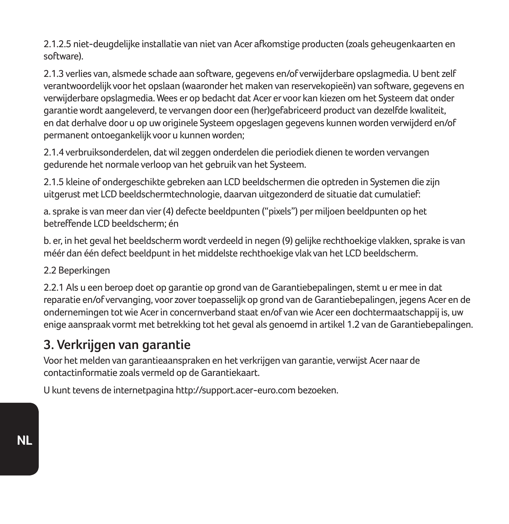2.1.2.5 niet-deugdelijke installatie van niet van Acer afkomstige producten (zoals geheugenkaarten en software).

2.1.3 verlies van, alsmede schade aan software, gegevens en/of verwijderbare opslagmedia. U bent zelf verantwoordelijk voor het opslaan (waaronder het maken van reservekopieën) van software, gegevens en verwijderbare opslagmedia. Wees er op bedacht dat Acer er voor kan kiezen om het Systeem dat onder garantie wordt aangeleverd, te vervangen door een (her)gefabriceerd product van dezelfde kwaliteit, en dat derhalve door u op uw originele Systeem opgeslagen gegevens kunnen worden verwijderd en/of permanent ontoegankelijk voor u kunnen worden;

2.1.4 verbruiksonderdelen, dat wil zeggen onderdelen die periodiek dienen te worden vervangen gedurende het normale verloop van het gebruik van het Systeem.

2.1.5 kleine of ondergeschikte gebreken aan LCD beeldschermen die optreden in Systemen die zijn uitgerust met LCD beeldschermtechnologie, daarvan uitgezonderd de situatie dat cumulatief:

a. sprake is van meer dan vier (4) defecte beeldpunten ("pixels") per miljoen beeldpunten op het betreffende LCD beeldscherm; én

b. er, in het geval het beeldscherm wordt verdeeld in negen (9) gelijke rechthoekige vlakken, sprake is van méér dan één defect beeldpunt in het middelste rechthoekige vlak van het LCD beeldscherm.

#### 2.2 Beperkingen

2.2.1 Als u een beroep doet op garantie op grond van de Garantiebepalingen, stemt u er mee in dat reparatie en/of vervanging, voor zover toepasselijk op grond van de Garantiebepalingen, jegens Acer en de ondernemingen tot wie Acer in concernverband staat en/of van wie Acer een dochtermaatschappij is, uw enige aanspraak vormt met betrekking tot het geval als genoemd in artikel 1.2 van de Garantiebepalingen.

#### **3. Verkrijgen van garantie**

Voor het melden van garantieaanspraken en het verkrijgen van garantie, verwijst Acer naar de contactinformatie zoals vermeld op de Garantiekaart.

U kunt tevens de internetpagina http://support.acer-euro.com bezoeken.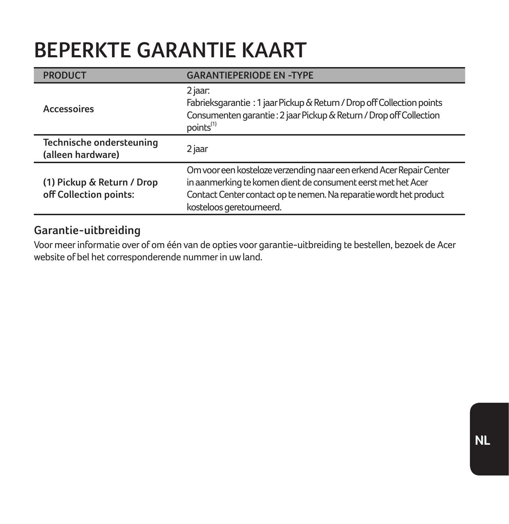## **BEPERKTE GARANTIE KAART**

| <b>PRODUCT</b>                                       | <b>GARANTIEPERIODE EN -TYPE</b>                                                                                                                                                                                                       |
|------------------------------------------------------|---------------------------------------------------------------------------------------------------------------------------------------------------------------------------------------------------------------------------------------|
| Accessoires                                          | 2 jaar:<br>Fabrieksgarantie : 1 jaar Pickup & Return / Drop off Collection points<br>Consumenten garantie: 2 jaar Pickup & Return / Drop off Collection<br>points <sup>(1)</sup>                                                      |
| Technische ondersteuning<br>(alleen hardware)        | 2 jaar                                                                                                                                                                                                                                |
| (1) Pickup & Return / Drop<br>off Collection points: | Om voor een kosteloze verzending naar een erkend Acer Repair Center<br>in aanmerking te komen dient de consument eerst met het Acer<br>Contact Center contact op te nemen. Na reparatie wordt het product<br>kosteloos geretourneerd. |

#### **Garantie-uitbreiding**

Voor meer informatie over of om één van de opties voor garantie-uitbreiding te bestellen, bezoek de Acer website of bel het corresponderende nummer in uw land.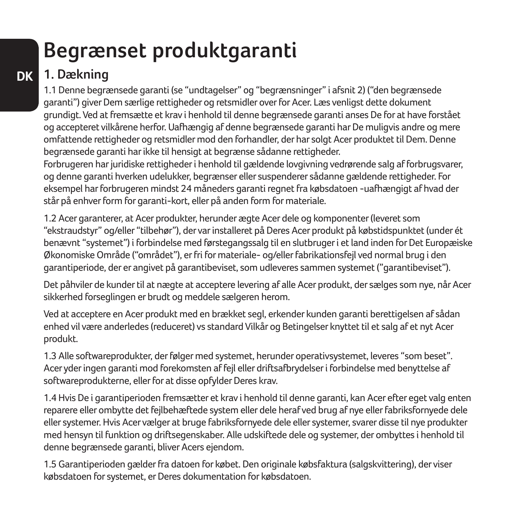# **Begrænset produktgaranti**

## **DK 1. Dækning**

1.1 Denne begrænsede garanti (se "undtagelser" og "begrænsninger" i afsnit 2) ("den begrænsede garanti") giver Dem særlige rettigheder og retsmidler over for Acer. Læs venligst dette dokument grundigt. Ved at fremsætte et krav i henhold til denne begrænsede garanti anses De for at have forstået og accepteret vilkårene herfor. Uafhængig af denne begrænsede garanti har De muligvis andre og mere omfattende rettigheder og retsmidler mod den forhandler, der har solgt Acer produktet til Dem. Denne begrænsede garanti har ikke til hensigt at begrænse sådanne rettigheder.

Forbrugeren har juridiske rettigheder i henhold til gældende lovgivning vedrørende salg af forbrugsvarer, og denne garanti hverken udelukker, begrænser eller suspenderer sådanne gældende rettigheder. For eksempel har forbrugeren mindst 24 måneders garanti regnet fra købsdatoen -uafhængigt af hvad der står på enhver form for garanti-kort, eller på anden form for materiale.

1.2 Acer garanterer, at Acer produkter, herunder ægte Acer dele og komponenter (leveret som "ekstraudstyr" og/eller "tilbehør"), der var installeret på Deres Acer produkt på købstidspunktet (under ét benævnt "systemet") i forbindelse med førstegangssalg til en slutbruger i et land inden for Det Europæiske Økonomiske Område ("området"), er fri for materiale- og/eller fabrikationsfejl ved normal brug i den garantiperiode, der er angivet på garantibeviset, som udleveres sammen systemet ("garantibeviset").

Det påhviler de kunder til at nægte at acceptere levering af alle Acer produkt, der sælges som nye, når Acer sikkerhed forseglingen er brudt og meddele sælgeren herom.

Ved at acceptere en Acer produkt med en brækket segl, erkender kunden garanti berettigelsen af sådan enhed vil være anderledes (reduceret) vs standard Vilkår og Betingelser knyttet til et salg af et nyt Acer produkt.

1.3 Alle softwareprodukter, der følger med systemet, herunder operativsystemet, leveres "som beset". Acer yder ingen garanti mod forekomsten af fejl eller driftsafbrydelser i forbindelse med benyttelse af softwareprodukterne, eller for at disse opfylder Deres krav.

1.4 Hvis De i garantiperioden fremsætter et krav i henhold til denne garanti, kan Acer efter eget valg enten reparere eller ombytte det fejlbehæftede system eller dele heraf ved brug af nye eller fabriksfornyede dele eller systemer. Hvis Acer vælger at bruge fabriksfornyede dele eller systemer, svarer disse til nye produkter med hensyn til funktion og driftsegenskaber. Alle udskiftede dele og systemer, der ombyttes i henhold til denne begrænsede garanti, bliver Acers ejendom.

1.5 Garantiperioden gælder fra datoen for købet. Den originale købsfaktura (salgskvittering), der viser købsdatoen for systemet, er Deres dokumentation for købsdatoen.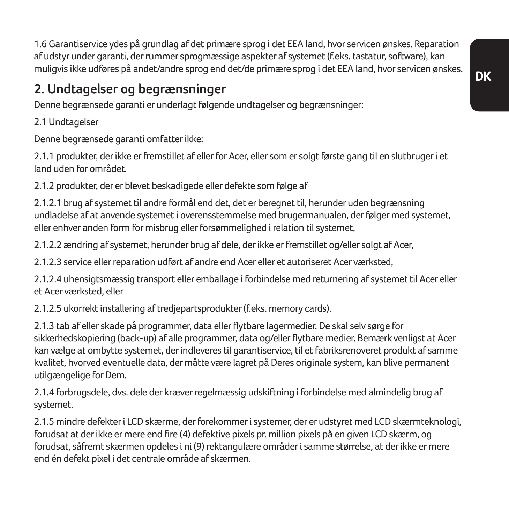1.6 Garantiservice ydes på grundlag af det primære sprog i det EEA land, hvor servicen ønskes. Reparation af udstyr under garanti, der rummer sprogmæssige aspekter af systemet (f.eks. tastatur, software), kan muligvis ikke udføres på andet/andre sprog end det/de primære sprog i det EEA land, hvor servicen ønskes.

### **2. Undtagelser og begrænsninger**

Denne begrænsede garanti er underlagt følgende undtagelser og begrænsninger:

2.1 Undtagelser

Denne begrænsede garanti omfatter ikke:

2.1.1 produkter, der ikke er fremstillet af eller for Acer, eller som er solgt første gang til en slutbruger i et land uden for området.

2.1.2 produkter, der er blevet beskadigede eller defekte som følge af

2.1.2.1 brug af systemet til andre formål end det, det er beregnet til, herunder uden begrænsning undladelse af at anvende systemet i overensstemmelse med brugermanualen, der følger med systemet, eller enhver anden form for misbrug eller forsømmelighed i relation til systemet,

2.1.2.2 ændring af systemet, herunder brug af dele, der ikke er fremstillet og/eller solgt af Acer,

2.1.2.3 service eller reparation udført af andre end Acer eller et autoriseret Acer værksted,

2.1.2.4 uhensigtsmæssig transport eller emballage i forbindelse med returnering af systemet til Acer eller et Acer værksted, eller

2.1.2.5 ukorrekt installering af tredjepartsprodukter (f.eks. memory cards).

2.1.3 tab af eller skade på programmer, data eller flytbare lagermedier. De skal selv sørge for sikkerhedskopiering (back-up) af alle programmer, data og/eller flytbare medier. Bemærk venligst at Acer kan vælge at ombytte systemet, der indleveres til garantiservice, til et fabriksrenoveret produkt af samme kvalitet, hvorved eventuelle data, der måtte være lagret på Deres originale system, kan blive permanent utilgængelige for Dem.

2.1.4 forbrugsdele, dvs. dele der kræver regelmæssig udskiftning i forbindelse med almindelig brug af systemet.

2.1.5 mindre defekter i LCD skærme, der forekommer i systemer, der er udstyret med LCD skærmteknologi, forudsat at der ikke er mere end fire (4) defektive pixels pr. million pixels på en given LCD skærm, og forudsat, såfremt skærmen opdeles i ni (9) rektangulære områder i samme størrelse, at der ikke er mere end én defekt pixel i det centrale område af skærmen.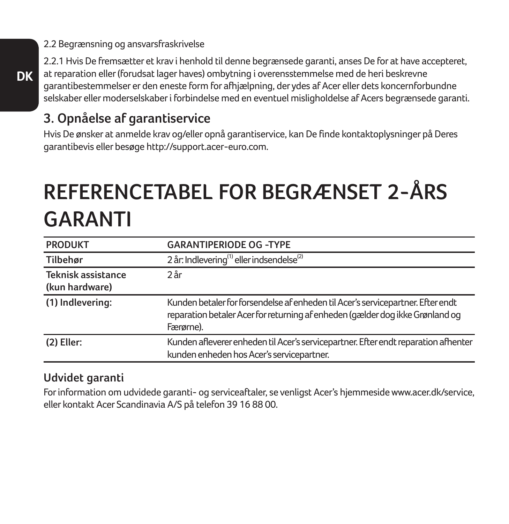2.2 Begrænsning og ansvarsfraskrivelse

2.2.1 Hvis De fremsætter et krav i henhold til denne begrænsede garanti, anses De for at have accepteret, at reparation eller (forudsat lager haves) ombytning i overensstemmelse med de heri beskrevne garantibestemmelser er den eneste form for afhjælpning, der ydes af Acer eller dets koncernforbundne selskaber eller moderselskaber i forbindelse med en eventuel misligholdelse af Acers begrænsede garanti.

### **3. Opnåelse af garantiservice**

Hvis De ønsker at anmelde krav og/eller opnå garantiservice, kan De finde kontaktoplysninger på Deres garantibevis eller besøge http://support.acer-euro.com.

# **REFERENCETABEL FOR BEGRÆNSET 2-ÅRS GARANTI**

| <b>PRODUKT</b>                       | <b>GARANTIPERIODE OG -TYPE</b>                                                                                                                                                |
|--------------------------------------|-------------------------------------------------------------------------------------------------------------------------------------------------------------------------------|
| Tilbehør                             | 2 år: Indlevering <sup>(1)</sup> eller indsendelse <sup>(2)</sup>                                                                                                             |
| Teknisk assistance<br>(kun hardware) | 2ar                                                                                                                                                                           |
| (1) Indlevering:                     | Kunden betaler for forsendelse af enheden til Acer's servicepartner. Efter endt<br>reparation betaler Acer for returning af enheden (gælder dog ikke Grønland og<br>Færørne). |
| $(2)$ Eller:                         | Kunden afleverer enheden til Acer's servicepartner. Efter endt reparation afhenter<br>kunden enheden hos Acer's servicepartner.                                               |

#### **Udvidet garanti**

For information om udvidede garanti- og serviceaftaler, se venligst Acer's hjemmeside www.acer.dk/service, eller kontakt Acer Scandinavia A/S på telefon 39 16 88 00.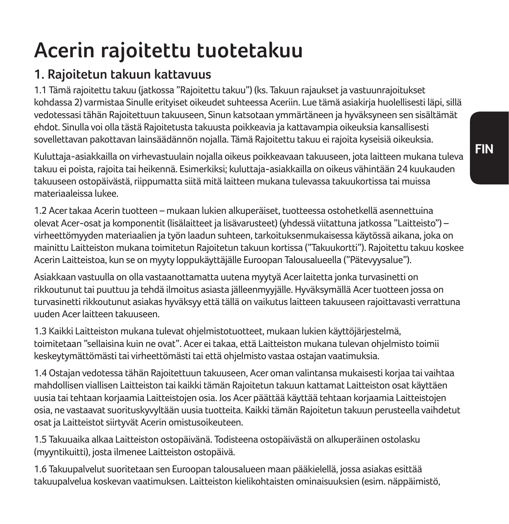# **Acerin rajoitettu tuotetakuu**

### **1. Rajoitetun takuun kattavuus**

1.1 Tämä rajoitettu takuu (jatkossa "Rajoitettu takuu") (ks. Takuun rajaukset ja vastuunrajoitukset kohdassa 2) varmistaa Sinulle erityiset oikeudet suhteessa Aceriin. Lue tämä asiakirja huolellisesti läpi, sillä vedotessasi tähän Rajoitettuun takuuseen, Sinun katsotaan ymmärtäneen ja hyväksyneen sen sisältämät ehdot. Sinulla voi olla tästä Rajoitetusta takuusta poikkeavia ja kattavampia oikeuksia kansallisesti sovellettavan pakottavan lainsäädännön nojalla. Tämä Rajoitettu takuu ei rajoita kyseisiä oikeuksia.

Kuluttaja-asiakkailla on virhevastuulain nojalla oikeus poikkeavaan takuuseen, jota laitteen mukana tuleva takuu ei poista, rajoita tai heikennä. Esimerkiksi; kuluttaja-asiakkailla on oikeus vähintään 24 kuukauden takuuseen ostopäivästä, riippumatta siitä mitä laitteen mukana tulevassa takuukortissa tai muissa materiaaleissa lukee.

1.2 Acer takaa Acerin tuotteen – mukaan lukien alkuperäiset, tuotteessa ostohetkellä asennettuina olevat Acer-osat ja komponentit (lisälaitteet ja lisävarusteet) (yhdessä viitattuna jatkossa "Laitteisto") – virheettömyyden materiaalien ja työn laadun suhteen, tarkoituksenmukaisessa käytössä aikana, joka on mainittu Laitteiston mukana toimitetun Rajoitetun takuun kortissa ("Takuukortti"). Rajoitettu takuu koskee Acerin Laitteistoa, kun se on myyty loppukäyttäjälle Euroopan Talousalueella ("Pätevyysalue").

Asiakkaan vastuulla on olla vastaanottamatta uutena myytyä Acer laitetta jonka turvasinetti on rikkoutunut tai puuttuu ja tehdä ilmoitus asiasta jälleenmyyjälle. Hyväksymällä Acer tuotteen jossa on turvasinetti rikkoutunut asiakas hyväksyy että tällä on vaikutus laitteen takuuseen rajoittavasti verrattuna uuden Acer laitteen takuuseen.

1.3 Kaikki Laitteiston mukana tulevat ohjelmistotuotteet, mukaan lukien käyttöjärjestelmä, toimitetaan "sellaisina kuin ne ovat". Acer ei takaa, että Laitteiston mukana tulevan ohjelmisto toimii keskeytymättömästi tai virheettömästi tai että ohjelmisto vastaa ostajan vaatimuksia.

1.4 Ostajan vedotessa tähän Rajoitettuun takuuseen, Acer oman valintansa mukaisesti korjaa tai vaihtaa mahdollisen viallisen Laitteiston tai kaikki tämän Rajoitetun takuun kattamat Laitteiston osat käyttäen uusia tai tehtaan korjaamia Laitteistojen osia. Jos Acer päättää käyttää tehtaan korjaamia Laitteistojen osia, ne vastaavat suorituskyvyltään uusia tuotteita. Kaikki tämän Rajoitetun takuun perusteella vaihdetut osat ja Laitteistot siirtyvät Acerin omistusoikeuteen.

1.5 Takuuaika alkaa Laitteiston ostopäivänä. Todisteena ostopäivästä on alkuperäinen ostolasku (myyntikuitti), josta ilmenee Laitteiston ostopäivä.

1.6 Takuupalvelut suoritetaan sen Euroopan talousalueen maan pääkielellä, jossa asiakas esittää takuupalvelua koskevan vaatimuksen. Laitteiston kielikohtaisten ominaisuuksien (esim. näppäimistö,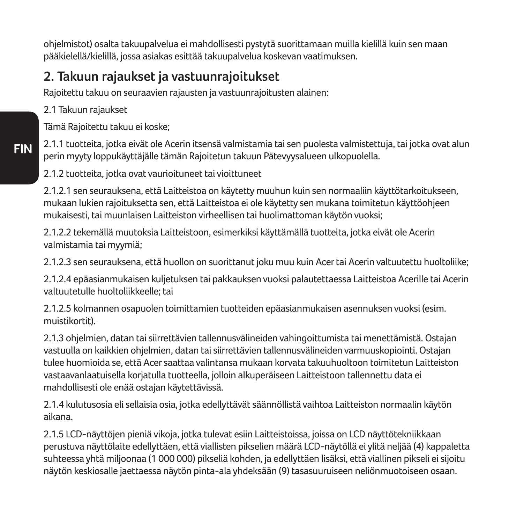ohjelmistot) osalta takuupalvelua ei mahdollisesti pystytä suorittamaan muilla kielillä kuin sen maan pääkielellä/kielillä, jossa asiakas esittää takuupalvelua koskevan vaatimuksen.

### **2. Takuun rajaukset ja vastuunrajoitukset**

Rajoitettu takuu on seuraavien rajausten ja vastuunrajoitusten alainen:

2.1 Takuun rajaukset

Tämä Rajoitettu takuu ei koske;

2.1.1 tuotteita, jotka eivät ole Acerin itsensä valmistamia tai sen puolesta valmistettuja, tai jotka ovat alun perin myyty loppukäyttäjälle tämän Rajoitetun takuun Pätevyysalueen ulkopuolella.

2.1.2 tuotteita, jotka ovat vaurioituneet tai vioittuneet

2.1.2.1 sen seurauksena, että Laitteistoa on käytetty muuhun kuin sen normaaliin käyttötarkoitukseen, mukaan lukien rajoituksetta sen, että Laitteistoa ei ole käytetty sen mukana toimitetun käyttöohjeen mukaisesti, tai muunlaisen Laitteiston virheellisen tai huolimattoman käytön vuoksi;

2.1.2.2 tekemällä muutoksia Laitteistoon, esimerkiksi käyttämällä tuotteita, jotka eivät ole Acerin valmistamia tai myymiä;

2.1.2.3 sen seurauksena, että huollon on suorittanut joku muu kuin Acer tai Acerin valtuutettu huoltoliike;

2.1.2.4 epäasianmukaisen kuljetuksen tai pakkauksen vuoksi palautettaessa Laitteistoa Acerille tai Acerin valtuutetulle huoltoliikkeelle; tai

2.1.2.5 kolmannen osapuolen toimittamien tuotteiden epäasianmukaisen asennuksen vuoksi (esim. muistikortit).

2.1.3 ohjelmien, datan tai siirrettävien tallennusvälineiden vahingoittumista tai menettämistä. Ostajan vastuulla on kaikkien ohjelmien, datan tai siirrettävien tallennusvälineiden varmuuskopiointi. Ostajan tulee huomioida se, että Acer saattaa valintansa mukaan korvata takuuhuoltoon toimitetun Laitteiston vastaavanlaatuisella korjatulla tuotteella, jolloin alkuperäiseen Laitteistoon tallennettu data ei mahdollisesti ole enää ostajan käytettävissä.

2.1.4 kulutusosia eli sellaisia osia, jotka edellyttävät säännöllistä vaihtoa Laitteiston normaalin käytön aikana.

2.1.5 LCD-näyttöjen pieniä vikoja, jotka tulevat esiin Laitteistoissa, joissa on LCD näyttötekniikkaan perustuva näyttölaite edellyttäen, että viallisten pikselien määrä LCD-näytöllä ei ylitä neljää (4) kappaletta suhteessa yhtä miljoonaa (1 000 000) pikseliä kohden, ja edellyttäen lisäksi, että viallinen pikseli ei sijoitu näytön keskiosalle jaettaessa näytön pinta-ala yhdeksään (9) tasasuuruiseen neliönmuotoiseen osaan.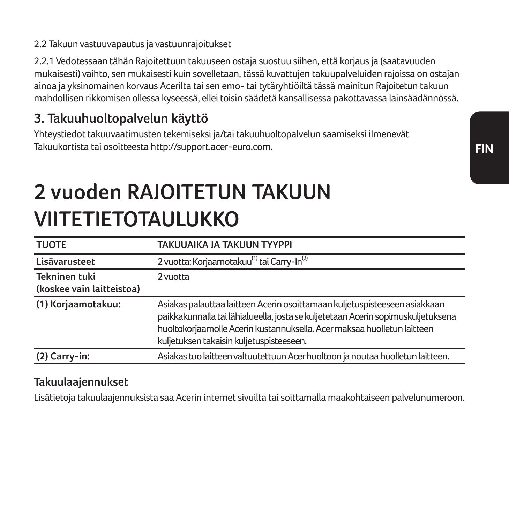#### 2.2 Takuun vastuuvapautus ja vastuunrajoitukset

2.2.1 Vedotessaan tähän Rajoitettuun takuuseen ostaja suostuu siihen, että korjaus ja (saatavuuden mukaisesti) vaihto, sen mukaisesti kuin sovelletaan, tässä kuvattujen takuupalveluiden rajoissa on ostajan ainoa ja yksinomainen korvaus Acerilta tai sen emo- tai tytäryhtiöiltä tässä mainitun Rajoitetun takuun mahdollisen rikkomisen ollessa kyseessä, ellei toisin säädetä kansallisessa pakottavassa lainsäädännössä.

#### **3. Takuuhuoltopalvelun käyttö**

Yhteystiedot takuuvaatimusten tekemiseksi ja/tai takuuhuoltopalvelun saamiseksi ilmenevät Takuukortista tai osoitteesta http://support.acer-euro.com.

# **2 vuoden RAJOITETUN TAKUUN VIITETIETOTAULUKKO**

| <b>TUOTE</b>              | TAKUUAIKA JA TAKUUN TYYPPI                                                                                                                                                                                                                                                            |
|---------------------------|---------------------------------------------------------------------------------------------------------------------------------------------------------------------------------------------------------------------------------------------------------------------------------------|
| Lisävarusteet             | 2 vuotta: Korjaamotakuu <sup>(1)</sup> tai Carry-In <sup>(2)</sup>                                                                                                                                                                                                                    |
| Tekninen tuki             | 2 vuotta                                                                                                                                                                                                                                                                              |
| (koskee vain laitteistoa) |                                                                                                                                                                                                                                                                                       |
| (1) Korjaamotakuu:        | Asiakas palauttaa laitteen Acerin osoittamaan kuljetuspisteeseen asiakkaan<br>paikkakunnalla tai lähialueella, josta se kuljetetaan Acerin sopimuskuljetuksena<br>huoltokorjaamolle Acerin kustannuksella. Acer maksaa huolletun laitteen<br>kuljetuksen takaisin kuljetuspisteeseen. |
| (2) Carry-in:             | Asiakas tuo laitteen valtuutettuun Acer huoltoon ja noutaa huolletun laitteen.                                                                                                                                                                                                        |

#### **Takuulaajennukset**

Lisätietoja takuulaajennuksista saa Acerin internet sivuilta tai soittamalla maakohtaiseen palvelunumeroon.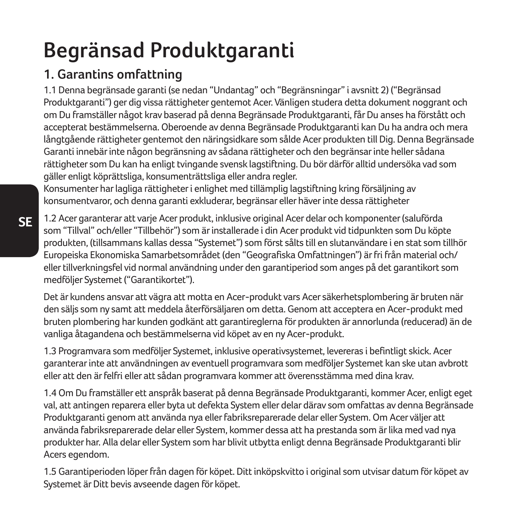# **Begränsad Produktgaranti**

## **1. Garantins omfattning**

1.1 Denna begränsade garanti (se nedan "Undantag" och "Begränsningar" i avsnitt 2) ("Begränsad Produktgaranti") ger dig vissa rättigheter gentemot Acer. Vänligen studera detta dokument noggrant och om Du framställer något krav baserad på denna Begränsade Produktgaranti, får Du anses ha förstått och accepterat bestämmelserna. Oberoende av denna Begränsade Produktgaranti kan Du ha andra och mera långtgående rättigheter gentemot den näringsidkare som sålde Acer produkten till Dig. Denna Begränsade Garanti innebär inte någon begränsning av sådana rättigheter och den begränsar inte heller sådana rättigheter som Du kan ha enligt tvingande svensk lagstiftning. Du bör därför alltid undersöka vad som gäller enligt köprättsliga, konsumenträttsliga eller andra regler.

Konsumenter har lagliga rättigheter i enlighet med tillämplig lagstiftning kring försäljning av konsumentvaror, och denna garanti exkluderar, begränsar eller häver inte dessa rättigheter

1.2 Acer garanterar att varje Acer produkt, inklusive original Acer delar och komponenter (saluförda som "Tillval" och/eller "Tillbehör") som är installerade i din Acer produkt vid tidpunkten som Du köpte produkten, (tillsammans kallas dessa "Systemet") som först sålts till en slutanvändare i en stat som tillhör Europeiska Ekonomiska Samarbetsområdet (den "Geografiska Omfattningen") är fri från material och/ eller tillverkningsfel vid normal användning under den garantiperiod som anges på det garantikort som medföljer Systemet ("Garantikortet").

Det är kundens ansvar att vägra att motta en Acer-produkt vars Acer säkerhetsplombering är bruten när den säljs som ny samt att meddela återförsäljaren om detta. Genom att acceptera en Acer-produkt med bruten plombering har kunden godkänt att garantireglerna för produkten är annorlunda (reducerad) än de vanliga åtagandena och bestämmelserna vid köpet av en ny Acer-produkt.

1.3 Programvara som medföljer Systemet, inklusive operativsystemet, levereras i befintligt skick. Acer garanterar inte att användningen av eventuell programvara som medföljer Systemet kan ske utan avbrott eller att den är felfri eller att sådan programvara kommer att överensstämma med dina krav.

1.4 Om Du framställer ett anspråk baserat på denna Begränsade Produktgaranti, kommer Acer, enligt eget val, att antingen reparera eller byta ut defekta System eller delar därav som omfattas av denna Begränsade Produktgaranti genom att använda nya eller fabriksreparerade delar eller System. Om Acer väljer att använda fabriksreparerade delar eller System, kommer dessa att ha prestanda som är lika med vad nya produkter har. Alla delar eller System som har blivit utbytta enligt denna Begränsade Produktgaranti blir Acers egendom.

1.5 Garantiperioden löper från dagen för köpet. Ditt inköpskvitto i original som utvisar datum för köpet av Systemet är Ditt bevis avseende dagen för köpet.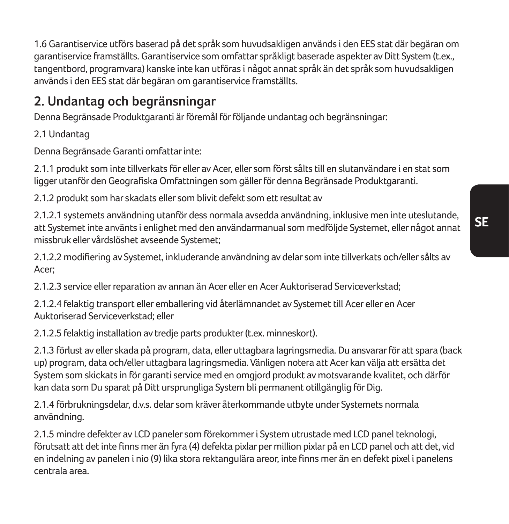1.6 Garantiservice utförs baserad på det språk som huvudsakligen används i den EES stat där begäran om garantiservice framställts. Garantiservice som omfattar språkligt baserade aspekter av Ditt System (t.ex., tangentbord, programvara) kanske inte kan utföras i något annat språk än det språk som huvudsakligen används i den EES stat där begäran om garantiservice framställts.

### **2. Undantag och begränsningar**

Denna Begränsade Produktgaranti är föremål för följande undantag och begränsningar:

2.1 Undantag

Denna Begränsade Garanti omfattar inte:

2.1.1 produkt som inte tillverkats för eller av Acer, eller som först sålts till en slutanvändare i en stat som ligger utanför den Geografiska Omfattningen som gäller för denna Begränsade Produktgaranti.

2.1.2 produkt som har skadats eller som blivit defekt som ett resultat av

2.1.2.1 systemets användning utanför dess normala avsedda användning, inklusive men inte uteslutande, att Systemet inte använts i enlighet med den användarmanual som medföljde Systemet, eller något annat missbruk eller vårdslöshet avseende Systemet;

2.1.2.2 modifiering av Systemet, inkluderande användning av delar som inte tillverkats och/eller sålts av Acer;

2.1.2.3 service eller reparation av annan än Acer eller en Acer Auktoriserad Serviceverkstad;

2.1.2.4 felaktig transport eller emballering vid återlämnandet av Systemet till Acer eller en Acer Auktoriserad Serviceverkstad; eller

2.1.2.5 felaktig installation av tredje parts produkter (t.ex. minneskort).

2.1.3 förlust av eller skada på program, data, eller uttagbara lagringsmedia. Du ansvarar för att spara (back up) program, data och/eller uttagbara lagringsmedia. Vänligen notera att Acer kan välja att ersätta det System som skickats in för garanti service med en omgjord produkt av motsvarande kvalitet, och därför kan data som Du sparat på Ditt ursprungliga System bli permanent otillgänglig för Dig.

2.1.4 förbrukningsdelar, d.v.s. delar som kräver återkommande utbyte under Systemets normala användning.

2.1.5 mindre defekter av LCD paneler som förekommer i System utrustade med LCD panel teknologi, förutsatt att det inte finns mer än fyra (4) defekta pixlar per million pixlar på en LCD panel och att det, vid en indelning av panelen i nio (9) lika stora rektangulära areor, inte finns mer än en defekt pixel i panelens centrala area.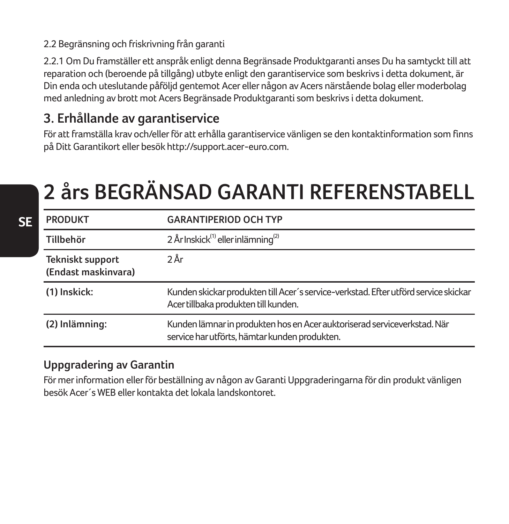#### 2.2 Begränsning och friskrivning från garanti

2.2.1 Om Du framställer ett anspråk enligt denna Begränsade Produktgaranti anses Du ha samtyckt till att reparation och (beroende på tillgång) utbyte enligt den garantiservice som beskrivs i detta dokument, är Din enda och uteslutande påföljd gentemot Acer eller någon av Acers närstående bolag eller moderbolag med anledning av brott mot Acers Begränsade Produktgaranti som beskrivs i detta dokument.

#### **3. Erhållande av garantiservice**

För att framställa krav och/eller för att erhålla garantiservice vänligen se den kontaktinformation som finns på Ditt Garantikort eller besök http://support.acer-euro.com.

# **2 års BEGRÄNSAD GARANTI REFERENSTABELL**

| <b>PRODUKT</b>                          | <b>GARANTIPERIOD OCH TYP</b>                                                                                                |
|-----------------------------------------|-----------------------------------------------------------------------------------------------------------------------------|
| Tillbehör                               | 2 År Inskick <sup>(1)</sup> eller inlämning <sup>(2)</sup>                                                                  |
| Tekniskt support<br>(Endast maskinvara) | 2 År                                                                                                                        |
| (1) Inskick:                            | Kunden skickar produkten till Acer's service-verkstad. Efter utförd service skickar<br>Acer tillbaka produkten till kunden. |
| (2) Inlämning:                          | Kunden lämnar in produkten hos en Acer auktoriserad serviceverkstad. När<br>service har utförts, hämtar kunden produkten.   |

#### **Uppgradering av Garantin**

För mer information eller för beställning av någon av Garanti Uppgraderingarna för din produkt vänligen besök Acer´s WEB eller kontakta det lokala landskontoret.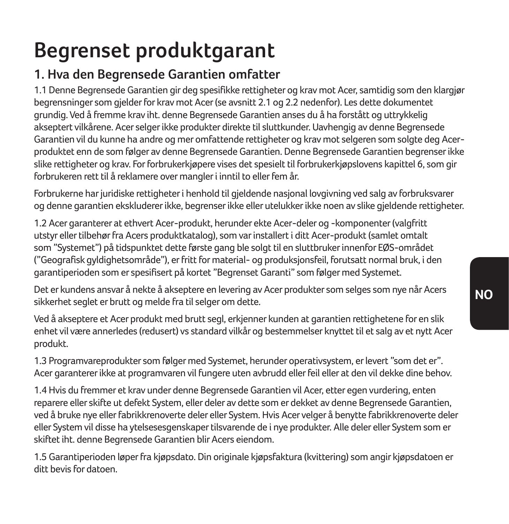# **Begrenset produktgarant**

## **1. Hva den Begrensede Garantien omfatter**

1.1 Denne Begrensede Garantien gir deg spesifikke rettigheter og krav mot Acer, samtidig som den klargjør begrensninger som gjelder for krav mot Acer (se avsnitt 2.1 og 2.2 nedenfor). Les dette dokumentet grundig. Ved å fremme krav iht. denne Begrensede Garantien anses du å ha forstått og uttrykkelig akseptert vilkårene. Acer selger ikke produkter direkte til sluttkunder. Uavhengig av denne Begrensede Garantien vil du kunne ha andre og mer omfattende rettigheter og krav mot selgeren som solgte deg Acerproduktet enn de som følger av denne Begrensede Garantien. Denne Begrensede Garantien begrenser ikke slike rettigheter og krav. For forbrukerkjøpere vises det spesielt til forbrukerkjøpslovens kapittel 6, som gir forbrukeren rett til å reklamere over mangler i inntil to eller fem år.

Forbrukerne har juridiske rettigheter i henhold til gjeldende nasjonal lovgivning ved salg av forbruksvarer og denne garantien ekskluderer ikke, begrenser ikke eller utelukker ikke noen av slike gjeldende rettigheter.

1.2 Acer garanterer at ethvert Acer-produkt, herunder ekte Acer-deler og -komponenter (valgfritt utstyr eller tilbehør fra Acers produktkatalog), som var installert i ditt Acer-produkt (samlet omtalt som "Systemet") på tidspunktet dette første gang ble solgt til en sluttbruker innenfor EØS-området ("Geografisk gyldighetsområde"), er fritt for material- og produksjonsfeil, forutsatt normal bruk, i den garantiperioden som er spesifisert på kortet "Begrenset Garanti" som følger med Systemet.

Det er kundens ansvar å nekte å akseptere en levering av Acer produkter som selges som nye når Acers sikkerhet seglet er brutt og melde fra til selger om dette.

Ved å akseptere et Acer produkt med brutt segl, erkjenner kunden at garantien rettighetene for en slik enhet vil være annerledes (redusert) vs standard vilkår og bestemmelser knyttet til et salg av et nytt Acer produkt.

1.3 Programvareprodukter som følger med Systemet, herunder operativsystem, er levert "som det er". Acer garanterer ikke at programvaren vil fungere uten avbrudd eller feil eller at den vil dekke dine behov.

1.4 Hvis du fremmer et krav under denne Begrensede Garantien vil Acer, etter egen vurdering, enten reparere eller skifte ut defekt System, eller deler av dette som er dekket av denne Begrensede Garantien, ved å bruke nye eller fabrikkrenoverte deler eller System. Hvis Acer velger å benytte fabrikkrenoverte deler eller System vil disse ha ytelsesesgenskaper tilsvarende de i nye produkter. Alle deler eller System som er skiftet iht. denne Begrensede Garantien blir Acers eiendom.

1.5 Garantiperioden løper fra kjøpsdato. Din originale kjøpsfaktura (kvittering) som angir kjøpsdatoen er ditt bevis for datoen.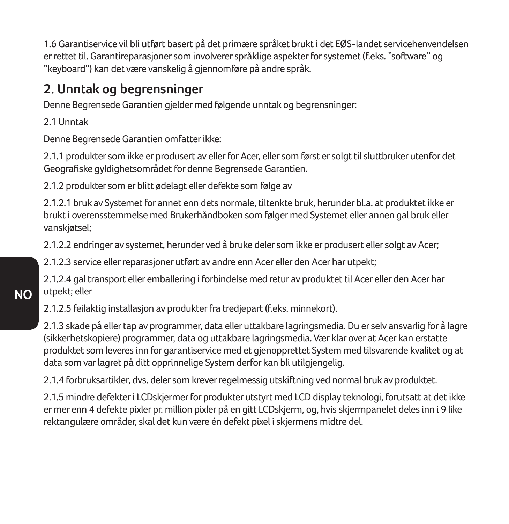1.6 Garantiservice vil bli utført basert på det primære språket brukt i det EØS-landet servicehenvendelsen er rettet til. Garantireparasjoner som involverer språklige aspekter for systemet (f.eks. "software" og "keyboard") kan det være vanskelig å gjennomføre på andre språk.

### **2. Unntak og begrensninger**

Denne Begrensede Garantien gjelder med følgende unntak og begrensninger:

2.1 Unntak

Denne Begrensede Garantien omfatter ikke:

2.1.1 produkter som ikke er produsert av eller for Acer, eller som først er solgt til sluttbruker utenfor det Geografiske gyldighetsområdet for denne Begrensede Garantien.

2.1.2 produkter som er blitt ødelagt eller defekte som følge av

2.1.2.1 bruk av Systemet for annet enn dets normale, tiltenkte bruk, herunder bl.a. at produktet ikke er brukt i overensstemmelse med Brukerhåndboken som følger med Systemet eller annen gal bruk eller vanskjøtsel;

2.1.2.2 endringer av systemet, herunder ved å bruke deler som ikke er produsert eller solgt av Acer;

2.1.2.3 service eller reparasjoner utført av andre enn Acer eller den Acer har utpekt;

2.1.2.4 gal transport eller emballering i forbindelse med retur av produktet til Acer eller den Acer har utpekt; eller

2.1.2.5 feilaktig installasjon av produkter fra tredjepart (f.eks. minnekort).

2.1.3 skade på eller tap av programmer, data eller uttakbare lagringsmedia. Du er selv ansvarlig for å lagre (sikkerhetskopiere) programmer, data og uttakbare lagringsmedia. Vær klar over at Acer kan erstatte produktet som leveres inn for garantiservice med et gjenopprettet System med tilsvarende kvalitet og at data som var lagret på ditt opprinnelige System derfor kan bli utilgjengelig.

2.1.4 forbruksartikler, dvs. deler som krever regelmessig utskiftning ved normal bruk av produktet.

2.1.5 mindre defekter i LCDskjermer for produkter utstyrt med LCD display teknologi, forutsatt at det ikke er mer enn 4 defekte pixler pr. million pixler på en gitt LCDskjerm, og, hvis skjermpanelet deles inn i 9 like rektangulære områder, skal det kun være én defekt pixel i skjermens midtre del.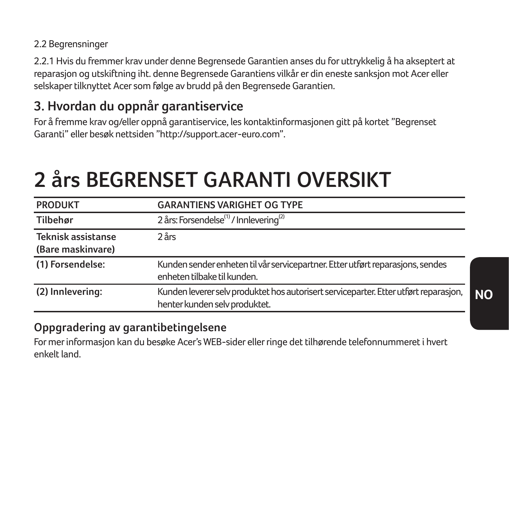#### 2.2 Begrensninger

2.2.1 Hvis du fremmer krav under denne Begrensede Garantien anses du for uttrykkelig å ha akseptert at reparasjon og utskiftning iht. denne Begrensede Garantiens vilkår er din eneste sanksjon mot Acer eller selskaper tilknyttet Acer som følge av brudd på den Begrensede Garantien.

### **3. Hvordan du oppnår garantiservice**

For å fremme krav og/eller oppnå garantiservice, les kontaktinformasjonen gitt på kortet "Begrenset Garanti" eller besøk nettsiden "http://support.acer-euro.com".

# **2 års BEGRENSET GARANTI OVERSIKT**

| <b>PRODUKT</b>                          | <b>GARANTIENS VARIGHET OG TYPE</b>                                                                                    |
|-----------------------------------------|-----------------------------------------------------------------------------------------------------------------------|
| Tilbehør                                | 2 års: Forsendelse <sup>(1)</sup> / Innlevering <sup>(2)</sup>                                                        |
| Teknisk assistanse<br>(Bare maskinvare) | 2 <sub>ars</sub>                                                                                                      |
| (1) Forsendelse:                        | Kunden sender enheten til vår servicepartner. Etter utført reparasjons, sendes<br>enheten tilbake til kunden.         |
| (2) Innlevering:                        | Kunden leverer selv produktet hos autorisert serviceparter. Etter utført reparasjon,<br>henter kunden selv produktet. |

#### **Oppgradering av garantibetingelsene**

For mer informasjon kan du besøke Acer's WEB-sider eller ringe det tilhørende telefonnummeret i hvert enkelt land.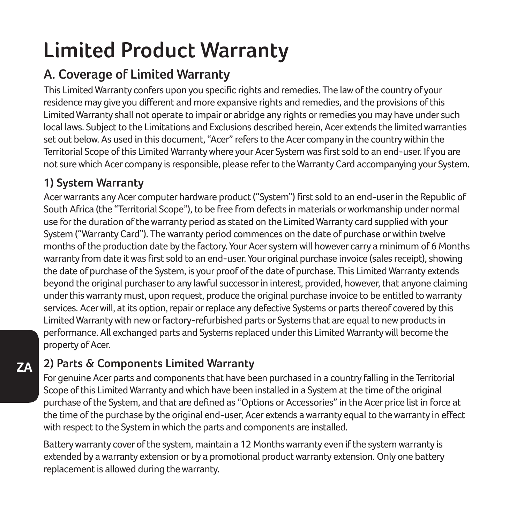# **Limited Product Warranty**

## **A. Coverage of Limited Warranty**

This Limited Warranty confers upon you specific rights and remedies. The law of the country of your residence may give you different and more expansive rights and remedies, and the provisions of this Limited Warranty shall not operate to impair or abridge any rights or remedies you may have under such local laws. Subject to the Limitations and Exclusions described herein, Acer extends the limited warranties set out below. As used in this document, "Acer" refers to the Acer company in the country within the Territorial Scope of this Limited Warranty where your Acer System was first sold to an end-user. If you are not sure which Acer company is responsible, please refer to the Warranty Card accompanying your System.

#### **1) System Warranty**

Acer warrants any Acer computer hardware product ("System") first sold to an end-user in the Republic of South Africa (the "Territorial Scope"), to be free from defects in materials or workmanship under normal use for the duration of the warranty period as stated on the Limited Warranty card supplied with your System ("Warranty Card"). The warranty period commences on the date of purchase or within twelve months of the production date by the factory. Your Acer system will however carry a minimum of 6 Months warranty from date it was first sold to an end-user. Your original purchase invoice (sales receipt), showing the date of purchase of the System, is your proof of the date of purchase. This Limited Warranty extends beyond the original purchaser to any lawful successor in interest, provided, however, that anyone claiming under this warranty must, upon request, produce the original purchase invoice to be entitled to warranty services. Acer will, at its option, repair or replace any defective Systems or parts thereof covered by this Limited Warranty with new or factory-refurbished parts or Systems that are equal to new products in performance. All exchanged parts and Systems replaced under this Limited Warranty will become the property of Acer.

### **2) Parts & Components Limited Warranty**

For genuine Acer parts and components that have been purchased in a country falling in the Territorial Scope of this Limited Warranty and which have been installed in a System at the time of the original purchase of the System, and that are defined as "Options or Accessories" in the Acer price list in force at the time of the purchase by the original end-user, Acer extends a warranty equal to the warranty in effect with respect to the System in which the parts and components are installed.

Battery warranty cover of the system, maintain a 12 Months warranty even if the system warranty is extended by a warranty extension or by a promotional product warranty extension. Only one battery replacement is allowed during the warranty.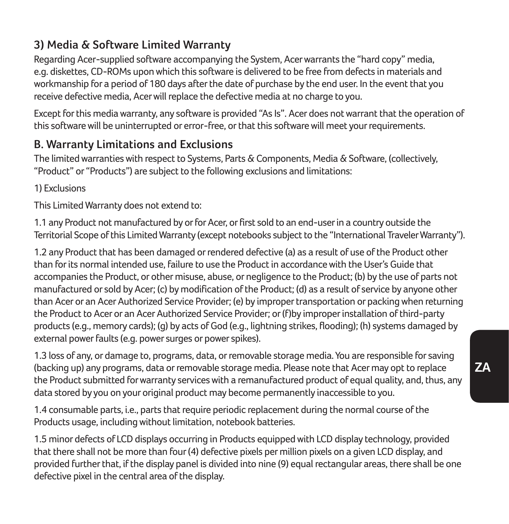#### **3) Media & Software Limited Warranty**

Regarding Acer-supplied software accompanying the System, Acer warrants the "hard copy" media, e.g. diskettes, CD-ROMs upon which this software is delivered to be free from defects in materials and workmanship for a period of 180 days after the date of purchase by the end user. In the event that you receive defective media, Acer will replace the defective media at no charge to you.

Except for this media warranty, any software is provided "As Is". Acer does not warrant that the operation of this software will be uninterrupted or error-free, or that this software will meet your requirements.

### **B. Warranty Limitations and Exclusions**

The limited warranties with respect to Systems, Parts & Components, Media & Software, (collectively, "Product" or "Products") are subject to the following exclusions and limitations:

1) Exclusions

This Limited Warranty does not extend to:

1.1 any Product not manufactured by or for Acer, or first sold to an end-user in a country outside the Territorial Scope of this Limited Warranty (except notebooks subject to the "International Traveler Warranty").

1.2 any Product that has been damaged or rendered defective (a) as a result of use of the Product other than for its normal intended use, failure to use the Product in accordance with the User's Guide that accompanies the Product, or other misuse, abuse, or negligence to the Product; (b) by the use of parts not manufactured or sold by Acer; (c) by modification of the Product; (d) as a result of service by anyone other than Acer or an Acer Authorized Service Provider; (e) by improper transportation or packing when returning the Product to Acer or an Acer Authorized Service Provider; or (f)by improper installation of third-party products (e.g., memory cards); (g) by acts of God (e.g., lightning strikes, flooding); (h) systems damaged by external power faults (e.g. power surges or power spikes).

1.3 loss of any, or damage to, programs, data, or removable storage media. You are responsible for saving (backing up) any programs, data or removable storage media. Please note that Acer may opt to replace the Product submitted for warranty services with a remanufactured product of equal quality, and, thus, any data stored by you on your original product may become permanently inaccessible to you.

1.4 consumable parts, i.e., parts that require periodic replacement during the normal course of the Products usage, including without limitation, notebook batteries.

1.5 minor defects of LCD displays occurring in Products equipped with LCD display technology, provided that there shall not be more than four (4) defective pixels per million pixels on a given LCD display, and provided further that, if the display panel is divided into nine (9) equal rectangular areas, there shall be one defective pixel in the central area of the display.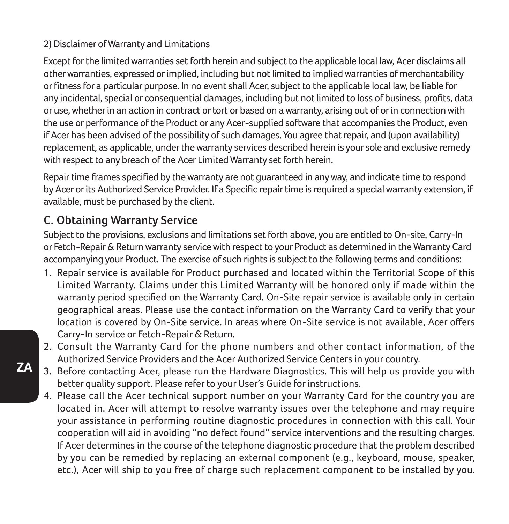#### 2) Disclaimer of Warranty and Limitations

Except for the limited warranties set forth herein and subject to the applicable local law, Acer disclaims all other warranties, expressed or implied, including but not limited to implied warranties of merchantability or fitness for a particular purpose. In no event shall Acer, subject to the applicable local law, be liable for any incidental, special or consequential damages, including but not limited to loss of business, profits, data or use, whether in an action in contract or tort or based on a warranty, arising out of or in connection with the use or performance of the Product or any Acer-supplied software that accompanies the Product, even if Acer has been advised of the possibility of such damages. You agree that repair, and (upon availability) replacement, as applicable, under the warranty services described herein is your sole and exclusive remedy with respect to any breach of the Acer Limited Warranty set forth herein.

Repair time frames specified by the warranty are not guaranteed in any way, and indicate time to respond by Acer or its Authorized Service Provider. If a Specific repair time is required a special warranty extension, if available, must be purchased by the client.

#### **C. Obtaining Warranty Service**

Subject to the provisions, exclusions and limitations set forth above, you are entitled to On-site, Carry-In or Fetch-Repair & Return warranty service with respect to your Product as determined in the Warranty Card accompanying your Product. The exercise of such rights is subject to the following terms and conditions:

- 1. Repair service is available for Product purchased and located within the Territorial Scope of this Limited Warranty. Claims under this Limited Warranty will be honored only if made within the warranty period specified on the Warranty Card. On-Site repair service is available only in certain geographical areas. Please use the contact information on the Warranty Card to verify that your location is covered by On-Site service. In areas where On-Site service is not available, Acer offers Carry-In service or Fetch-Repair & Return.
- 2. Consult the Warranty Card for the phone numbers and other contact information, of the Authorized Service Providers and the Acer Authorized Service Centers in your country.
- 3. Before contacting Acer, please run the Hardware Diagnostics. This will help us provide you with better quality support. Please refer to your User's Guide for instructions.
- 4. Please call the Acer technical support number on your Warranty Card for the country you are located in. Acer will attempt to resolve warranty issues over the telephone and may require your assistance in performing routine diagnostic procedures in connection with this call. Your cooperation will aid in avoiding "no defect found" service interventions and the resulting charges. If Acer determines in the course of the telephone diagnostic procedure that the problem described by you can be remedied by replacing an external component (e.g., keyboard, mouse, speaker, etc.), Acer will ship to you free of charge such replacement component to be installed by you.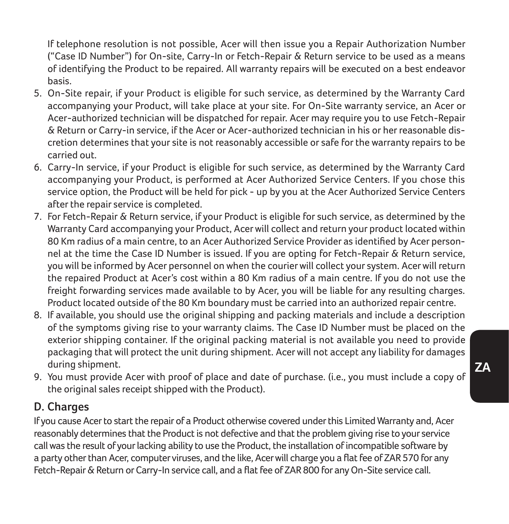If telephone resolution is not possible, Acer will then issue you a Repair Authorization Number ("Case ID Number") for On-site, Carry-In or Fetch-Repair & Return service to be used as a means of identifying the Product to be repaired. All warranty repairs will be executed on a best endeavor basis.

- 5. On-Site repair, if your Product is eligible for such service, as determined by the Warranty Card accompanying your Product, will take place at your site. For On-Site warranty service, an Acer or Acer-authorized technician will be dispatched for repair. Acer may require you to use Fetch-Repair & Return or Carry-in service, if the Acer or Acer-authorized technician in his or her reasonable discretion determines that your site is not reasonably accessible or safe for the warranty repairs to be carried out.
- 6. Carry-In service, if your Product is eligible for such service, as determined by the Warranty Card accompanying your Product, is performed at Acer Authorized Service Centers. If you chose this service option, the Product will be held for pick - up by you at the Acer Authorized Service Centers after the repair service is completed.
- 7. For Fetch-Repair & Return service, if your Product is eligible for such service, as determined by the Warranty Card accompanying your Product, Acer will collect and return your product located within 80 Km radius of a main centre, to an Acer Authorized Service Provider as identified by Acer personnel at the time the Case ID Number is issued. If you are opting for Fetch-Repair & Return service, you will be informed by Acer personnel on when the courier will collect your system. Acer will return the repaired Product at Acer's cost within a 80 Km radius of a main centre. If you do not use the freight forwarding services made available to by Acer, you will be liable for any resulting charges. Product located outside of the 80 Km boundary must be carried into an authorized repair centre.
- 8. If available, you should use the original shipping and packing materials and include a description of the symptoms giving rise to your warranty claims. The Case ID Number must be placed on the exterior shipping container. If the original packing material is not available you need to provide packaging that will protect the unit during shipment. Acer will not accept any liability for damages during shipment.
- 9. You must provide Acer with proof of place and date of purchase. (i.e., you must include a copy of the original sales receipt shipped with the Product).

#### **D. Charges**

If you cause Acer to start the repair of a Product otherwise covered under this Limited Warranty and, Acer reasonably determines that the Product is not defective and that the problem giving rise to your service call was the result of your lacking ability to use the Product, the installation of incompatible software by a party other than Acer, computer viruses, and the like, Acer will charge you a flat fee of ZAR 570 for any Fetch-Repair & Return or Carry-In service call, and a flat fee of ZAR 800 for any On-Site service call.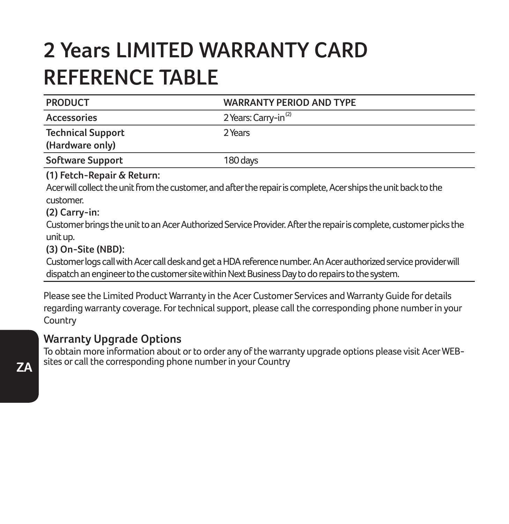# **2 Years LIMITED WARRANTY CARD REFERENCE TABLE**

| <b>PRODUCT</b>                                             | <b>WARRANTY PERIOD AND TYPE</b>                                                                                                                                                                                    |
|------------------------------------------------------------|--------------------------------------------------------------------------------------------------------------------------------------------------------------------------------------------------------------------|
| <b>Accessories</b>                                         | 2 Years: Carry-in <sup>(2)</sup>                                                                                                                                                                                   |
| <b>Technical Support</b>                                   | 2 Years                                                                                                                                                                                                            |
| (Hardware only)                                            |                                                                                                                                                                                                                    |
| Software Support                                           | 180 days                                                                                                                                                                                                           |
| (1) Fetch-Repair & Return:<br>customer.<br>$(2)$ Carry-in: | Acer will collect the unit from the customer, and after the repair is complete, Acer ships the unit back to the                                                                                                    |
| unit up.<br>(3) On-Site (NBD):                             | Customer brings the unit to an Acer Authorized Service Provider. After the repair is complete, customer picks the                                                                                                  |
|                                                            | Customer logs call with Acer call desk and get a HDA reference number. An Acer authorized service provider will<br>dispatch an engineer to the customer site within Next Business Day to do repairs to the system. |
|                                                            | Please see the Limited Product Warranty in the Acer Customer Services and Warranty Guide for details                                                                                                               |

Please see the Limited Product Warranty in the Acer Customer Services and Warranty Guide for details regarding warranty coverage. For technical support, please call the corresponding phone number in your Country

**Warranty Upgrade Options**

To obtain more information about or to order any of the warranty upgrade options please visit Acer WEBsites or call the corresponding phone number in your Country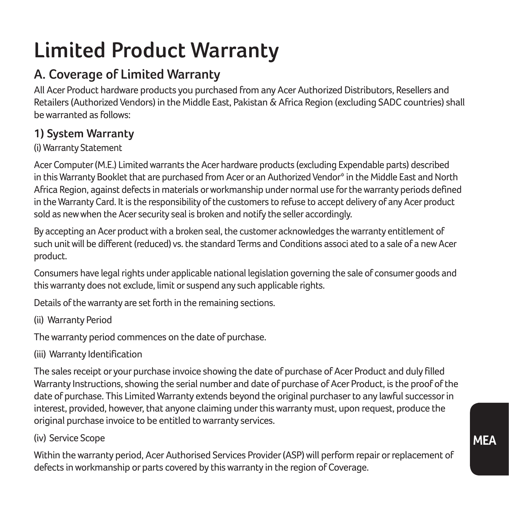# **Limited Product Warranty**

## **A. Coverage of Limited Warranty**

All Acer Product hardware products you purchased from any Acer Authorized Distributors, Resellers and Retailers (Authorized Vendors) in the Middle East, Pakistan & Africa Region (excluding SADC countries) shall be warranted as follows:

#### **1) System Warranty**

#### (i) Warranty Statement

Acer Computer (M.E.) Limited warrants the Acer hardware products (excluding Expendable parts) described in this Warranty Booklet that are purchased from Acer or an Authorized Vendor\* in the Middle East and North Africa Region, against defects in materials or workmanship under normal use for the warranty periods defined in the Warranty Card. It is the responsibility of the customers to refuse to accept delivery of any Acer product sold as new when the Acer security seal is broken and notify the seller accordingly.

By accepting an Acer product with a broken seal, the customer acknowledges the warranty entitlement of such unit will be different (reduced) vs. the standard Terms and Conditions associ ated to a sale of a new Acer product.

Consumers have legal rights under applicable national legislation governing the sale of consumer goods and this warranty does not exclude, limit or suspend any such applicable rights.

Details of the warranty are set forth in the remaining sections.

(ii) Warranty Period

The warranty period commences on the date of purchase.

(iii) Warranty Identification

The sales receipt or your purchase invoice showing the date of purchase of Acer Product and duly filled Warranty Instructions, showing the serial number and date of purchase of Acer Product, is the proof of the date of purchase. This Limited Warranty extends beyond the original purchaser to any lawful successor in interest, provided, however, that anyone claiming under this warranty must, upon request, produce the original purchase invoice to be entitled to warranty services.

#### (iv) Service Scope

Within the warranty period, Acer Authorised Services Provider (ASP) will perform repair or replacement of defects in workmanship or parts covered by this warranty in the region of Coverage.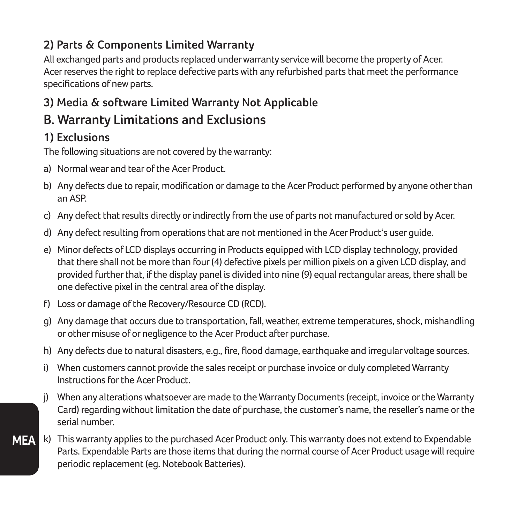#### **2) Parts & Components Limited Warranty**

All exchanged parts and products replaced under warranty service will become the property of Acer. Acer reserves the right to replace defective parts with any refurbished parts that meet the performance specifications of new parts.

### **3) Media & software Limited Warranty Not Applicable**

### **B. Warranty Limitations and Exclusions**

#### **1) Exclusions**

The following situations are not covered by the warranty:

- a) Normal wear and tear of the Acer Product.
- b) Any defects due to repair, modification or damage to the Acer Product performed by anyone other than an ASP.
- c) Any defect that results directly or indirectly from the use of parts not manufactured or sold by Acer.
- d) Any defect resulting from operations that are not mentioned in the Acer Product's user guide.
- e) Minor defects of LCD displays occurring in Products equipped with LCD display technology, provided that there shall not be more than four (4) defective pixels per million pixels on a given LCD display, and provided further that, if the display panel is divided into nine (9) equal rectangular areas, there shall be one defective pixel in the central area of the display.
- f) Loss or damage of the Recovery/Resource CD (RCD).
- g) Any damage that occurs due to transportation, fall, weather, extreme temperatures, shock, mishandling or other misuse of or negligence to the Acer Product after purchase.
- h) Any defects due to natural disasters, e.g., fire, flood damage, earthquake and irregular voltage sources.
- i) When customers cannot provide the sales receipt or purchase invoice or duly completed Warranty Instructions for the Acer Product.
- j) When any alterations whatsoever are made to the Warranty Documents (receipt, invoice or the Warranty Card) regarding without limitation the date of purchase, the customer's name, the reseller's name or the serial number.
- **MEA** k) This warranty applies to the purchased Acer Product only. This warranty does not extend to Expendable Parts. Expendable Parts are those items that during the normal course of Acer Product usage will require periodic replacement (eg. Notebook Batteries).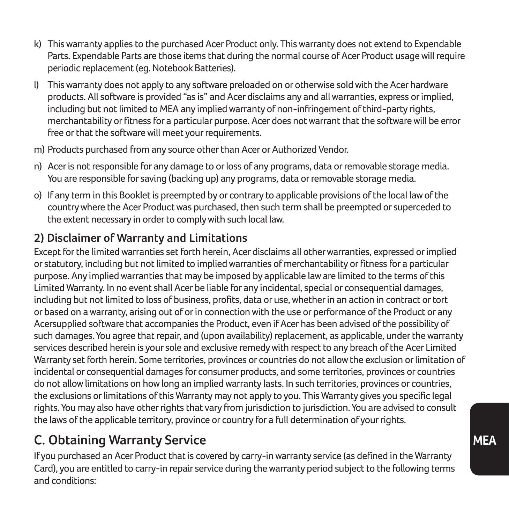- k) This warranty applies to the purchased Acer Product only. This warranty does not extend to Expendable Parts. Expendable Parts are those items that during the normal course of Acer Product usage will require periodic replacement (eg. Notebook Batteries).
- l) This warranty does not apply to any software preloaded on or otherwise sold with the Acer hardware products. All software is provided "as is" and Acer disclaims any and all warranties, express or implied, including but not limited to MEA any implied warranty of non-infringement of third-party rights, merchantability or fitness for a particular purpose. Acer does not warrant that the software will be error free or that the software will meet your requirements.
- m) Products purchased from any source other than Acer or Authorized Vendor.
- n) Acer is not responsible for any damage to or loss of any programs, data or removable storage media. You are responsible for saving (backing up) any programs, data or removable storage media.
- o) If any term in this Booklet is preempted by or contrary to applicable provisions of the local law of the country where the Acer Product was purchased, then such term shall be preempted or superceded to the extent necessary in order to comply with such local law.

### **2) Disclaimer of Warranty and Limitations**

Except for the limited warranties set forth herein, Acer disclaims all other warranties, expressed or implied or statutory, including but not limited to implied warranties of merchantability or fitness for a particular purpose. Any implied warranties that may be imposed by applicable law are limited to the terms of this Limited Warranty. In no event shall Acer be liable for any incidental, special or consequential damages, including but not limited to loss of business, profits, data or use, whether in an action in contract or tort or based on a warranty, arising out of or in connection with the use or performance of the Product or any Acersupplied software that accompanies the Product, even if Acer has been advised of the possibility of such damages. You agree that repair, and (upon availability) replacement, as applicable, under the warranty services described herein is your sole and exclusive remedy with respect to any breach of the Acer Limited Warranty set forth herein. Some territories, provinces or countries do not allow the exclusion or limitation of incidental or consequential damages for consumer products, and some territories, provinces or countries do not allow limitations on how long an implied warranty lasts. In such territories, provinces or countries, the exclusions or limitations of this Warranty may not apply to you. This Warranty gives you specific legal rights. You may also have other rights that vary from jurisdiction to jurisdiction. You are advised to consult the laws of the applicable territory, province or country for a full determination of your rights.

## **C. Obtaining Warranty Service**

If you purchased an Acer Product that is covered by carry-in warranty service (as defined in the Warranty Card), you are entitled to carry-in repair service during the warranty period subject to the following terms and conditions: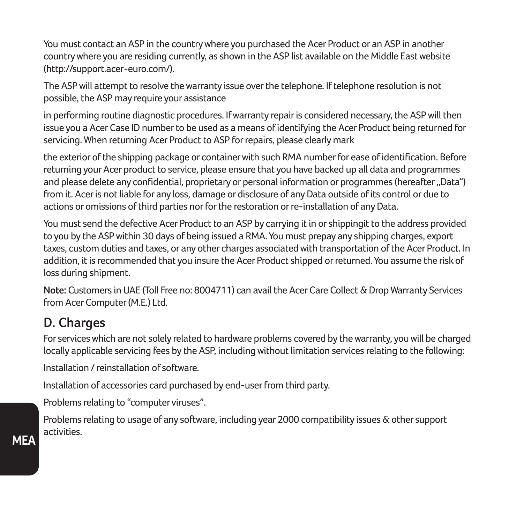You must contact an ASP in the country where you purchased the Acer Product or an ASP in another country where you are residing currently, as shown in the ASP list available on the Middle East website (http://support.acer-euro.com/).

The ASP will attempt to resolve the warranty issue over the telephone. If telephone resolution is not possible, the ASP may require your assistance

in performing routine diagnostic procedures. If warranty repair is considered necessary, the ASP will then issue you a Acer Case ID number to be used as a means of identifying the Acer Product being returned for servicing. When returning Acer Product to ASP for repairs, please clearly mark

the exterior of the shipping package or container with such RMA number for ease of identification. Before returning your Acer product to service, please ensure that you have backed up all data and programmes and please delete any confidential, proprietary or personal information or programmes (hereafter "Data") from it. Acer is not liable for any loss, damage or disclosure of any Data outside of its control or due to actions or omissions of third parties nor for the restoration or re-installation of any Data.

You must send the defective Acer Product to an ASP by carrying it in or shippingit to the address provided to you by the ASP within 30 days of being issued a RMA. You must prepay any shipping charges, export taxes, custom duties and taxes, or any other charges associated with transportation of the Acer Product. In addition, it is recommended that you insure the Acer Product shipped or returned. You assume the risk of loss during shipment.

**Note:** Customers in UAE (Toll Free no: 8004711) can avail the Acer Care Collect & Drop Warranty Services from Acer Computer (M.E.) Ltd.

## **D. Charges**

For services which are not solely related to hardware problems covered by the warranty, you will be charged locally applicable servicing fees by the ASP, including without limitation services relating to the following:

Installation / reinstallation of software.

Installation of accessories card purchased by end-user from third party.

Problems relating to "computer viruses".

Problems relating to usage of any software, including year 2000 compatibility issues & other support activities.

**MEA**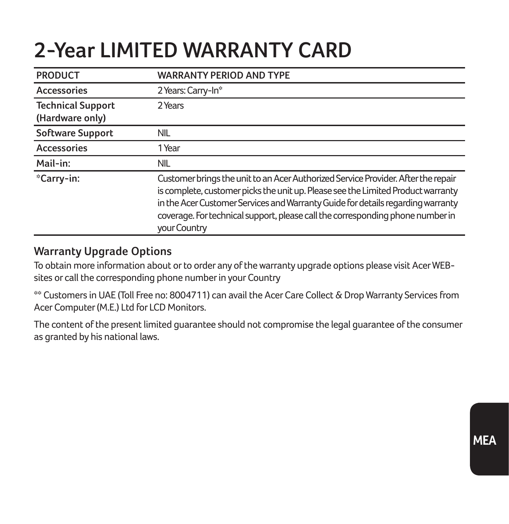## **2-Year LIMITED WARRANTY CARD**

| <b>PRODUCT</b>                              | <b>WARRANTY PERIOD AND TYPE</b>                                                                                                                                                                                                                                                                                                                            |
|---------------------------------------------|------------------------------------------------------------------------------------------------------------------------------------------------------------------------------------------------------------------------------------------------------------------------------------------------------------------------------------------------------------|
| Accessories                                 | 2 Years: Carry-In*                                                                                                                                                                                                                                                                                                                                         |
| <b>Technical Support</b><br>(Hardware only) | 2 Years                                                                                                                                                                                                                                                                                                                                                    |
| Software Support                            | <b>NIL</b>                                                                                                                                                                                                                                                                                                                                                 |
| Accessories                                 | 1 Year                                                                                                                                                                                                                                                                                                                                                     |
| Mail-in:                                    | <b>NIL</b>                                                                                                                                                                                                                                                                                                                                                 |
| *Carry-in:                                  | Customer brings the unit to an Acer Authorized Service Provider. After the repair<br>is complete, customer picks the unit up. Please see the Limited Product warranty<br>in the Acer Customer Services and Warranty Guide for details regarding warranty<br>coverage. For technical support, please call the corresponding phone number in<br>your Country |

#### **Warranty Upgrade Options**

To obtain more information about or to order any of the warranty upgrade options please visit Acer WEBsites or call the corresponding phone number in your Country

\*\* Customers in UAE (Toll Free no: 8004711) can avail the Acer Care Collect & Drop Warranty Services from Acer Computer (M.E.) Ltd for LCD Monitors.

The content of the present limited guarantee should not compromise the legal guarantee of the consumer as granted by his national laws.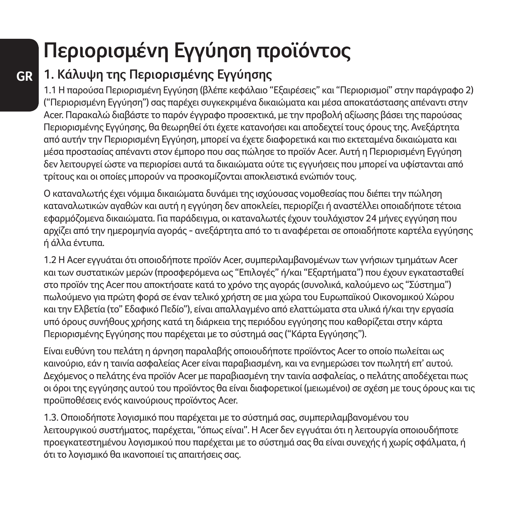# **Περιορισμένη Εγγύηση προϊόντος**

## **1. Κάλυψη της Περιορισμένης Εγγύησης**

1.1 Η παρούσα Περιορισμένη Εγγύηση (βλέπε κεφάλαιο "Εξαιρέσεις" και "Περιορισμοί" στην παράγραφο 2) ("Περιορισμένη Εγγύηση") σας παρέχει συγκεκριμένα δικαιώματα και μέσα αποκατάστασης απέναντι στην Acer. Παρακαλώ διαβάστε το παρόν έγγραφο προσεκτικά, με την προβολή αξίωσης βάσει της παρούσας Περιορισμένης Εγγύησης, θα θεωρηθεί ότι έχετε κατανοήσει και αποδεχτεί τους όρους της. Ανεξάρτητα από αυτήν την Περιορισμένη Εγγύηση, μπορεί να έχετε διαφορετικά και πιο εκτεταμένα δικαιώματα και μέσα προστασίας απέναντι στον έμπορο που σας πώλησε το προϊόν Acer. Αυτή η Περιορισμένη Εγγύηση δεν λειτουργεί ώστε να περιορίσει αυτά τα δικαιώματα ούτε τις εγγυήσεις που μπορεί να υφίστανται από τρίτους και οι οποίες μπορούν να προσκομίζονται αποκλειστικά ενώπιόν τους.

Ο καταναλωτής έχει νόμιμα δικαιώματα δυνάμει της ισχύουσας νομοθεσίας που διέπει την πώληση καταναλωτικών αγαθών και αυτή η εγγύηση δεν αποκλείει, περιορίζει ή αναστέλλει οποιαδήποτε τέτοια εφαρμόζομενα δικαιώματα. Για παράδειγμα, οι καταναλωτές έχουν τουλάχιστον 24 μήνες εγγύηση που αρχίζει από την ημερομηνία αγοράς - ανεξάρτητα από το τι αναφέρεται σε οποιαδήποτε καρτέλα εγγύησης ή άλλα έντυπα.

1.2 Η Acer εγγυάται ότι οποιοδήποτε προϊόν Acer, συμπεριλαμβανομένων των γνήσιων τμημάτων Acer και των συστατικών μερών (προσφερόμενα ως "Επιλογές" ή/και "Εξαρτήματα") που έχουν εγκατασταθεί στο προϊόν της Acer που αποκτήσατε κατά το χρόνο της αγοράς (συνολικά, καλούμενο ως "Σύστημα") πωλούμενο για πρώτη φορά σε έναν τελικό χρήστη σε μια χώρα του Ευρωπαϊκού Οικονομικού Χώρου και την Ελβετία (το" Εδαφικό Πεδίο"), είναι απαλλαγμένο από ελαττώματα στα υλικά ή/και την εργασία υπό όρους συνήθους χρήσης κατά τη διάρκεια της περιόδου εγγύησης που καθορίζεται στην κάρτα Περιορισμένης Εγγύησης που παρέχεται με το σύστημά σας ("Κάρτα Εγγύησης").

Είναι ευθύνη του πελάτη η άρνηση παραλαβής οποιουδήποτε προϊόντος Acer το οποίο πωλείται ως καινούριο, εάν η ταινία ασφαλείας Acer είναι παραβιασμένη, και να ενημερώσει τον πωλητή επ' αυτού. Δεχόμενος ο πελάτης ένα προϊόν Acer με παραβιασμένη την ταινία ασφαλείας, ο πελάτης αποδέχεται πως οι όροι της εγγύησης αυτού του προϊόντος θα είναι διαφορετικοί (μειωμένοι) σε σχέση με τους όρους και τις προϋποθέσεις ενός καινούριους προϊόντος Acer.

1.3. Οποιοδήποτε λογισμικό που παρέχεται με το σύστημά σας, συμπεριλαμβανομένου του λειτουργικού συστήματος, παρέχεται, "όπως είναι". Η Acer δεν εγγυάται ότι η λειτουργία οποιουδήποτε προεγκατεστημένου λογισμικού που παρέχεται με το σύστημά σας θα είναι συνεχής ή χωρίς σφάλματα, ή ότι το λογισμικό θα ικανοποιεί τις απαιτήσεις σας.

**GR**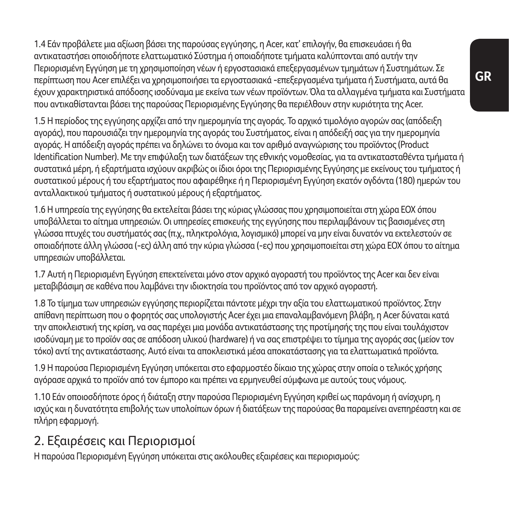1.4 Εάν προβάλετε μια αξίωση βάσει της παρούσας εγγύησης, η Acer, κατ' επιλογήν, θα επισκευάσει ή θα αντικαταστήσει οποιοδήποτε ελαττωματικό Σύστημα ή οποιαδήποτε τμήματα καλύπτονται από αυτήν την Περιορισμένη Εγγύηση με τη χρησιμοποίηση νέων ή εργοστασιακά επεξεργασμένων τμημάτων ή Συστημάτων. Σε περίπτωση που Acer επιλέξει να χρησιμοποιήσει τα εργοστασιακά -επεξεργασμένα τμήματα ή Συστήματα, αυτά θα έχουν χαρακτηριστικά απόδοσης ισοδύναμα με εκείνα των νέων προϊόντων. Όλα τα αλλαγμένα τμήματα και Συστήματα που αντικαθίστανται βάσει της παρούσας Περιορισμένης Εγγύησης θα περιέλθουν στην κυριότητα της Acer.

1.5 Η περίοδος της εγγύησης αρχίζει από την ημερομηνία της αγοράς. Το αρχικό τιμολόγιο αγορών σας (απόδειξη αγοράς), που παρουσιάζει την ημερομηνία της αγοράς του Συστήματος, είναι η απόδειξή σας για την ημερομηνία αγοράς. Η απόδειξη αγοράς πρέπει να δηλώνει το όνομα και τον αριθμό αναγνώρισης του προϊόντος (Product Identification Number). Με την επιφύλαξη των διατάξεων της εθνικής νομοθεσίας, για τα αντικατασταθέντα τμήματα ή συστατικά μέρη, ή εξαρτήματα ισχύουν ακριβώς οι ίδιοι όροι της Περιορισμένης Εγγύησης με εκείνους του τμήματος ή συστατικού μέρους ή του εξαρτήματος που αφαιρέθηκε ή η Περιορισμένη Εγγύηση εκατόν ογδόντα (180) ημερών του ανταλλακτικού τμήματος ή συστατικού μέρους ή εξαρτήματος.

1.6 Η υπηρεσία της εγγύησης θα εκτελείται βάσει της κύριας γλώσσας που χρησιμοποιείται στη χώρα ΕΟΧ όπου υποβάλλεται το αίτημα υπηρεσιών. Οι υπηρεσίες επισκευής της εγγύησης που περιλαμβάνουν τις βασισμένες στη γλώσσα πτυχές του συστήματός σας (π.χ., πληκτρολόγια, λογισμικό) μπορεί να μην είναι δυνατόν να εκτελεστούν σε οποιαδήποτε άλλη γλώσσα (-ες) άλλη από την κύρια γλώσσα (-ες) που χρησιμοποιείται στη χώρα ΕΟΧ όπου το αίτημα υπηρεσιών υποβάλλεται.

1.7 Αυτή η Περιορισμένη Εγγύηση επεκτείνεται μόνο στον αρχικό αγοραστή του προϊόντος της Acer και δεν είναι μεταβιβάσιμη σε καθένα που λαμβάνει την ιδιοκτησία του προϊόντος από τον αρχικό αγοραστή.

1.8 Το τίμημα των υπηρεσιών εγγύησης περιορίζεται πάντοτε μέχρι την αξία του ελαττωματικού προϊόντος. Στην απίθανη περίπτωση που ο φορητός σας υπολογιστής Acer έχει μια επαναλαμβανόμενη βλάβη, η Acer δύναται κατά την αποκλειστική της κρίση, να σας παρέχει μια μονάδα αντικατάστασης της προτίμησής της που είναι τουλάχιστον ισοδύναμη με το προϊόν σας σε απόδοση υλικού (hardware) ή να σας επιστρέψει το τίμημα της αγοράς σας (μείον τον τόκο) αντί της αντικατάστασης. Αυτό είναι τα αποκλειστικά μέσα αποκατάστασης για τα ελαττωματικά προϊόντα.

1.9 Η παρούσα Περιορισμένη Εγγύηση υπόκειται στο εφαρμοστέο δίκαιο της χώρας στην οποία ο τελικός χρήσης αγόρασε αρχικά το προϊόν από τον έμπορο και πρέπει να ερμηνευθεί σύμφωνα με αυτούς τους νόμους.

1.10 Εάν οποιοσδήποτε όρος ή διάταξη στην παρούσα Περιορισμένη Εγγύηση κριθεί ως παράνομη ή ανίσχυρη, η ισχύς και η δυνατότητα επιβολής των υπολοίπων όρων ή διατάξεων της παρούσας θα παραμείνει ανεπηρέαστη και σε πλήρη εφαρμογή.

### 2. Εξαιρέσεις και Περιορισμοί

Η παρούσα Περιορισμένη Εγγύηση υπόκειται στις ακόλουθες εξαιρέσεις και περιορισμούς: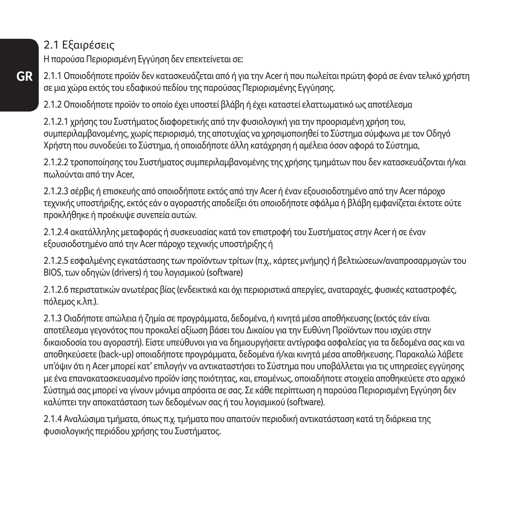2.1 Εξαιρέσεις

Η παρούσα Περιορισμένη Εγγύηση δεν επεκτείνεται σε:

**GR** 2.1.1 Οποιοδήποτε προϊόν δεν κατασκευάζεται από ή για την Acer ή που πωλείται πρώτη φορά σε έναν τελικό χρήστη σε μια χώρα εκτός του εδαφικού πεδίου της παρούσας Περιορισμένης Εγγύησης.

2.1.2 Οποιοδήποτε προϊόν το οποίο έχει υποστεί βλάβη ή έχει καταστεί ελαττωματικό ως αποτέλεσμα

2.1.2.1 χρήσης του Συστήματος διαφορετικής από την φυσιολογική για την προορισμένη χρήση του, συμπεριλαμβανομένης, χωρίς περιορισμό, της αποτυχίας να χρησιμοποιηθεί το Σύστημα σύμφωνα με τον Οδηγό Χρήστη που συνοδεύει το Σύστημα, ή οποιαδήποτε άλλη κατάχρηση ή αμέλεια όσον αφορά το Σύστημα,

2.1.2.2 τροποποίησης του Συστήματος συμπεριλαμβανομένης της χρήσης τμημάτων που δεν κατασκευάζονται ή/και πωλούνται από την Acer,

2.1.2.3 σέρβις ή επισκευής από οποιοδήποτε εκτός από την Acer ή έναν εξουσιοδοτημένο από την Acer πάροχο τεχνικής υποστήριξης, εκτός εάν ο αγοραστής αποδείξει ότι οποιοδήποτε σφάλμα ή βλάβη εμφανίζεται έκτοτε ούτε προκλήθηκε ή προέκυψε συνεπεία αυτών.

2.1.2.4 ακατάλληλης μεταφοράς ή συσκευασίας κατά τον επιστροφή του Συστήματος στην Acer ή σε έναν εξουσιοδοτημένο από την Acer πάροχο τεχνικής υποστήριξης ή

2.1.2.5 εσφαλμένης εγκατάστασης των προϊόντων τρίτων (π.χ., κάρτες μνήμης) ή βελτιώσεων/αναπροσαρμογών του ΒΙΟS, των οδηγών (drivers) ή του λογισμικού (software)

2.1.2.6 περιστατικών ανωτέρας βίας (ενδεικτικά και όχι περιοριστικά απεργίες, αναταραχές, φυσικές καταστροφές, πόλεμος κ.λπ.).

2.1.3 Οιαδήποτε απώλεια ή ζημία σε προγράμματα, δεδομένα, ή κινητά μέσα αποθήκευσης (εκτός εάν είναι αποτέλεσμα γεγονότος που προκαλεί αξίωση βάσει του Δικαίου για την Ευθύνη Προϊόντων που ισχύει στην δικαιοδοσία του αγοραστή). Είστε υπεύθυνοι για να δημιουργήσετε αντίγραφα ασφαλείας για τα δεδομένα σας και να αποθηκεύσετε (back-up) οποιαδήποτε προγράμματα, δεδομένα ή/και κινητά μέσα αποθήκευσης. Παρακαλώ λάβετε υπ'όψιν ότι η Acer μπορεί κατ' επιλογήν να αντικαταστήσει το Σύστημα που υποβάλλεται για τις υπηρεσίες εγγύησης με ένα επανακατασκευασμένο προϊόν ίσης ποιότητας, και, επομένως, οποιαδήποτε στοιχεία αποθηκεύετε στο αρχικό Σύστημά σας μπορεί να γίνουν μόνιμα απρόσιτα σε σας. Σε κάθε περίπτωση η παρούσα Περιορισμένη Εγγύηση δεν καλύπτει την αποκατάσταση των δεδομένων σας ή του λογισμικού (software).

2.1.4 Αναλώσιμα τμήματα, όπως π.χ. τμήματα που απαιτούν περιοδική αντικατάσταση κατά τη διάρκεια της φυσιολογικής περιόδου χρήσης του Συστήματος.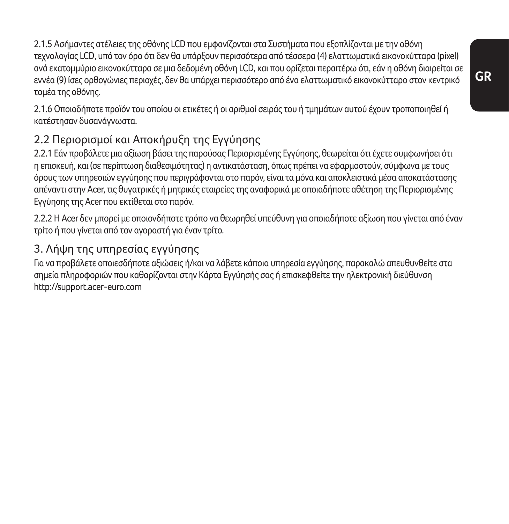2.1.5 Ασήμαντες ατέλειες της οθόνης LCD που εμφανίζονται στα Συστήματα που εξοπλίζονται με την οθόνη τεχνολογίας LCD, υπό τον όρο ότι δεν θα υπάρξουν περισσότερα από τέσσερα (4) ελαττωματικά εικονοκύτταρα (pixel) ανά εκατομμύριο εικονοκύτταρα σε μια δεδομένη οθόνη LCD, και που ορίζεται περαιτέρω ότι, εάν η οθόνη διαιρείται σε εννέα (9) ίσες ορθογώνιες περιοχές, δεν θα υπάρχει περισσότερο από ένα ελαττωματικό εικονοκύτταρο στον κεντρικό τομέα της οθόνης.

2.1.6 Οποιοδήποτε προϊόν του οποίου οι ετικέτες ή οι αριθμοί σειράς του ή τμημάτων αυτού έχουν τροποποιηθεί ή κατέστησαν δυσανάγνωστα.

### 2.2 Περιορισμοί και Αποκήρυξη της Εγγύησης

2.2.1 Εάν προβάλετε μια αξίωση βάσει της παρούσας Περιορισμένης Εγγύησης, θεωρείται ότι έχετε συμφωνήσει ότι η επισκευή, και (σε περίπτωση διαθεσιμότητας) η αντικατάσταση, όπως πρέπει να εφαρμοστούν, σύμφωνα με τους όρους των υπηρεσιών εγγύησης που περιγράφονται στο παρόν, είναι τα μόνα και αποκλειστικά μέσα αποκατάστασης απέναντι στην Acer, τις θυγατρικές ή μητρικές εταιρείες της αναφορικά με οποιαδήποτε αθέτηση της Περιορισμένης Εγγύησης της Acer που εκτίθεται στο παρόν.

2.2.2 Η Acer δεν μπορεί με οποιονδήποτε τρόπο να θεωρηθεί υπεύθυνη για οποιαδήποτε αξίωση που γίνεται από έναν τρίτο ή που γίνεται από τον αγοραστή για έναν τρίτο.

### 3. Λήψη της υπηρεσίας εγγύησης

Για να προβάλετε οποιεσδήποτε αξιώσεις ή/και να λάβετε κάποια υπηρεσία εγγύησης, παρακαλώ απευθυνθείτε στα σημεία πληροφοριών που καθορίζονται στην Κάρτα Εγγύησής σας ή επισκεφθείτε την ηλεκτρονική διεύθυνση http://support.acer-euro.com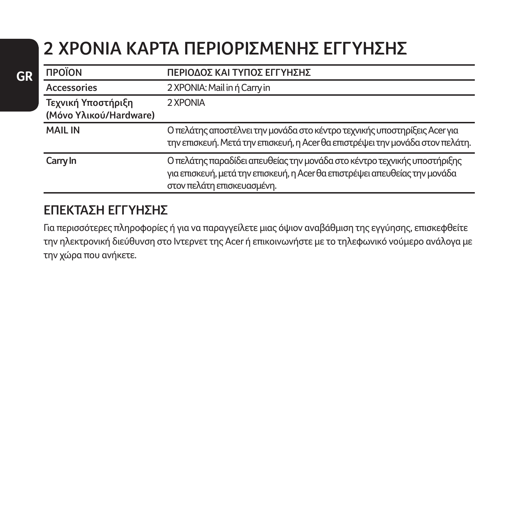## **2 ΧΡΟΝΙΑ KAΡΤΑ ΠΕΡΙΟΡΙΣΜΕΝΗΣ ΕΓΓΥΗΣΗΣ**

| <b><i><u>ΠΡΟΪΟΝ</u></i></b> | ΠΕΡΙΟΔΟΣ ΚΑΙ ΤΥΠΟΣ ΕΓΓΥΗΣΗΣ                                                                                                                                                          |
|-----------------------------|--------------------------------------------------------------------------------------------------------------------------------------------------------------------------------------|
| Accessories                 | 2 XPONIA: Mail in ή Carry in                                                                                                                                                         |
| Τεχνική Υποστήριξη          | 2 XPONIA                                                                                                                                                                             |
| (Μόνο Υλικού/Hardware)      |                                                                                                                                                                                      |
| <b>MAIL IN</b>              | Ο πελάτης αποστέλνει την μονάδα στο κέντρο τεχνικής υποστηρίξεις Acer για<br>την επισκευή. Μετά την επισκευή, η Acer θα επιστρέψει την μονάδα στον πελάτη.                           |
| Carry In                    | Ο πελάτης παραδίδει απευθείας την μονάδα στο κέντρο τεχνικής υποστήριξης<br>για επισκευή, μετά την επισκευή, η Acer θα επιστρέψει απευθείας την μονάδα<br>στον πελάτη επισκευασμένη. |

### **ΕΠΕΚΤΑΣΗ ΕΓΓΥΗΣΗΣ**

Για περισσότερες πληροφορίες ή για να παραγγείλετε μιας όψιον αναβάθμιση της εγγύησης, επισκεφθείτε την ηλεκτρονική διεύθυνση στο Ιντερνετ της Acer ή επικοινωνήστε με το τηλεφωνικό νούμερο ανάλογα με την χώρα που ανήκετε.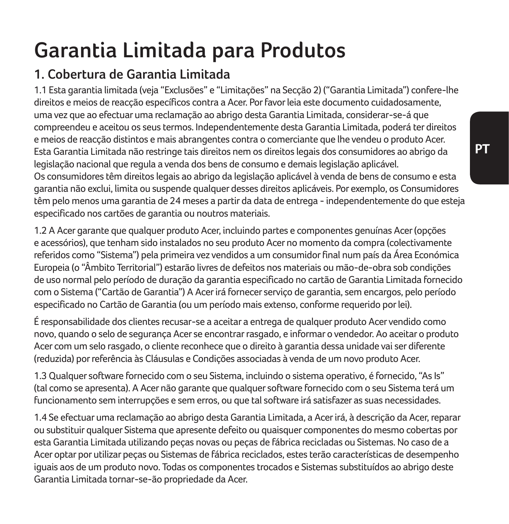# **Garantia Limitada para Produtos**

## **1. Cobertura de Garantia Limitada**

1.1 Esta garantia limitada (veja "Exclusões" e "Limitações" na Secção 2) ("Garantia Limitada") confere-lhe direitos e meios de reacção específicos contra a Acer. Por favor leia este documento cuidadosamente, uma vez que ao efectuar uma reclamação ao abrigo desta Garantia Limitada, considerar-se-á que compreendeu e aceitou os seus termos. Independentemente desta Garantia Limitada, poderá ter direitos e meios de reacção distintos e mais abrangentes contra o comerciante que lhe vendeu o produto Acer. Esta Garantia Limitada não restringe tais direitos nem os direitos legais dos consumidores ao abrigo da legislação nacional que regula a venda dos bens de consumo e demais legislação aplicável. Os consumidores têm direitos legais ao abrigo da legislação aplicável à venda de bens de consumo e esta garantia não exclui, limita ou suspende qualquer desses direitos aplicáveis. Por exemplo, os Consumidores têm pelo menos uma garantia de 24 meses a partir da data de entrega - independentemente do que esteja especificado nos cartões de garantia ou noutros materiais.

1.2 A Acer garante que qualquer produto Acer, incluindo partes e componentes genuínas Acer (opções e acessórios), que tenham sido instalados no seu produto Acer no momento da compra (colectivamente referidos como "Sistema") pela primeira vez vendidos a um consumidor final num país da Área Económica Europeia (o "Âmbito Territorial") estarão livres de defeitos nos materiais ou mão-de-obra sob condições de uso normal pelo período de duração da garantia especificado no cartão de Garantia Limitada fornecido com o Sistema ("Cartão de Garantia") A Acer irá fornecer serviço de garantia, sem encargos, pelo período especificado no Cartão de Garantia (ou um período mais extenso, conforme requerido por lei).

É responsabilidade dos clientes recusar-se a aceitar a entrega de qualquer produto Acer vendido como novo, quando o selo de segurança Acer se encontrar rasgado, e informar o vendedor. Ao aceitar o produto Acer com um selo rasgado, o cliente reconhece que o direito à garantia dessa unidade vai ser diferente (reduzida) por referência às Cláusulas e Condições associadas à venda de um novo produto Acer.

1.3 Qualquer software fornecido com o seu Sistema, incluindo o sistema operativo, é fornecido, "As Is" (tal como se apresenta). A Acer não garante que qualquer software fornecido com o seu Sistema terá um funcionamento sem interrupções e sem erros, ou que tal software irá satisfazer as suas necessidades.

1.4 Se efectuar uma reclamação ao abrigo desta Garantia Limitada, a Acer irá, à descrição da Acer, reparar ou substituir qualquer Sistema que apresente defeito ou quaisquer componentes do mesmo cobertas por esta Garantia Limitada utilizando peças novas ou peças de fábrica recicladas ou Sistemas. No caso de a Acer optar por utilizar peças ou Sistemas de fábrica reciclados, estes terão características de desempenho iguais aos de um produto novo. Todas os componentes trocados e Sistemas substituídos ao abrigo deste Garantia Limitada tornar-se-ão propriedade da Acer.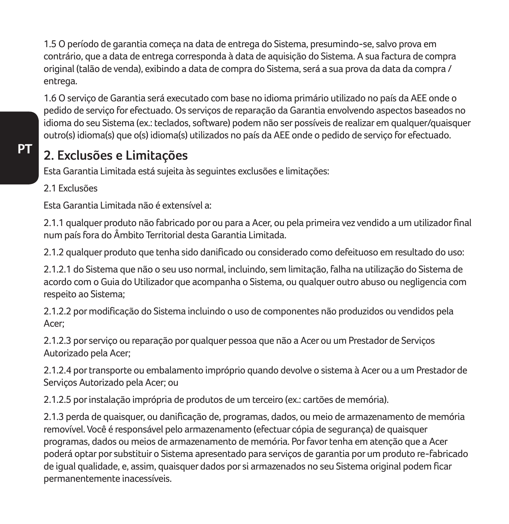1.5 O período de garantia começa na data de entrega do Sistema, presumindo-se, salvo prova em contrário, que a data de entrega corresponda à data de aquisição do Sistema. A sua factura de compra original (talão de venda), exibindo a data de compra do Sistema, será a sua prova da data da compra / entrega.

1.6 O serviço de Garantia será executado com base no idioma primário utilizado no país da AEE onde o pedido de serviço for efectuado. Os serviços de reparação da Garantia envolvendo aspectos baseados no idioma do seu Sistema (ex.: teclados, software) podem não ser possíveis de realizar em qualquer/quaisquer outro(s) idioma(s) que o(s) idioma(s) utilizados no país da AEE onde o pedido de serviço for efectuado.

## **2. Exclusões e Limitações**

Esta Garantia Limitada está sujeita às seguintes exclusões e limitações:

#### 2.1 Exclusões

Esta Garantia Limitada não é extensível a:

2.1.1 qualquer produto não fabricado por ou para a Acer, ou pela primeira vez vendido a um utilizador final num país fora do Âmbito Territorial desta Garantia Limitada.

2.1.2 qualquer produto que tenha sido danificado ou considerado como defeituoso em resultado do uso:

2.1.2.1 do Sistema que não o seu uso normal, incluindo, sem limitação, falha na utilização do Sistema de acordo com o Guia do Utilizador que acompanha o Sistema, ou qualquer outro abuso ou negligencia com respeito ao Sistema;

2.1.2.2 por modificação do Sistema incluindo o uso de componentes não produzidos ou vendidos pela Acer;

2.1.2.3 por serviço ou reparação por qualquer pessoa que não a Acer ou um Prestador de Serviços Autorizado pela Acer;

2.1.2.4 por transporte ou embalamento impróprio quando devolve o sistema à Acer ou a um Prestador de Serviços Autorizado pela Acer; ou

2.1.2.5 por instalação imprópria de produtos de um terceiro (ex.: cartões de memória).

2.1.3 perda de quaisquer, ou danificação de, programas, dados, ou meio de armazenamento de memória removível. Você é responsável pelo armazenamento (efectuar cópia de segurança) de quaisquer programas, dados ou meios de armazenamento de memória. Por favor tenha em atenção que a Acer poderá optar por substituir o Sistema apresentado para serviços de garantia por um produto re-fabricado de igual qualidade, e, assim, quaisquer dados por si armazenados no seu Sistema original podem ficar permanentemente inacessíveis.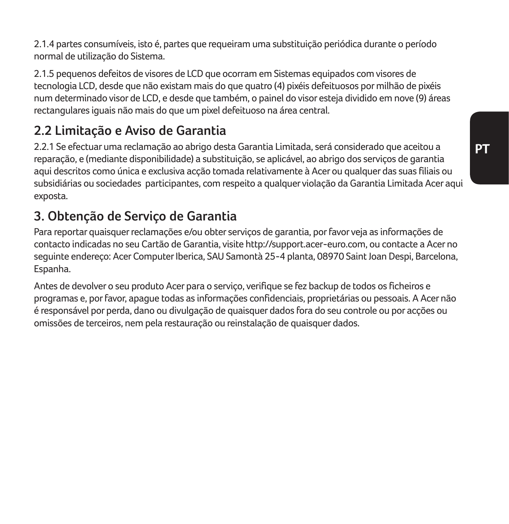2.1.4 partes consumíveis, isto é, partes que requeiram uma substituição periódica durante o período normal de utilização do Sistema.

2.1.5 pequenos defeitos de visores de LCD que ocorram em Sistemas equipados com visores de tecnologia LCD, desde que não existam mais do que quatro (4) pixéis defeituosos por milhão de pixéis num determinado visor de LCD, e desde que também, o painel do visor esteja dividido em nove (9) áreas rectangulares iguais não mais do que um pixel defeituoso na área central.

### **2.2 Limitação e Aviso de Garantia**

2.2.1 Se efectuar uma reclamação ao abrigo desta Garantia Limitada, será considerado que aceitou a reparação, e (mediante disponibilidade) a substituição, se aplicável, ao abrigo dos serviços de garantia aqui descritos como única e exclusiva acção tomada relativamente à Acer ou qualquer das suas filiais ou subsidiárias ou sociedades participantes, com respeito a qualquer violação da Garantia Limitada Acer aqui exposta.

## **3. Obtenção de Serviço de Garantia**

Para reportar quaisquer reclamações e/ou obter serviços de garantia, por favor veja as informações de contacto indicadas no seu Cartão de Garantia, visite http://support.acer-euro.com, ou contacte a Acer no seguinte endereço: Acer Computer Iberica, SAU Samontà 25-4 planta, 08970 Saint Joan Despi, Barcelona, Espanha.

Antes de devolver o seu produto Acer para o serviço, verifique se fez backup de todos os ficheiros e programas e, por favor, apague todas as informações confidenciais, proprietárias ou pessoais. A Acer não é responsável por perda, dano ou divulgação de quaisquer dados fora do seu controle ou por acções ou omissões de terceiros, nem pela restauração ou reinstalação de quaisquer dados.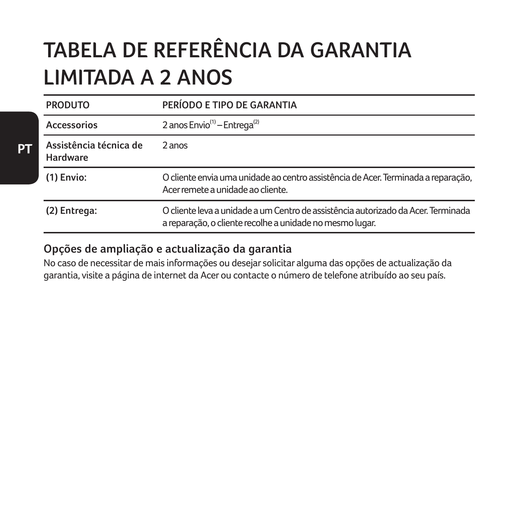# **TABELA DE REFERÊNCIA DA GARANTIA LIMITADA A 2 ANOS**

| <b>PRODUTO</b>                     | PERÍODO E TIPO DE GARANTIA                                                                                                                    |
|------------------------------------|-----------------------------------------------------------------------------------------------------------------------------------------------|
| Accessorios                        | 2 anos Envio <sup>(1)</sup> - Entrega <sup>(2)</sup>                                                                                          |
| Assistência técnica de<br>Hardware | 2 anos                                                                                                                                        |
| $(1)$ Envio:                       | O cliente envia uma unidade ao centro assistência de Acer. Terminada a reparação,<br>Acer remete a unidade ao cliente.                        |
| (2) Entrega:                       | O cliente leva a unidade a um Centro de assistência autorizado da Acer. Terminada<br>a reparação, o cliente recolhe a unidade no mesmo lugar. |

#### **Opções de ampliação e actualização da garantia**

No caso de necessitar de mais informações ou desejar solicitar alguma das opções de actualização da garantia, visite a página de internet da Acer ou contacte o número de telefone atribuído ao seu país.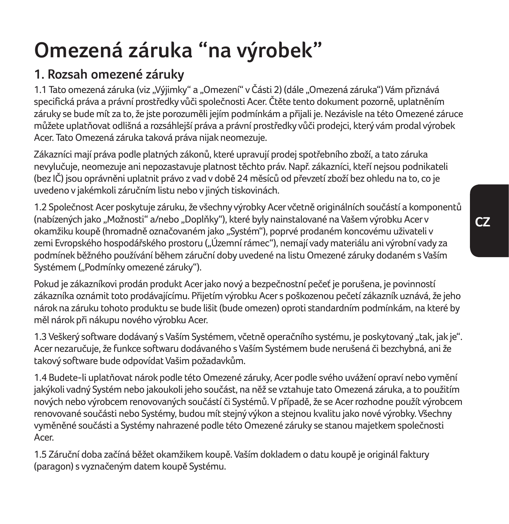# **Omezená záruka "na výrobek"**

## **1. Rozsah omezené záruky**

1.1 Tato omezená záruka (viz "Výjimky" a "Omezení" v Části 2) (dále "Omezená záruka") Vám přiznává specifická práva a právní prostředky vůči společnosti Acer. Čtěte tento dokument pozorně, uplatněním záruky se bude mít za to, že jste porozuměli jejím podmínkám a přijali je. Nezávisle na této Omezené záruce můžete uplatňovat odlišná a rozsáhlejší práva a právní prostředky vůči prodejci, který vám prodal výrobek Acer. Tato Omezená záruka taková práva nijak neomezuje.

Zákazníci mají práva podle platných zákonů, které upravují prodej spotřebního zboží, a tato záruka nevylučuje, neomezuje ani nepozastavuje platnost těchto práv. Např. zákazníci, kteří nejsou podnikateli (bez IČ) jsou oprávněni uplatnit právo z vad v době 24 měsíců od převzetí zboží bez ohledu na to, co je uvedeno v jakémkoli záručním listu nebo v jiných tiskovinách.

1.2 Společnost Acer poskytuje záruku, že všechny výrobky Acer včetně originálních součástí a komponentů (nabízených jako "Možnosti" a/nebo "Doplňky"), které byly nainstalované na Vašem výrobku Acer v okamžiku koupě (hromadně označovaném jako "Systém"), poprvé prodaném koncovému uživateli v zemi Evropského hospodářského prostoru ("Územní rámec"), nemají vady materiálu ani výrobní vady za podmínek běžného používání během záruční doby uvedené na listu Omezené záruky dodaném s Vaším .<br>Systémem ("Podmínky omezené záruky").

Pokud je zákazníkovi prodán produkt Acer jako nový a bezpečnostní pečeť je porušena, je povinností zákazníka oznámit toto prodávajícímu. Přijetím výrobku Acer s poškozenou pečetí zákazník uznává, že jeho nárok na záruku tohoto produktu se bude lišit (bude omezen) oproti standardním podmínkám, na které by měl nárok při nákupu nového výrobku Acer.

1.3 Veškerý software dodávaný s Vaším Systémem, včetně operačního systému, je poskytovaný "tak, jak je". Acer nezaručuje, že funkce softwaru dodávaného s Vaším Systémem bude nerušená či bezchybná, ani že takový software bude odpovídat Vašim požadavkům.

1.4 Budete-li uplatňovat nárok podle této Omezené záruky, Acer podle svého uvážení opraví nebo vymění jakýkoli vadný Systém nebo jakoukoli jeho součást, na něž se vztahuje tato Omezená záruka, a to použitím nových nebo výrobcem renovovaných součástí či Systémů. V případě, že se Acer rozhodne použít výrobcem renovované součásti nebo Systémy, budou mít stejný výkon a stejnou kvalitu jako nové výrobky. Všechny vyměněné součásti a Systémy nahrazené podle této Omezené záruky se stanou majetkem společnosti Acer.

1.5 Záruční doba začíná běžet okamžikem koupě. Vaším dokladem o datu koupě je originál faktury (paragon) s vyznačeným datem koupě Systému.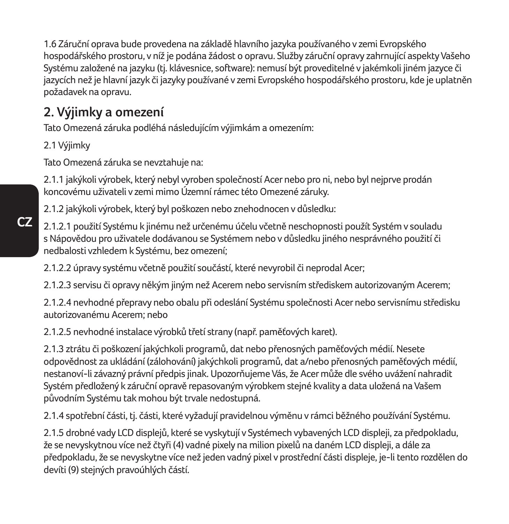1.6 Záruční oprava bude provedena na základě hlavního jazyka používaného v zemi Evropského hospodářského prostoru, v níž je podána žádost o opravu. Služby záruční opravy zahrnující aspekty Vašeho Systému založené na jazyku (tj. klávesnice, software): nemusí být proveditelné v jakémkoli jiném jazyce či jazycích než je hlavní jazyk či jazyky používané v zemi Evropského hospodářského prostoru, kde je uplatněn požadavek na opravu.

### **2. Výjimky a omezení**

Tato Omezená záruka podléhá následujícím výjimkám a omezením:

2.1 Výjimky

Tato Omezená záruka se nevztahuje na:

2.1.1 jakýkoli výrobek, který nebyl vyroben společností Acer nebo pro ni, nebo byl nejprve prodán koncovému uživateli v zemi mimo Územní rámec této Omezené záruky.

2.1.2 jakýkoli výrobek, který byl poškozen nebo znehodnocen v důsledku:

2.1.2.1 použití Systému k jinému než určenému účelu včetně neschopnosti použít Systém v souladu s Nápovědou pro uživatele dodávanou se Systémem nebo v důsledku jiného nesprávného použití či nedbalosti vzhledem k Systému, bez omezení;

2.1.2.2 úpravy systému včetně použití součástí, které nevyrobil či neprodal Acer;

2.1.2.3 servisu či opravy někým jiným než Acerem nebo servisním střediskem autorizovaným Acerem;

2.1.2.4 nevhodné přepravy nebo obalu při odeslání Systému společnosti Acer nebo servisnímu středisku autorizovanému Acerem; nebo

2.1.2.5 nevhodné instalace výrobků třetí strany (např. paměťových karet).

2.1.3 ztrátu či poškození jakýchkoli programů, dat nebo přenosných paměťových médií. Nesete odpovědnost za ukládání (zálohování) jakýchkoli programů, dat a/nebo přenosných paměťových médií, nestanoví-li závazný právní předpis jinak. Upozorňujeme Vás, že Acer může dle svého uvážení nahradit Systém předložený k záruční opravě repasovaným výrobkem stejné kvality a data uložená na Vašem původním Systému tak mohou být trvale nedostupná.

2.1.4 spotřební části, tj. části, které vyžadují pravidelnou výměnu v rámci běžného používání Systému.

2.1.5 drobné vady LCD displejů, které se vyskytují v Systémech vybavených LCD displeji, za předpokladu, že se nevyskytnou více než čtyři (4) vadné pixely na milion pixelů na daném LCD displeji, a dále za předpokladu, že se nevyskytne více než jeden vadný pixel v prostřední části displeje, je-li tento rozdělen do devíti (9) stejných pravoúhlých částí.

**CZ**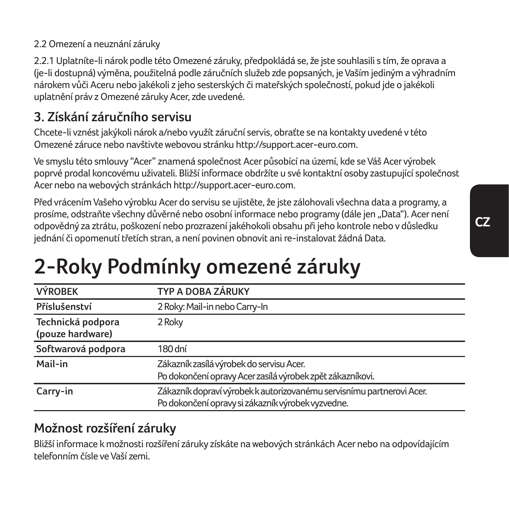2.2.1 Uplatníte-li nárok podle této Omezené záruky, předpokládá se, že jste souhlasili s tím, že oprava a (je-li dostupná) výměna, použitelná podle záručních služeb zde popsaných, je Vaším jediným a výhradním nárokem vůči Aceru nebo jakékoli z jeho sesterských či mateřských společností, pokud jde o jakékoli uplatnění práv z Omezené záruky Acer, zde uvedené.

## **3. Získání záručního servisu**

Chcete-li vznést jakýkoli nárok a/nebo využít záruční servis, obraťte se na kontakty uvedené v této Omezené záruce nebo navštivte webovou stránku http://support.acer-euro.com.

Ve smyslu této smlouvy "Acer" znamená společnost Acer působící na území, kde se Váš Acer výrobek poprvé prodal koncovému uživateli. Bližší informace obdržíte u své kontaktní osoby zastupující společnost Acer nebo na webových stránkách http://support.acer-euro.com.

Před vrácením Vašeho výrobku Acer do servisu se ujistěte, že jste zálohovali všechna data a programy, a prosíme, odstraňte všechny důvěrné nebo osobní informace nebo programy (dále jen "Data"). Acer není odpovědný za ztrátu, poškození nebo prozrazení jakéhokoli obsahu při jeho kontrole nebo v důsledku jednání či opomenutí třetích stran, a není povinen obnovit ani re-instalovat žádná Data.

# **2-Roky Podmínky omezené záruky**

| <b>VÝROBEK</b>                        | TYP A DOBA ZÁRUKY                                                                                                          |
|---------------------------------------|----------------------------------------------------------------------------------------------------------------------------|
| Příslušenství                         | 2 Roky: Mail-in nebo Carry-In                                                                                              |
| Technická podpora<br>(pouze hardware) | 2 Roky                                                                                                                     |
| Softwarová podpora                    | 180 dní                                                                                                                    |
| Mail-in                               | Zákazník zasílá výrobek do servisu Acer.<br>Po dokončení opravy Acer zasílá výrobek zpět zákazníkovi.                      |
| Carry-in                              | Zákazník dopraví výrobek k autorizovanému servisnímu partnerovi Acer.<br>Po dokončení opravy si zákazník výrobek vyzvedne. |

## **Možnost rozšíření záruky**

Bližší informace k možnosti rozšíření záruky získáte na webových stránkách Acer nebo na odpovídajícím telefonním čísle ve Vaší zemi.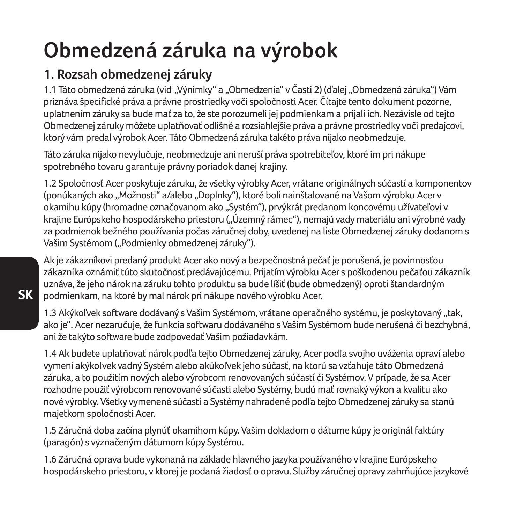# **Obmedzená záruka na výrobok**

## **1. Rozsah obmedzenej záruky**

1.1 Táto obmedzená záruka (viď "Výnimky" a "Obmedzenia" v Časti 2) (ďalej "Obmedzená záruka") Vám priznáva špecifické práva a právne prostriedky voči spoločnosti Acer. Čítajte tento dokument pozorne, uplatnením záruky sa bude mať za to, že ste porozumeli jej podmienkam a prijali ich. Nezávisle od tejto Obmedzenej záruky môžete uplatňovať odlišné a rozsiahlejšie práva a právne prostriedky voči predajcovi, ktorý vám predal výrobok Acer. Táto Obmedzená záruka takéto práva nijako neobmedzuje.

Táto záruka nijako nevylučuje, neobmedzuje ani neruší práva spotrebiteľov, ktoré im pri nákupe spotrebného tovaru garantuje právny poriadok danej krajiny.

1.2 Spoločnosť Acer poskytuje záruku, že všetky výrobky Acer, vrátane originálnych súčastí a komponentov (ponúkaných ako "Možnosti" a/alebo "Doplnky"), ktoré boli nainštalované na Vašom výrobku Acer v okamihu kúpy (hromadne označovanom ako "Systém"), prvýkrát predanom koncovému užívateľovi v krajine Európskeho hospodárskeho priestoru ("Územný rámec"), nemajú vady materiálu ani výrobné vady za podmienok bežného používania počas záručnej doby, uvedenej na liste Obmedzenej záruky dodanom s Vašim Systémom ("Podmienky obmedzenej záruky").

Ak je zákazníkovi predaný produkt Acer ako nový a bezpečnostná pečať je porušená, je povinnosťou zákazníka oznámiť túto skutočnosť predávajúcemu. Prijatím výrobku Acer s poškodenou pečaťou zákazník uznáva, že jeho nárok na záruku tohto produktu sa bude líšiť (bude obmedzený) oproti štandardným podmienkam, na ktoré by mal nárok pri nákupe nového výrobku Acer.

1.3 Akýkoľvek software dodávaný s Vašim Systémom, vrátane operačného systému, je poskytovaný "tak, ako je". Acer nezaručuje, že funkcia softwaru dodávaného s Vašim Systémom bude nerušená či bezchybná, ani že takýto software bude zodpovedať Vašim požiadavkám.

1.4 Ak budete uplatňovať nárok podľa tejto Obmedzenej záruky, Acer podľa svojho uváženia opraví alebo vymení akýkoľvek vadný Systém alebo akúkoľvek jeho súčasť, na ktorú sa vzťahuje táto Obmedzená záruka, a to použitím nových alebo výrobcom renovovaných súčastí či Systémov. V prípade, že sa Acer rozhodne použiť výrobcom renovované súčasti alebo Systémy, budú mať rovnaký výkon a kvalitu ako nové výrobky. Všetky vymenené súčasti a Systémy nahradené podľa tejto Obmedzenej záruky sa stanú majetkom spoločnosti Acer.

1.5 Záručná doba začína plynúť okamihom kúpy. Vašim dokladom o dátume kúpy je originál faktúry (paragón) s vyznačeným dátumom kúpy Systému.

1.6 Záručná oprava bude vykonaná na základe hlavného jazyka používaného v krajine Európskeho hospodárskeho priestoru, v ktorej je podaná žiadosť o opravu. Služby záručnej opravy zahrňujúce jazykové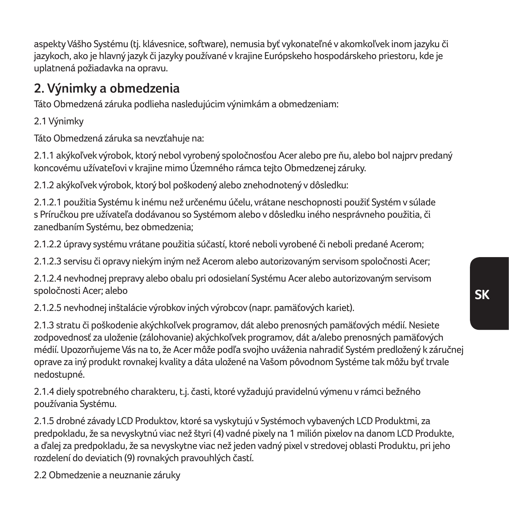**SK**

aspekty Vášho Systému (tj. klávesnice, software), nemusia byť vykonateľné v akomkoľvek inom jazyku či jazykoch, ako je hlavný jazyk či jazyky používané v krajine Európskeho hospodárskeho priestoru, kde je uplatnená požiadavka na opravu.

### **2. Výnimky a obmedzenia**

Táto Obmedzená záruka podlieha nasledujúcim výnimkám a obmedzeniam:

2.1 Výnimky

Táto Obmedzená záruka sa nevzťahuje na:

2.1.1 akýkoľvek výrobok, ktorý nebol vyrobený spoločnosťou Acer alebo pre ňu, alebo bol najprv predaný koncovému užívateľovi v krajine mimo Územného rámca tejto Obmedzenej záruky.

2.1.2 akýkoľvek výrobok, ktorý bol poškodený alebo znehodnotený v dôsledku:

2.1.2.1 použitia Systému k inému než určenému účelu, vrátane neschopnosti použiť Systém v súlade s Príručkou pre užívateľa dodávanou so Systémom alebo v dôsledku iného nesprávneho použitia, či zanedbaním Systému, bez obmedzenia;

2.1.2.2 úpravy systému vrátane použitia súčastí, ktoré neboli vyrobené či neboli predané Acerom;

2.1.2.3 servisu či opravy niekým iným než Acerom alebo autorizovaným servisom spoločnosti Acer;

2.1.2.4 nevhodnej prepravy alebo obalu pri odosielaní Systému Acer alebo autorizovaným servisom spoločnosti Acer; alebo

2.1.2.5 nevhodnej inštalácie výrobkov iných výrobcov (napr. pamäťových kariet).

2.1.3 stratu či poškodenie akýchkoľvek programov, dát alebo prenosných pamäťových médií. Nesiete zodpovednosť za uloženie (zálohovanie) akýchkoľvek programov, dát a/alebo prenosných pamäťových médií. Upozorňujeme Vás na to, že Acer môže podľa svojho uváženia nahradiť Systém predložený k záručnej oprave za iný produkt rovnakej kvality a dáta uložené na Vašom pôvodnom Systéme tak môžu byť trvale nedostupné.

2.1.4 diely spotrebného charakteru, t.j. časti, ktoré vyžadujú pravidelnú výmenu v rámci bežného používania Systému.

2.1.5 drobné závady LCD Produktov, ktoré sa vyskytujú v Systémoch vybavených LCD Produktmi, za predpokladu, že sa nevyskytnú viac než štyri (4) vadné pixely na 1 milión pixelov na danom LCD Produkte, a ďalej za predpokladu, že sa nevyskytne viac než jeden vadný pixel v stredovej oblasti Produktu, pri jeho rozdelení do deviatich (9) rovnakých pravouhlých častí.

2.2 Obmedzenie a neuznanie záruky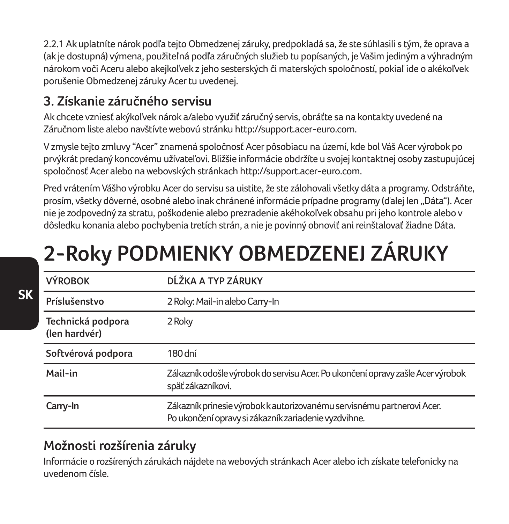2.2.1 Ak uplatníte nárok podľa tejto Obmedzenej záruky, predpokladá sa, že ste súhlasili s tým, že oprava a (ak je dostupná) výmena, použiteľná podľa záručných služieb tu popísaných, je Vašim jediným a výhradným nárokom voči Aceru alebo akejkoľvek z jeho sesterských či materských spoločností, pokiaľ ide o akékoľvek porušenie Obmedzenej záruky Acer tu uvedenej.

### **3. Získanie záručného servisu**

Ak chcete vzniesť akýkoľvek nárok a/alebo využiť záručný servis, obráťte sa na kontakty uvedené na Záručnom liste alebo navštívte webovú stránku http://support.acer-euro.com.

V zmysle tejto zmluvy "Acer" znamená spoločnosť Acer pôsobiacu na území, kde bol Váš Acer výrobok po prvýkrát predaný koncovému užívateľovi. Bližšie informácie obdržíte u svojej kontaktnej osoby zastupujúcej spoločnosť Acer alebo na webovských stránkach http://support.acer-euro.com.

Pred vrátením Vášho výrobku Acer do servisu sa uistite, že ste zálohovali všetky dáta a programy. Odstráňte, prosím, všetky dôverné, osobné alebo inak chránené informácie prípadne programy (ďalej len "Dáta"). Acer nie je zodpovedný za stratu, poškodenie alebo prezradenie akéhokoľvek obsahu pri jeho kontrole alebo v dôsledku konania alebo pochybenia tretích strán, a nie je povinný obnoviť ani reinštalovať žiadne Dáta.

# **2-Roky PODMIENKY OBMEDZENEJ ZÁRUKY**

| <b>VÝROBOK</b>                     | DĹŽKA A TYP ZÁRUKY                                                                                                             |
|------------------------------------|--------------------------------------------------------------------------------------------------------------------------------|
| Príslušenstvo                      | 2 Roky: Mail-in alebo Carry-In                                                                                                 |
| Technická podpora<br>(len hardvér) | 2 Roky                                                                                                                         |
| Softvérová podpora                 | 180 dní                                                                                                                        |
| Mail-in                            | Zákazník odošle výrobok do servisu Acer. Po ukončení opravy zašle Acer výrobok<br>späť zákazníkovi.                            |
| Carry-In                           | Zákazník prinesie výrobok k autorizovanému servisnému partnerovi Acer.<br>Po ukončení opravy si zákazník zariadenie vyzdvihne. |

### **Možnosti rozšírenia záruky**

Informácie o rozšírených zárukách nájdete na webových stránkach Acer alebo ich získate telefonicky na uvedenom čísle.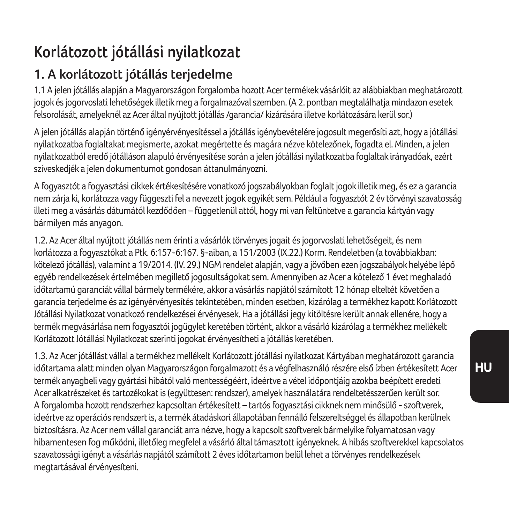## **Korlátozott jótállási nyilatkozat**

## **1. A korlátozott jótállás terjedelme**

1.1 A jelen jótállás alapján a Magyarországon forgalomba hozott Acer termékek vásárlóit az alábbiakban meghatározott jogok és jogorvoslati lehetőségek illetik meg a forgalmazóval szemben. (A 2. pontban megtalálhatja mindazon esetek felsorolását, amelyeknél az Acer által nyújtott jótállás /garancia/ kizárására illetve korlátozására kerül sor.)

A jelen jótállás alapján történő igényérvényesítéssel a jótállás igénybevételére jogosult megerősíti azt, hogy a jótállási nyilatkozatba foglaltakat megismerte, azokat megértette és magára nézve kötelezőnek, fogadta el. Minden, a jelen nyilatkozatból eredő jótálláson alapuló érvényesítése során a jelen jótállási nyilatkozatba foglaltak irányadóak, ezért szíveskedjék a jelen dokumentumot gondosan áttanulmányozni.

A fogyasztót a fogyasztási cikkek értékesítésére vonatkozó jogszabályokban foglalt jogok illetik meg, és ez a garancia nem zárja ki, korlátozza vagy függeszti fel a nevezett jogok egyikét sem. Például a fogyasztót 2 év törvényi szavatosság illeti meg a vásárlás dátumától kezdődően – függetlenül attól, hogy mi van feltüntetve a garancia kártyán vagy bármilyen más anyagon.

1.2. Az Acer által nyújtott jótállás nem érinti a vásárlók törvényes jogait és jogorvoslati lehetőségeit, és nem korlátozza a fogyasztókat a Ptk. 6:157-6:167. §-aiban, a 151/2003 (IX.22.) Korm. Rendeletben (a továbbiakban: kötelező jótállás), valamint a 19/2014. (IV. 29.) NGM rendelet alapján, vagy a jövőben ezen jogszabályok helyébe lépő egyéb rendelkezések értelmében megillető jogosultságokat sem. Amennyiben az Acer a kötelező 1 évet meghaladó időtartamú garanciát vállal bármely termékére, akkor a vásárlás napjától számított 12 hónap elteltét követően a garancia terjedelme és az igényérvényesítés tekintetében, minden esetben, kizárólag a termékhez kapott Korlátozott Jótállási Nyilatkozat vonatkozó rendelkezései érvényesek. Ha a jótállási jegy kitöltésre került annak ellenére, hogy a termék megvásárlása nem fogyasztói jogügylet keretében történt, akkor a vásárló kizárólag a termékhez mellékelt Korlátozott Jótállási Nyilatkozat szerinti jogokat érvényesítheti a jótállás keretében.

1.3. Az Acer jótállást vállal a termékhez mellékelt Korlátozott jótállási nyilatkozat Kártyában meghatározott garancia időtartama alatt minden olyan Magyarországon forgalmazott és a végfelhasználó részére első ízben értékesített Acer termék anyagbeli vagy gyártási hibától való mentességéért, ideértve a vétel időpontjáig azokba beépített eredeti Acer alkatrészeket és tartozékokat is (együttesen: rendszer), amelyek használatára rendeltetésszerűen került sor. A forgalomba hozott rendszerhez kapcsoltan értékesített – tartós fogyasztási cikknek nem minősülő - szoftverek, ideértve az operációs rendszert is, a termék átadáskori állapotában fennálló felszereltséggel és állapotban kerülnek biztosításra. Az Acer nem vállal garanciát arra nézve, hogy a kapcsolt szoftverek bármelyike folyamatosan vagy hibamentesen fog működni, illetőleg megfelel a vásárló által támasztott igényeknek. A hibás szoftverekkel kapcsolatos szavatossági igényt a vásárlás napjától számított 2 éves időtartamon belül lehet a törvényes rendelkezések megtartásával érvényesíteni.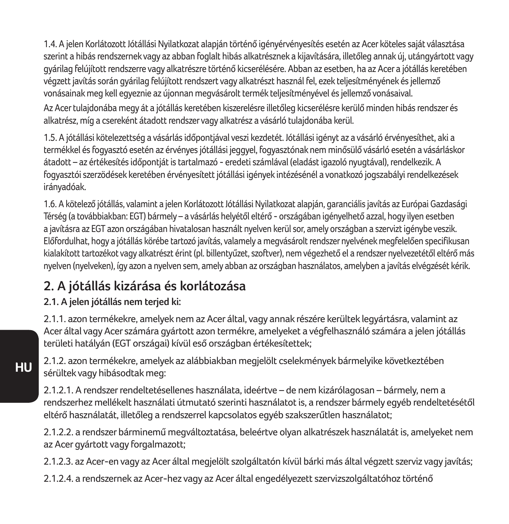1.4. A jelen Korlátozott Jótállási Nyilatkozat alapján történő igényérvényesítés esetén az Acer köteles saját választása szerint a hibás rendszernek vagy az abban foglalt hibás alkatrésznek a kijavítására, illetőleg annak új, utángyártott vagy gyárilag felújított rendszerre vagy alkatrészre történő kicserélésére. Abban az esetben, ha az Acer a jótállás keretében végzett javítás során gyárilag felújított rendszert vagy alkatrészt használ fel, ezek teljesítményének és jellemző vonásainak meg kell egyeznie az újonnan megvásárolt termék teljesítményével és jellemző vonásaival.

Az Acer tulajdonába megy át a jótállás keretében kiszerelésre illetőleg kicserélésre kerülő minden hibás rendszer és alkatrész, míg a csereként átadott rendszer vagy alkatrész a vásárló tulajdonába kerül.

1.5. A jótállási kötelezettség a vásárlás időpontjával veszi kezdetét. Jótállási igényt az a vásárló érvényesíthet, aki a termékkel és fogyasztó esetén az érvényes jótállási jeggyel, fogyasztónak nem minősülő vásárló esetén a vásárláskor átadott – az értékesítés időpontját is tartalmazó - eredeti számlával (eladást igazoló nyugtával), rendelkezik. A fogyasztói szerzödések keretében érvényesített jótállási igények intézésénél a vonatkozó jogszabályi rendelkezések irányadóak.

1.6. A kötelező jótállás, valamint a jelen Korlátozott Jótállási Nyilatkozat alapján, garanciális javítás az Európai Gazdasági Térség (a továbbiakban: EGT) bármely – a vásárlás helyétől eltérő - országában igényelhető azzal, hogy ilyen esetben a javításra az EGT azon országában hivatalosan használt nyelven kerül sor, amely országban a szervizt igénybe veszik. Előfordulhat, hogy a jótállás körébe tartozó javítás, valamely a megvásárolt rendszer nyelvének megfelelően specifikusan kialakított tartozékot vagy alkatrészt érint (pl. billentyűzet, szoftver), nem végezhető el a rendszer nyelvezetétől eltérő más nyelven (nyelveken), így azon a nyelven sem, amely abban az országban használatos, amelyben a javítás elvégzését kérik.

### **2. A jótállás kizárása és korlátozása**

**2.1. A jelen jótállás nem terjed ki:**

2.1.1. azon termékekre, amelyek nem az Acer által, vagy annak részére kerültek legyártásra, valamint az Acer által vagy Acer számára gyártott azon termékre, amelyeket a végfelhasználó számára a jelen jótállás területi hatályán (EGT országai) kívül eső országban értékesítettek;

2.1.2. azon termékekre, amelyek az alábbiakban megjelölt cselekmények bármelyike következtében sérültek vagy hibásodtak meg:

2.1.2.1. A rendszer rendeltetésellenes használata, ideértve – de nem kizárólagosan – bármely, nem a rendszerhez mellékelt használati útmutató szerinti használatot is, a rendszer bármely egyéb rendeltetésétől eltérő használatát, illetőleg a rendszerrel kapcsolatos egyéb szakszerűtlen használatot;

2.1.2.2. a rendszer bárminemű megváltoztatása, beleértve olyan alkatrészek használatát is, amelyeket nem az Acer gyártott vagy forgalmazott;

2.1.2.3. az Acer-en vagy az Acer által megjelölt szolgáltatón kívül bárki más által végzett szerviz vagy javítás;

2.1.2.4. a rendszernek az Acer-hez vagy az Acer által engedélyezett szervizszolgáltatóhoz történő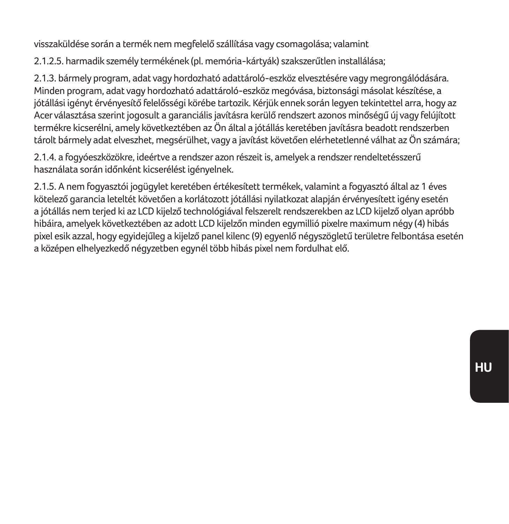visszaküldése során a termék nem megfelelő szállítása vagy csomagolása; valamint

2.1.2.5. harmadik személy termékének (pl. memória-kártyák) szakszerűtlen installálása;

2.1.3. bármely program, adat vagy hordozható adattároló-eszköz elvesztésére vagy megrongálódására. Minden program, adat vagy hordozható adattároló-eszköz megóvása, biztonsági másolat készítése, a jótállási igényt érvényesítő felelősségi körébe tartozik. Kérjük ennek során legyen tekintettel arra, hogy az Acer választása szerint jogosult a garanciális javításra kerülő rendszert azonos minőségű új vagy felújított termékre kicserélni, amely következtében az Ön által a jótállás keretében javításra beadott rendszerben tárolt bármely adat elveszhet, megsérülhet, vagy a javítást követően elérhetetlenné válhat az Ön számára;

2.1.4. a fogyóeszközökre, ideértve a rendszer azon részeit is, amelyek a rendszer rendeltetésszerű használata során időnként kicserélést igényelnek.

2.1.5. A nem fogyasztói jogügylet keretében értékesített termékek, valamint a fogyasztó által az 1 éves kötelező garancia leteltét követően a korlátozott jótállási nyilatkozat alapján érvényesített igény esetén a jótállás nem terjed ki az LCD kijelző technológiával felszerelt rendszerekben az LCD kijelző olyan apróbb hibáira, amelyek következtében az adott LCD kijelzőn minden egymillió pixelre maximum négy (4) hibás pixel esik azzal, hogy egyidejűleg a kijelző panel kilenc (9) egyenlő négyszögletű területre felbontása esetén a középen elhelyezkedő négyzetben egynél több hibás pixel nem fordulhat elő.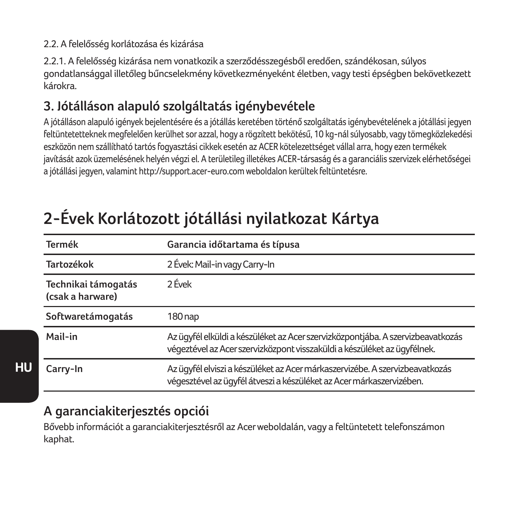#### 2.2. A felelősség korlátozása és kizárása

2.2.1. A felelősség kizárása nem vonatkozik a szerződésszegésből eredően, szándékosan, súlyos gondatlansággal illetőleg bűncselekmény következményeként életben, vagy testi épségben bekövetkezett károkra.

### **3. Jótálláson alapuló szolgáltatás igénybevétele**

A jótálláson alapuló igények bejelentésére és a jótállás keretében történő szolgáltatás igénybevételének a jótállási jegyen feltüntetetteknek megfelelően kerülhet sor azzal, hogy a rögzített bekötésű, 10 kg-nál súlyosabb, vagy tömegközlekedési eszközön nem szállítható tartós fogyasztási cikkek esetén az ACER kötelezettséget vállal arra, hogy ezen termékek javítását azok üzemelésének helyén végzi el. A területileg illetékes ACER-társaság és a garanciális szervizek elérhetőségei a jótállási jegyen, valamint http://support.acer-euro.com weboldalon kerültek feltüntetésre.

| Termék                                  | Garancia időtartama és típusa                                                                                                                               |
|-----------------------------------------|-------------------------------------------------------------------------------------------------------------------------------------------------------------|
| Tartozékok                              | 2 Évek: Mail-in vagy Carry-In                                                                                                                               |
| Technikai támogatás<br>(csak a harware) | 2 Évek                                                                                                                                                      |
| Softwaretámogatás                       | 180 nap                                                                                                                                                     |
| Mail-in                                 | Az ügyfél elküldi a készüléket az Acer szervizközpontjába. A szervizbeavatkozás<br>végeztével az Acer szervizközpont visszaküldi a készüléket az ügyfélnek. |
| Carry-In                                | Az ügyfél elviszi a készüléket az Acer márkaszervizébe. A szervizbeavatkozás<br>végesztével az ügyfél átveszi a készüléket az Acer márkaszervizében.        |

## **2-Évek Korlátozott jótállási nyilatkozat Kártya**

### **A garanciakiterjesztés opciói**

**HU**

Bővebb információt a garanciakiterjesztésről az Acer weboldalán, vagy a feltüntetett telefonszámon kaphat.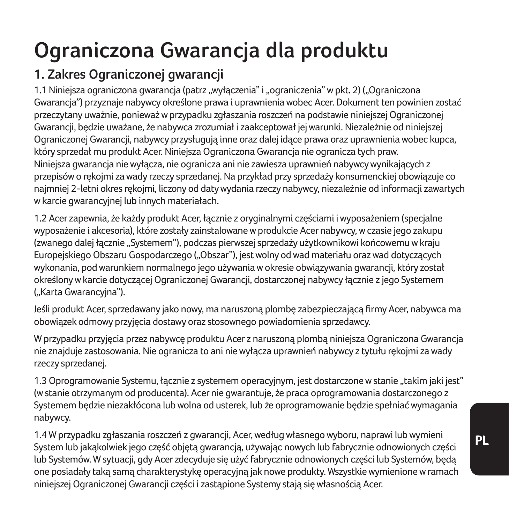# **Ograniczona Gwarancja dla produktu**

## **1. Zakres Ograniczonej gwarancji**

1.1 Niniejsza ograniczona gwarancja (patrz "wyłączenia" i "ograniczenia" w pkt. 2) ("Ograniczona Gwarancja") przyznaje nabywcy określone prawa i uprawnienia wobec Acer. Dokument ten powinien zostać przeczytany uważnie, ponieważ w przypadku zgłaszania roszczeń na podstawie niniejszej Ograniczonej Gwarancji, będzie uważane, że nabywca zrozumiał i zaakceptował jej warunki. Niezależnie od niniejszej Ograniczonej Gwarancji, nabywcy przysługują inne oraz dalej idące prawa oraz uprawnienia wobec kupca, który sprzedał mu produkt Acer. Niniejsza Ograniczona Gwarancja nie ogranicza tych praw. Niniejsza gwarancja nie wyłącza, nie ogranicza ani nie zawiesza uprawnień nabywcy wynikających z przepisów o rękojmi za wady rzeczy sprzedanej. Na przykład przy sprzedaży konsumenckiej obowiązuje co najmniej 2-letni okres rękojmi, liczony od daty wydania rzeczy nabywcy, niezależnie od informacji zawartych w karcie gwarancyjnej lub innych materiałach.

1.2 Acer zapewnia, że każdy produkt Acer, łącznie z oryginalnymi częściami i wyposażeniem (specjalne wyposażenie i akcesoria), które zostały zainstalowane w produkcie Acer nabywcy, w czasie jego zakupu (zwanego dalej łącznie "Systemem"), podczas pierwszej sprzedaży użytkownikowi końcowemu w kraju Europejskiego Obszaru Gospodarczego ("Obszar"), jest wolny od wad materiału oraz wad dotyczących wykonania, pod warunkiem normalnego jego używania w okresie obwiązywania gwarancji, który został określony w karcie dotyczącej Ograniczonej Gwarancji, dostarczonej nabywcy łącznie z jego Systemem ("Karta Gwarancyjna").

Jeśli produkt Acer, sprzedawany jako nowy, ma naruszoną plombę zabezpieczającą firmy Acer, nabywca ma obowiązek odmowy przyjęcia dostawy oraz stosownego powiadomienia sprzedawcy.

W przypadku przyjęcia przez nabywcę produktu Acer z naruszoną plombą niniejsza Ograniczona Gwarancja nie znajduje zastosowania. Nie ogranicza to ani nie wyłącza uprawnień nabywcy z tytułu rękojmi za wady rzeczy sprzedanej.

1.3 Oprogramowanie Systemu, łącznie z systemem operacyjnym, jest dostarczone w stanie "takim jaki jest" (w stanie otrzymanym od producenta). Acer nie gwarantuje, że praca oprogramowania dostarczonego z Systemem będzie niezakłócona lub wolna od usterek, lub że oprogramowanie będzie spełniać wymagania nabywcy.

1.4 W przypadku zgłaszania roszczeń z gwarancji, Acer, według własnego wyboru, naprawi lub wymieni System lub jakąkolwiek jego część objętą gwarancją, używając nowych lub fabrycznie odnowionych części lub Systemów. W sytuacji, gdy Acer zdecyduje się użyć fabrycznie odnowionych części lub Systemów, będą one posiadały taką samą charakterystykę operacyjną jak nowe produkty. Wszystkie wymienione w ramach niniejszej Ograniczonej Gwarancji części i zastąpione Systemy stają się własnością Acer.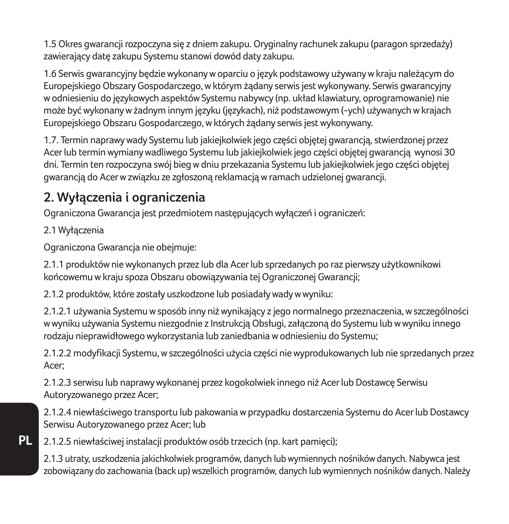1.5 Okres gwarancji rozpoczyna się z dniem zakupu. Oryginalny rachunek zakupu (paragon sprzedaży) zawierający datę zakupu Systemu stanowi dowód daty zakupu.

1.6 Serwis gwarancyjny będzie wykonany w oparciu o język podstawowy używany w kraju należącym do Europejskiego Obszary Gospodarczego, w którym żądany serwis jest wykonywany. Serwis gwarancyjny w odniesieniu do językowych aspektów Systemu nabywcy (np. układ klawiatury, oprogramowanie) nie może być wykonany w żadnym innym języku (językach), niż podstawowym (-ych) używanych w krajach Europejskiego Obszaru Gospodarczego, w których żądany serwis jest wykonywany.

1.7. Termin naprawy wady Systemu lub jakiejkolwiek jego części objętej gwarancją, stwierdzonej przez Acer lub termin wymiany wadliwego Systemu lub jakiejkolwiek jego części objętej gwarancją wynosi 30 dni. Termin ten rozpoczyna swój bieg w dniu przekazania Systemu lub jakiejkolwiek jego części objętej gwarancją do Acer w związku ze zgłoszoną reklamacją w ramach udzielonej gwarancji.

### **2. Wyłączenia i ograniczenia**

Ograniczona Gwarancja jest przedmiotem następujących wyłączeń i ograniczeń:

2.1 Wyłączenia

**PL**

Ograniczona Gwarancja nie obejmuje:

2.1.1 produktów nie wykonanych przez lub dla Acer lub sprzedanych po raz pierwszy użytkownikowi końcowemu w kraju spoza Obszaru obowiązywania tej Ograniczonej Gwarancji;

2.1.2 produktów, które zostały uszkodzone lub posiadały wady w wyniku:

2.1.2.1 używania Systemu w sposób inny niż wynikający z jego normalnego przeznaczenia, w szczególności w wyniku używania Systemu niezgodnie z Instrukcją Obsługi, załączoną do Systemu lub w wyniku innego rodzaju nieprawidłowego wykorzystania lub zaniedbania w odniesieniu do Systemu;

2.1.2.2 modyfikacji Systemu, w szczególności użycia części nie wyprodukowanych lub nie sprzedanych przez Acer;

2.1.2.3 serwisu lub naprawy wykonanej przez kogokolwiek innego niż Acer lub Dostawcę Serwisu Autoryzowanego przez Acer;

2.1.2.4 niewłaściwego transportu lub pakowania w przypadku dostarczenia Systemu do Acer lub Dostawcy Serwisu Autoryzowanego przez Acer; lub

2.1.2.5 niewłaściwej instalacji produktów osób trzecich (np. kart pamięci);

2.1.3 utraty, uszkodzenia jakichkolwiek programów, danych lub wymiennych nośników danych. Nabywca jest zobowiązany do zachowania (back up) wszelkich programów, danych lub wymiennych nośników danych. Należy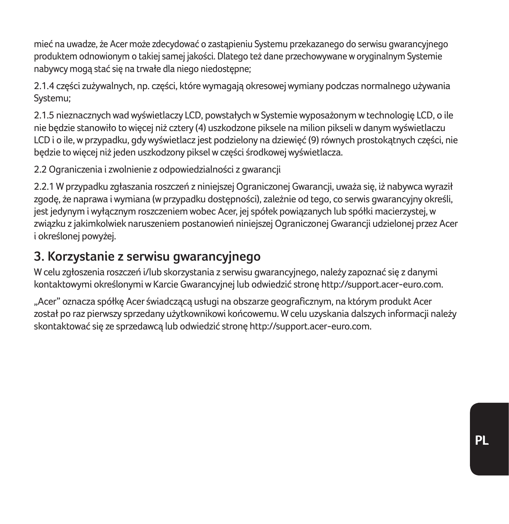mieć na uwadze, że Acer może zdecydować o zastąpieniu Systemu przekazanego do serwisu gwarancyjnego produktem odnowionym o takiej samej jakości. Dlatego też dane przechowywane w oryginalnym Systemie nabywcy mogą stać się na trwałe dla niego niedostępne;

2.1.4 części zużywalnych, np. części, które wymagają okresowej wymiany podczas normalnego używania Systemu;

2.1.5 nieznacznych wad wyświetlaczy LCD, powstałych w Systemie wyposażonym w technologię LCD, o ile nie będzie stanowiło to więcej niż cztery (4) uszkodzone piksele na milion pikseli w danym wyświetlaczu LCD i o ile, w przypadku, gdy wyświetlacz jest podzielony na dziewięć (9) równych prostokątnych części, nie będzie to więcej niż jeden uszkodzony piksel w części środkowej wyświetlacza.

2.2 Ograniczenia i zwolnienie z odpowiedzialności z gwarancji

2.2.1 W przypadku zgłaszania roszczeń z niniejszej Ograniczonej Gwarancji, uważa się, iż nabywca wyraził zgodę, że naprawa i wymiana (w przypadku dostępności), zależnie od tego, co serwis gwarancyjny określi, jest jedynym i wyłącznym roszczeniem wobec Acer, jej spółek powiązanych lub spółki macierzystej, w związku z jakimkolwiek naruszeniem postanowień niniejszej Ograniczonej Gwarancji udzielonej przez Acer i określonej powyżej.

### **3. Korzystanie z serwisu gwarancyjnego**

W celu zgłoszenia roszczeń i/lub skorzystania z serwisu gwarancyjnego, należy zapoznać się z danymi kontaktowymi określonymi w Karcie Gwarancyjnej lub odwiedzić stronę http://support.acer-euro.com.

"Acer" oznacza spółkę Acer świadczącą usługi na obszarze geograficznym, na którym produkt Acer został po raz pierwszy sprzedany użytkownikowi końcowemu. W celu uzyskania dalszych informacji należy skontaktować się ze sprzedawcą lub odwiedzić stronę http://support.acer-euro.com.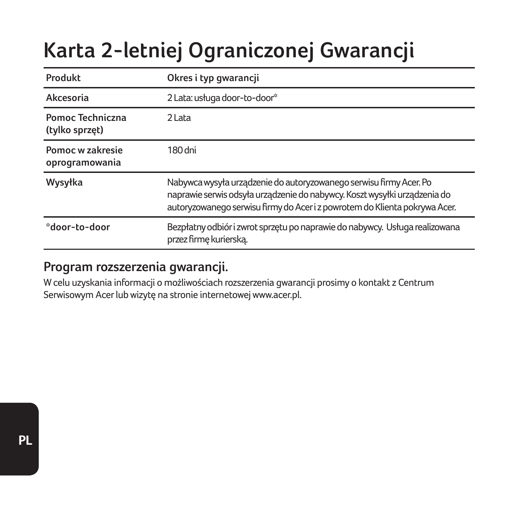# **Karta 2-letniej Ograniczonej Gwarancji**

| Produkt                            | Okres i typ gwarancji                                                                                                                                                                                                         |
|------------------------------------|-------------------------------------------------------------------------------------------------------------------------------------------------------------------------------------------------------------------------------|
| Akcesoria                          | 2 Lata: usługa door-to-door*                                                                                                                                                                                                  |
| Pomoc Techniczna<br>(tylko sprzęt) | 2 Lata                                                                                                                                                                                                                        |
| Pomoc w zakresie<br>oprogramowania | 180 dni                                                                                                                                                                                                                       |
| Wysyłka                            | Nabywca wysyła urządzenie do autoryzowanego serwisu firmy Acer. Po<br>naprawie serwis odsyła urządzenie do nabywcy. Koszt wysyłki urządzenia do<br>autoryzowanego serwisu firmy do Acer i z powrotem do Klienta pokrywa Acer. |
| *door-to-door                      | Bezpłatny odbiór i zwrot sprzętu po naprawie do nabywcy. Usługa realizowana<br>przez firmę kurierską.                                                                                                                         |

### **Program rozszerzenia gwarancji.**

W celu uzyskania informacji o możliwościach rozszerzenia gwarancji prosimy o kontakt z Centrum Serwisowym Acer lub wizytę na stronie internetowej www.acer.pl.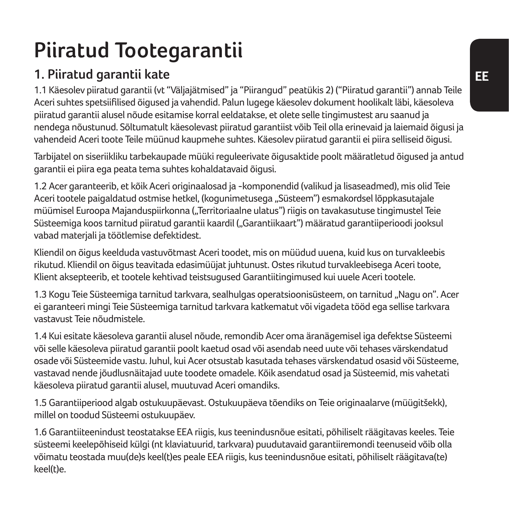# **Piiratud Tootegarantii**

## **1. Piiratud garantii kate**

1.1 Käesolev piiratud garantii (vt "Väljajätmised" ja "Piirangud" peatükis 2) ("Piiratud garantii") annab Teile Aceri suhtes spetsiifilised õigused ja vahendid. Palun lugege käesolev dokument hoolikalt läbi, käesoleva piiratud garantii alusel nõude esitamise korral eeldatakse, et olete selle tingimustest aru saanud ja nendega nõustunud. Sõltumatult käesolevast piiratud garantiist võib Teil olla erinevaid ja laiemaid õigusi ja vahendeid Aceri toote Teile müünud kaupmehe suhtes. Käesolev piiratud garantii ei piira selliseid õigusi.

Tarbijatel on siseriikliku tarbekaupade müüki reguleerivate õigusaktide poolt määratletud õigused ja antud garantii ei piira ega peata tema suhtes kohaldatavaid õigusi.

1.2 Acer garanteerib, et kõik Aceri originaalosad ja -komponendid (valikud ja lisaseadmed), mis olid Teie Aceri tootele paigaldatud ostmise hetkel, (kogunimetusega "Süsteem") esmakordsel lõppkasutajale müümisel Euroopa Majanduspiirkonna ("Territoriaalne ulatus") riigis on tavakasutuse tingimustel Teie Süsteemiga koos tarnitud piiratud garantii kaardil ("Garantiikaart") määratud garantiiperioodi jooksul vabad materjali ja töötlemise defektidest.

Kliendil on õigus keelduda vastuvõtmast Aceri toodet, mis on müüdud uuena, kuid kus on turvakleebis rikutud. Kliendil on õigus teavitada edasimüüjat juhtunust. Ostes rikutud turvakleebisega Aceri toote, Klient aksepteerib, et tootele kehtivad teistsugused Garantiitingimused kui uuele Aceri tootele.

1.3 Kogu Teie Süsteemiga tarnitud tarkvara, sealhulgas operatsioonisüsteem, on tarnitud "Nagu on". Acer ei garanteeri mingi Teie Süsteemiga tarnitud tarkvara katkematut või vigadeta tööd ega sellise tarkvara vastavust Teie nõudmistele.

1.4 Kui esitate käesoleva garantii alusel nõude, remondib Acer oma äranägemisel iga defektse Süsteemi või selle käesoleva piiratud garantii poolt kaetud osad või asendab need uute või tehases värskendatud osade või Süsteemide vastu. Juhul, kui Acer otsustab kasutada tehases värskendatud osasid või Süsteeme, vastavad nende jõudlusnäitajad uute toodete omadele. Kõik asendatud osad ja Süsteemid, mis vahetati käesoleva piiratud garantii alusel, muutuvad Aceri omandiks.

1.5 Garantiiperiood algab ostukuupäevast. Ostukuupäeva tõendiks on Teie originaalarve (müügitšekk), millel on toodud Süsteemi ostukuupäev.

1.6 Garantiiteenindust teostatakse EEA riigis, kus teenindusnõue esitati, põhiliselt räägitavas keeles. Teie süsteemi keelepõhiseid külgi (nt klaviatuurid, tarkvara) puudutavaid garantiiremondi teenuseid võib olla võimatu teostada muu(de)s keel(t)es peale EEA riigis, kus teenindusnõue esitati, põhiliselt räägitava(te) keel(t)e.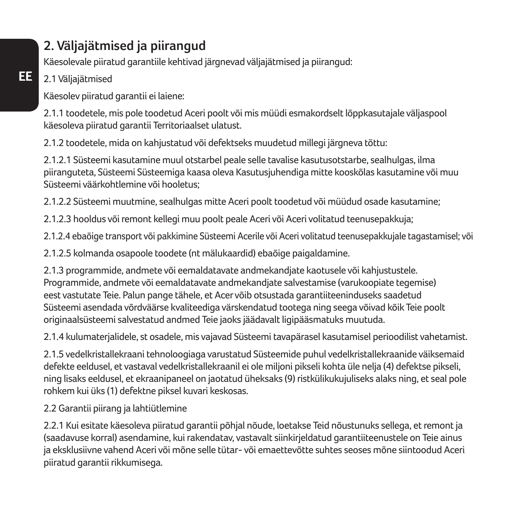## **2. Väljajätmised ja piirangud**

Käesolevale piiratud garantiile kehtivad järgnevad väljajätmised ja piirangud:

### 2.1 Väljajätmised

Käesolev piiratud garantii ei laiene:

2.1.1 toodetele, mis pole toodetud Aceri poolt või mis müüdi esmakordselt lõppkasutajale väljaspool käesoleva piiratud garantii Territoriaalset ulatust.

2.1.2 toodetele, mida on kahjustatud või defektseks muudetud millegi järgneva tõttu:

2.1.2.1 Süsteemi kasutamine muul otstarbel peale selle tavalise kasutusotstarbe, sealhulgas, ilma piiranguteta, Süsteemi Süsteemiga kaasa oleva Kasutusjuhendiga mitte kooskõlas kasutamine või muu Süsteemi väärkohtlemine või hooletus;

2.1.2.2 Süsteemi muutmine, sealhulgas mitte Aceri poolt toodetud või müüdud osade kasutamine;

2.1.2.3 hooldus või remont kellegi muu poolt peale Aceri või Aceri volitatud teenusepakkuja;

2.1.2.4 ebaõige transport või pakkimine Süsteemi Acerile või Aceri volitatud teenusepakkujale tagastamisel; või

2.1.2.5 kolmanda osapoole toodete (nt mälukaardid) ebaõige paigaldamine.

2.1.3 programmide, andmete või eemaldatavate andmekandjate kaotusele või kahjustustele. Programmide, andmete või eemaldatavate andmekandjate salvestamise (varukoopiate tegemise) eest vastutate Teie. Palun pange tähele, et Acer võib otsustada garantiiteeninduseks saadetud Süsteemi asendada võrdväärse kvaliteediga värskendatud tootega ning seega võivad kõik Teie poolt originaalsüsteemi salvestatud andmed Teie jaoks jäädavalt ligipääsmatuks muutuda.

2.1.4 kulumaterjalidele, st osadele, mis vajavad Süsteemi tavapärasel kasutamisel perioodilist vahetamist.

2.1.5 vedelkristallekraani tehnoloogiaga varustatud Süsteemide puhul vedelkristallekraanide väiksemaid defekte eeldusel, et vastaval vedelkristallekraanil ei ole miljoni pikseli kohta üle nelja (4) defektse pikseli, ning lisaks eeldusel, et ekraanipaneel on jaotatud üheksaks (9) ristkülikukujuliseks alaks ning, et seal pole rohkem kui üks (1) defektne piksel kuvari keskosas.

#### 2.2 Garantii piirang ja lahtiütlemine

2.2.1 Kui esitate käesoleva piiratud garantii põhjal nõude, loetakse Teid nõustunuks sellega, et remont ja (saadavuse korral) asendamine, kui rakendatav, vastavalt siinkirjeldatud garantiiteenustele on Teie ainus ja eksklusiivne vahend Aceri või mõne selle tütar- või emaettevõtte suhtes seoses mõne siintoodud Aceri piiratud garantii rikkumisega.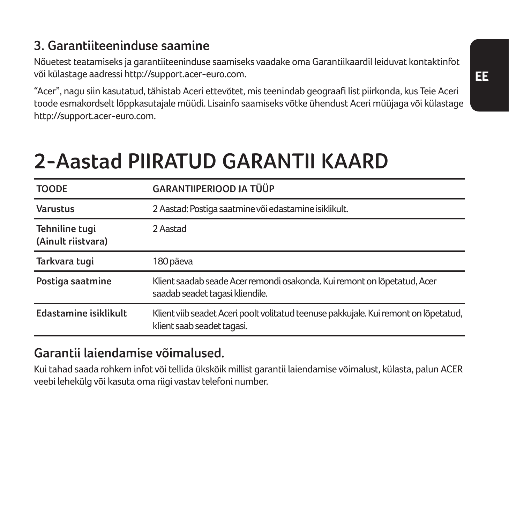## **3. Garantiiteeninduse saamine**

Nõuetest teatamiseks ja garantiiteeninduse saamiseks vaadake oma Garantiikaardil leiduvat kontaktinfot või külastage aadressi http://support.acer-euro.com.

"Acer", nagu siin kasutatud, tähistab Aceri ettevõtet, mis teenindab geograafi list piirkonda, kus Teie Aceri toode esmakordselt lõppkasutajale müüdi. Lisainfo saamiseks võtke ühendust Aceri müüjaga või külastage http://support.acer-euro.com.

# **2-Aastad PIIRATUD GARANTII KAARD**

| <b>TOODE</b>                         | GARANTIIPERIOOD JA TÜÜP                                                                                            |  |
|--------------------------------------|--------------------------------------------------------------------------------------------------------------------|--|
| Varustus                             | 2 Aastad: Postiga saatmine või edastamine isiklikult.                                                              |  |
| Tehniline tugi<br>(Ainult riistvara) | 2 Aastad                                                                                                           |  |
| Tarkvara tugi                        | 180 päeva                                                                                                          |  |
| Postiga saatmine                     | Klient saadab seade Acer remondi osakonda. Kui remont on lõpetatud, Acer<br>saadab seadet tagasi kliendile.        |  |
| Edastamine isiklikult                | Klient viib seadet Aceri poolt volitatud teenuse pakkujale. Kui remont on lõpetatud,<br>klient saab seadet tagasi. |  |

## **Garantii laiendamise võimalused.**

Kui tahad saada rohkem infot või tellida ükskõik millist garantii laiendamise võimalust, külasta, palun ACER veebi lehekülg või kasuta oma riigi vastav telefoni number.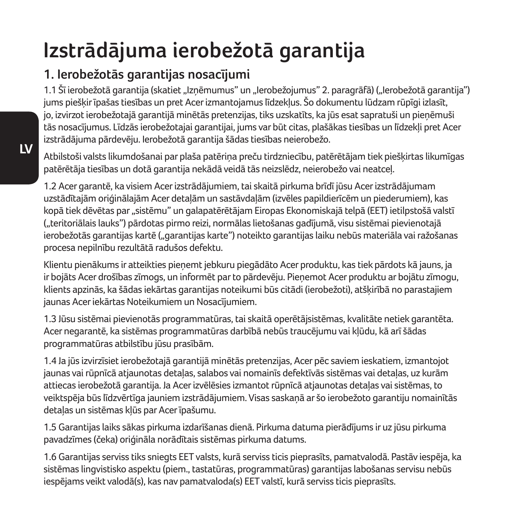# **Izstrādājuma ierobežotā garantija**

## **1. Ierobežotās garantijas nosacījumi**

1.1 Šī ierobežotā garantija (skatiet "Izņēmumus" un "Ierobežojumus" 2. paragrāfā) ("Ierobežotā garantija") jums piešķir īpašas tiesības un pret Acer izmantojamus līdzekļus. Šo dokumentu lūdzam rūpīgi izlasīt, jo, izvirzot ierobežotajā garantijā minētās pretenzijas, tiks uzskatīts, ka jūs esat sapratuši un pieņēmuši tās nosacījumus. Līdzās ierobežotajai garantijai, jums var būt citas, plašākas tiesības un līdzekļi pret Acer izstrādājuma pārdevēju. Ierobežotā garantija šādas tiesības neierobežo.

Atbilstoši valsts likumdošanai par plaša patēriņa preču tirdzniecību, patērētājam tiek piešķirtas likumīgas patērētāja tiesības un dotā garantija nekādā veidā tās neizslēdz, neierobežo vai neatceļ.

1.2 Acer garantē, ka visiem Acer izstrādājumiem, tai skaitā pirkuma brīdī jūsu Acer izstrādājumam uzstādītajām oriģinālajām Acer detaļām un sastāvdaļām (izvēles papildierīcēm un piederumiem), kas kopā tiek dēvētas par "sistēmu" un galapatērētājam Eiropas Ekonomiskajā telpā (EET) ietilpstošā valstī ("teritoriālais lauks") pārdotas pirmo reizi, normālas lietošanas gadījumā, visu sistēmai pievienotajā ierobežotās garantijas kartē ("garantijas karte") noteikto garantijas laiku nebūs materiāla vai ražošanas procesa nepilnību rezultātā radušos defektu.

Klientu pienākums ir atteikties pieņemt jebkuru piegādāto Acer produktu, kas tiek pārdots kā jauns, ja ir bojāts Acer drošības zīmogs, un informēt par to pārdevēju. Pieņemot Acer produktu ar bojātu zīmogu, klients apzinās, ka šādas iekārtas garantijas noteikumi būs citādi (ierobežoti), atšķirībā no parastajiem jaunas Acer iekārtas Noteikumiem un Nosacījumiem.

1.3 Jūsu sistēmai pievienotās programmatūras, tai skaitā operētājsistēmas, kvalitāte netiek garantēta. Acer negarantē, ka sistēmas programmatūras darbībā nebūs traucējumu vai kļūdu, kā arī šādas programmatūras atbilstību jūsu prasībām.

1.4 Ja jūs izvirzīsiet ierobežotajā garantijā minētās pretenzijas, Acer pēc saviem ieskatiem, izmantojot jaunas vai rūpnīcā atjaunotas detaļas, salabos vai nomainīs defektīvās sistēmas vai detaļas, uz kurām attiecas ierobežotā garantija. Ja Acer izvēlēsies izmantot rūpnīcā atjaunotas detaļas vai sistēmas, to veiktspēja būs līdzvērtīga jauniem izstrādājumiem. Visas saskaņā ar šo ierobežoto garantiju nomainītās detaļas un sistēmas kļūs par Acer īpašumu.

1.5 Garantijas laiks sākas pirkuma izdarīšanas dienā. Pirkuma datuma pierādījums ir uz jūsu pirkuma pavadzīmes (čeka) oriģināla norādītais sistēmas pirkuma datums.

1.6 Garantijas serviss tiks sniegts EET valsts, kurā serviss ticis pieprasīts, pamatvalodā. Pastāv iespēja, ka sistēmas lingvistisko aspektu (piem., tastatūras, programmatūras) garantijas labošanas servisu nebūs iespējams veikt valodā(s), kas nav pamatvaloda(s) EET valstī, kurā serviss ticis pieprasīts.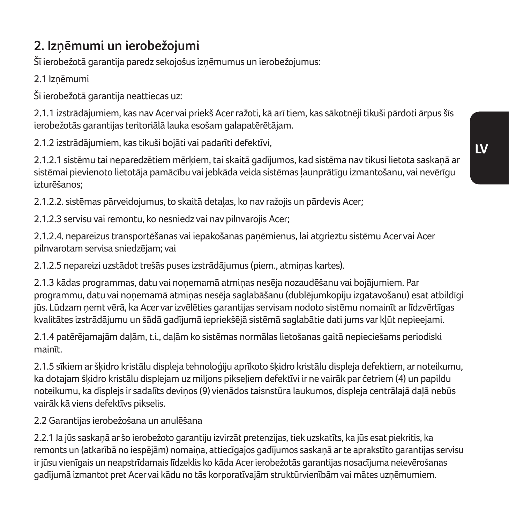## **2. Izņēmumi un ierobežojumi**

Šī ierobežotā garantija paredz sekojošus izņēmumus un ierobežojumus:

2.1 Izņēmumi

Šī ierobežotā garantija neattiecas uz:

2.1.1 izstrādājumiem, kas nav Acer vai priekš Acer ražoti, kā arī tiem, kas sākotnēji tikuši pārdoti ārpus šīs ierobežotās garantijas teritoriālā lauka esošam galapatērētājam.

2.1.2 izstrādājumiem, kas tikuši bojāti vai padarīti defektīvi,

2.1.2.1 sistēmu tai neparedzētiem mērķiem, tai skaitā gadījumos, kad sistēma nav tikusi lietota saskaņā ar sistēmai pievienoto lietotāja pamācību vai jebkāda veida sistēmas ļaunprātīgu izmantošanu, vai nevērīgu izturēšanos;

2.1.2.2. sistēmas pārveidojumus, to skaitā detaļas, ko nav ražojis un pārdevis Acer;

2.1.2.3 servisu vai remontu, ko nesniedz vai nav pilnvarojis Acer;

2.1.2.4. nepareizus transportēšanas vai iepakošanas paņēmienus, lai atgrieztu sistēmu Acer vai Acer pilnvarotam servisa sniedzējam; vai

2.1.2.5 nepareizi uzstādot trešās puses izstrādājumus (piem., atmiņas kartes).

2.1.3 kādas programmas, datu vai noņemamā atmiņas nesēja nozaudēšanu vai bojājumiem. Par programmu, datu vai noņemamā atmiņas nesēja saglabāšanu (dublējumkopiju izgatavošanu) esat atbildīgi jūs. Lūdzam ņemt vērā, ka Acer var izvēlēties garantijas servisam nodoto sistēmu nomainīt ar līdzvērtīgas kvalitātes izstrādājumu un šādā gadījumā iepriekšējā sistēmā saglabātie dati jums var kļūt nepieejami.

2.1.4 patērējamajām daļām, t.i., daļām ko sistēmas normālas lietošanas gaitā nepieciešams periodiski mainīt.

2.1.5 sīkiem ar šķidro kristālu displeja tehnoloģiju aprīkoto šķidro kristālu displeja defektiem, ar noteikumu, ka dotajam šķidro kristālu displejam uz miljons pikseļiem defektīvi ir ne vairāk par četriem (4) un papildu noteikumu, ka displejs ir sadalīts deviņos (9) vienādos taisnstūra laukumos, displeja centrālajā daļā nebūs vairāk kā viens defektīvs pikselis.

2.2 Garantijas ierobežošana un anulēšana

2.2.1 Ja jūs saskaņā ar šo ierobežoto garantiju izvirzāt pretenzijas, tiek uzskatīts, ka jūs esat piekritis, ka remonts un (atkarībā no iespējām) nomaiņa, attiecīgajos gadījumos saskaņā ar te aprakstīto garantijas servisu ir jūsu vienīgais un neapstrīdamais līdzeklis ko kāda Acer ierobežotās garantijas nosacījuma neievērošanas gadījumā izmantot pret Acer vai kādu no tās korporatīvajām struktūrvienībām vai mātes uzņēmumiem.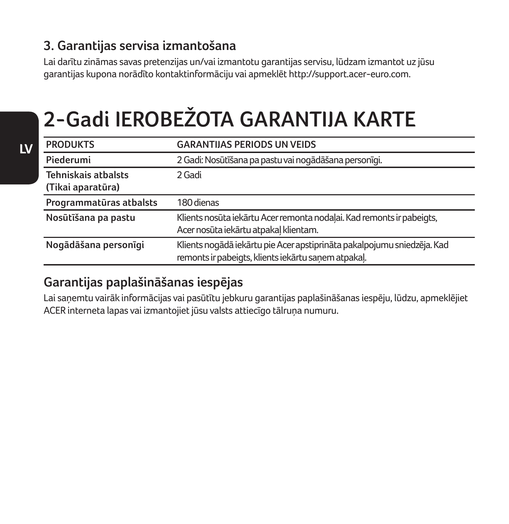## **3. Garantijas servisa izmantošana**

Lai darītu zināmas savas pretenzijas un/vai izmantotu garantijas servisu, lūdzam izmantot uz jūsu garantijas kupona norādīto kontaktinformāciju vai apmeklēt http://support.acer-euro.com.

# **2-Gadi IEROBEŽOTA GARANTIJA KARTE**

| <b>PRODUKTS</b>                          | <b>GARANTIJAS PERIODS UN VEIDS</b>                                                                                             |  |
|------------------------------------------|--------------------------------------------------------------------------------------------------------------------------------|--|
| Piederumi                                | 2 Gadi: Nosūtīšana pa pastu vai nogādāšana personīgi.                                                                          |  |
| Tehniskais atbalsts<br>(Tikai aparatūra) | 2 Gadi                                                                                                                         |  |
| Programmatūras atbalsts                  | 180 dienas                                                                                                                     |  |
| Nosūtīšana pa pastu                      | Klients nosūta iekārtu Acer remonta nodalai. Kad remonts ir pabeigts,<br>Acer nosūta iekārtu atpakal klientam.                 |  |
| Nogādāšana personīgi                     | Klients nogādā iekārtu pie Acer apstiprināta pakalpojumu sniedzēja. Kad<br>remonts ir pabeigts, klients iekārtu sanem atpakal. |  |

### **Garantijas paplašināšanas iespējas**

Lai saņemtu vairāk informācijas vai pasūtītu jebkuru garantijas paplašināšanas iespēju, lūdzu, apmeklējiet ACER interneta lapas vai izmantojiet jūsu valsts attiecīgo tālruņa numuru.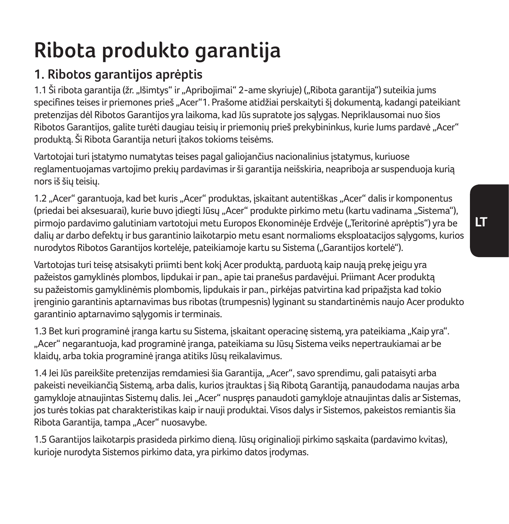# **Ribota produkto garantija**

## **1. Ribotos garantijos aprėptis**

1.1 Ši ribota garantija (žr. "Išimtys" ir "Apribojimai" 2-ame skyriuje) ("Ribota garantija") suteikia jums specifines teises ir priemones prieš "Acer"1. Prašome atidžiai perskaityti šį dokumentą, kadangi pateikiant pretenzijas dėl Ribotos Garantijos yra laikoma, kad Jūs supratote jos sąlygas. Nepriklausomai nuo šios Ribotos Garantijos, galite turėti daugiau teisių ir priemonių prieš prekybininkus, kurie Jums pardavė "Acer" produktą. Ši Ribota Garantija neturi įtakos tokioms teisėms.

Vartotojai turi įstatymo numatytas teises pagal galiojančius nacionalinius įstatymus, kuriuose reglamentuojamas vartojimo prekių pardavimas ir ši garantija neišskiria, neapriboja ar suspenduoja kurią nors iš šių teisių.

1.2 "Acer" garantuoja, kad bet kuris "Acer" produktas, įskaitant autentiškas "Acer" dalis ir komponentus (priedai bei aksesuarai), kurie buvo įdiegti Jūsų "Acer" produkte pirkimo metu (kartu vadinama "Sistema"), pirmojo pardavimo galutiniam vartotojui metu Europos Ekonominėje Erdvėje ("Teritorinė aprėptis") yra be dalių ar darbo defektų ir bus garantinio laikotarpio metu esant normalioms eksploatacijos sąlygoms, kurios nurodytos Ribotos Garantijos kortelėje, pateikiamoje kartu su Sistema ("Garantijos kortelė").

Vartotojas turi teisę atsisakyti priimti bent kokį Acer produktą, parduotą kaip naują prekę jeigu yra pažeistos gamyklinės plombos, lipdukai ir pan., apie tai pranešus pardavėjui. Priimant Acer produktą su pažeistomis gamyklinėmis plombomis, lipdukais ir pan., pirkėjas patvirtina kad pripažįsta kad tokio įrenginio garantinis aptarnavimas bus ribotas (trumpesnis) lyginant su standartinėmis naujo Acer produkto garantinio aptarnavimo salvgomis ir terminais.

1.3 Bet kuri programinė įranga kartu su Sistema, įskaitant operacinę sistemą, yra pateikiama "Kaip yra". "Acer" negarantuoja, kad programinė įranga, pateikiama su Jūsų Sistema veiks nepertraukiamai ar be klaidų, arba tokia programinė įranga atitiks Jūsų reikalavimus.

1.4 Jei Jūs pareikšite pretenzijas remdamiesi šia Garantija, "Acer", savo sprendimu, gali pataisyti arba pakeisti neveikiančią Sistemą, arba dalis, kurios įtrauktas į šią Ribotą Garantiją, panaudodama naujas arba gamykloje atnaujintas Sistemų dalis. Jei "Acer" nuspręs panaudoti gamykloje atnaujintas dalis ar Sistemas, jos turės tokias pat charakteristikas kaip ir nauji produktai. Visos dalys ir Sistemos, pakeistos remiantis šia .<br>Ribota Garantija, tampa "Acer" nuosavybe.

1.5 Garantijos laikotarpis prasideda pirkimo dieną. Jūsų originalioji pirkimo sąskaita (pardavimo kvitas), kurioje nurodyta Sistemos pirkimo data, yra pirkimo datos įrodymas.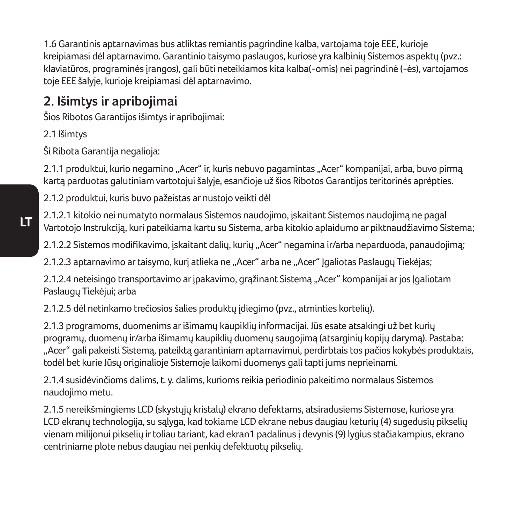1.6 Garantinis aptarnavimas bus atliktas remiantis pagrindine kalba, vartojama toje EEE, kurioje kreipiamasi dėl aptarnavimo. Garantinio taisymo paslaugos, kuriose yra kalbinių Sistemos aspektų (pvz.: klaviatūros, programinės įrangos), gali būti neteikiamos kita kalba(-omis) nei pagrindinė (-ės), vartojamos toje EEE šalyje, kurioje kreipiamasi dėl aptarnavimo.

## **2. Išimtys ir apribojimai**

Šios Ribotos Garantijos išimtys ir apribojimai:

2.1 Išimtys

Ši Ribota Garantija negalioja:

2.1.1 produktui, kurio negamino "Acer" ir, kuris nebuvo pagamintas "Acer" kompanijai, arba, buvo pirmą kartą parduotas galutiniam vartotojui šalyje, esančioje už šios Ribotos Garantijos teritorinės aprėpties.

2.1.2 produktui, kuris buvo pažeistas ar nustojo veikti dėl

2.1.2.1 kitokio nei numatyto normalaus Sistemos naudojimo, įskaitant Sistemos naudojimą ne pagal Vartotojo Instrukciją, kuri pateikiama kartu su Sistema, arba kitokio aplaidumo ar piktnaudžiavimo Sistema;

2.1.2.2 Sistemos modifikavimo, įskaitant dalių, kurių "Acer" negamina ir/arba neparduoda, panaudojimą;

2.1.2.3 aptarnavimo ar taisymo, kurį atlieka ne "Acer" arba ne "Acer" Įgaliotas Paslaugų Tiekėjas;

2.1.2.4 neteisingo transportavimo ar įpakavimo, grąžinant Sistemą "Acer" kompanijai ar jos Joaliotam Paslaugų Tiekėjui; arba

2.1.2.5 dėl netinkamo trečiosios šalies produktų įdiegimo (pvz., atminties kortelių).

2.1.3 programoms, duomenims ar išimamų kaupiklių informacijai. Jūs esate atsakingi už bet kurių programų, duomenų ir/arba išimamų kaupiklių duomenų saugojimą (atsarginių kopijų darymą). Pastaba: "Acer" gali pakeisti Sistemą, pateiktą garantiniam aptarnavimui, perdirbtais tos pačios kokybės produktais, todėl bet kurie Jūsų originalioje Sistemoje laikomi duomenys gali tapti jums neprieinami.

2.1.4 susidėvinčioms dalims, t. y. dalims, kurioms reikia periodinio pakeitimo normalaus Sistemos naudojimo metu.

2.1.5 nereikšmingiems LCD (skystųjų kristalų) ekrano defektams, atsiradusiems Sistemose, kuriose yra LCD ekranų technologija, su sąlyga, kad tokiame LCD ekrane nebus daugiau keturių (4) sugedusių pikselių vienam milijonui pikselių ir toliau tariant, kad ekran1 padalinus į devynis (9) lygius stačiakampius, ekrano centriniame plote nebus daugiau nei penkių defektuotų pikselių.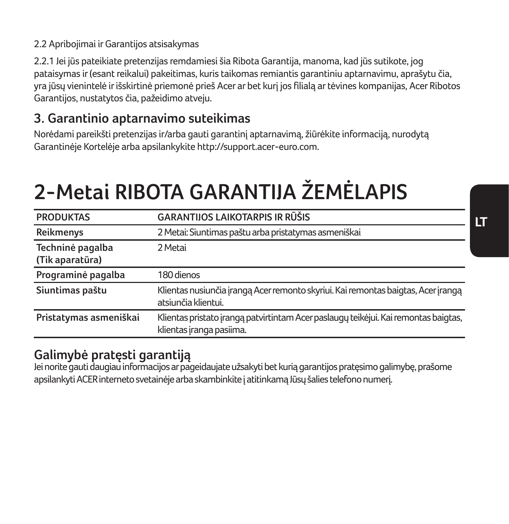#### 2.2 Apribojimai ir Garantijos atsisakymas

2.2.1 Jei jūs pateikiate pretenzijas remdamiesi šia Ribota Garantija, manoma, kad jūs sutikote, jog pataisymas ir (esant reikalui) pakeitimas, kuris taikomas remiantis garantiniu aptarnavimu, aprašytu čia, yra jūsų vienintelė ir išskirtinė priemonė prieš Acer ar bet kurį jos filialą ar tėvines kompanijas, Acer Ribotos Garantijos, nustatytos čia, pažeidimo atveju.

### **3. Garantinio aptarnavimo suteikimas**

Norėdami pareikšti pretenzijas ir/arba gauti garantinį aptarnavimą, žiūrėkite informaciją, nurodytą Garantinėje Kortelėje arba apsilankykite http://support.acer-euro.com.

# **2-Metai RIBOTA GARANTIJA ŽEMĖLAPIS**

| <b>PRODUKTAS</b>                    | GARANTIJOS LAIKOTARPIS IR RŪŠIS                                                                                 |
|-------------------------------------|-----------------------------------------------------------------------------------------------------------------|
| Reikmenys                           | 2 Metai: Siuntimas paštu arba pristatymas asmeniškai                                                            |
| Techninė pagalba<br>(Tik aparatūra) | 2 Metai                                                                                                         |
| Programinė pagalba                  | 180 dienos                                                                                                      |
| Siuntimas paštu                     | Klientas nusiunčia įrangą Acer remonto skyriui. Kai remontas baigtas, Acer įrangą<br>atsiunčia klientui.        |
| Pristatymas asmeniškai              | Klientas pristato įrangą patvirtintam Acer paslaugų teikėjui. Kai remontas baigtas,<br>klientas įranga pasiima. |

## **Galimybė pratęsti garantiją**

Jei norite gauti daugiau informacijos ar pageidaujate užsakyti bet kurią garantijos pratęsimo galimybę, prašome apsilankyti ACER interneto svetainėje arba skambinkite į atitinkamą Jūsų šalies telefono numerį.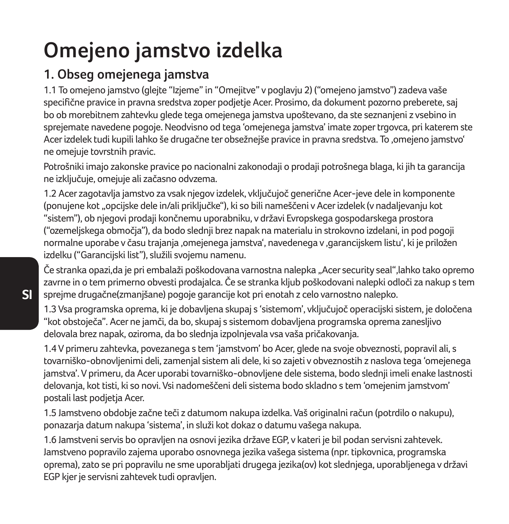# **Omejeno jamstvo izdelka**

## **1. Obseg omejenega jamstva**

1.1 To omejeno jamstvo (glejte "Izjeme" in "Omejitve" v poglavju 2) ("omejeno jamstvo") zadeva vaše specifične pravice in pravna sredstva zoper podjetje Acer. Prosimo, da dokument pozorno preberete, saj bo ob morebitnem zahtevku glede tega omejenega jamstva upoštevano, da ste seznanjeni z vsebino in sprejemate navedene pogoje. Neodvisno od tega 'omejenega jamstva' imate zoper trgovca, pri katerem ste Acer izdelek tudi kupili lahko še drugačne ter obsežnejše pravice in pravna sredstva. To 'omejeno jamstvo' ne omejuje tovrstnih pravic.

Potrošniki imajo zakonske pravice po nacionalni zakonodaji o prodaji potrošnega blaga, ki jih ta garancija ne izključuje, omejuje ali začasno odvzema.

1.2 Acer zagotavlja jamstvo za vsak njegov izdelek, vključujoč generične Acer-jeve dele in komponente (ponujene kot "opcijske dele in/ali priključke"), ki so bili nameščeni v Acer izdelek (v nadaljevanju kot "sistem"), ob njegovi prodaji končnemu uporabniku, v državi Evropskega gospodarskega prostora ("ozemeljskega območja"), da bodo slednji brez napak na materialu in strokovno izdelani, in pod pogoji normalne uporabe v času trajanja 'omejenega jamstva', navedenega v 'garancijskem listu', ki je priložen izdelku ("Garancijski list"), služili svojemu namenu.

Če stranka opazi,da je pri embalaži poškodovana varnostna nalepka "Acer security seal",lahko tako opremo zavrne in o tem primerno obvesti prodajalca. Če se stranka kljub poškodovani nalepki odloči za nakup s tem sprejme drugačne(zmanjšane) pogoje garancije kot pri enotah z celo varnostno nalepko.

1.3 Vsa programska oprema, ki je dobavljena skupaj s 'sistemom', vključujoč operacijski sistem, je določena "kot obstoječa". Acer ne jamči, da bo, skupaj s sistemom dobavljena programska oprema zanesljivo delovala brez napak, oziroma, da bo slednja izpolnjevala vsa vaša pričakovanja.

1.4 V primeru zahtevka, povezanega s tem 'jamstvom' bo Acer, glede na svoje obveznosti, popravil ali, s tovarniško-obnovljenimi deli, zamenjal sistem ali dele, ki so zajeti v obveznostih z naslova tega 'omejenega jamstva'. V primeru, da Acer uporabi tovarniško-obnovljene dele sistema, bodo slednji imeli enake lastnosti delovanja, kot tisti, ki so novi. Vsi nadomeščeni deli sistema bodo skladno s tem 'omejenim jamstvom' postali last podjetja Acer.

1.5 Jamstveno obdobje začne teči z datumom nakupa izdelka. Vaš originalni račun (potrdilo o nakupu), ponazarja datum nakupa 'sistema', in služi kot dokaz o datumu vašega nakupa.

1.6 Jamstveni servis bo opravljen na osnovi jezika države EGP, v kateri je bil podan servisni zahtevek. Jamstveno popravilo zajema uporabo osnovnega jezika vašega sistema (npr. tipkovnica, programska oprema), zato se pri popravilu ne sme uporabljati drugega jezika(ov) kot slednjega, uporabljenega v državi EGP kjer je servisni zahtevek tudi opravljen.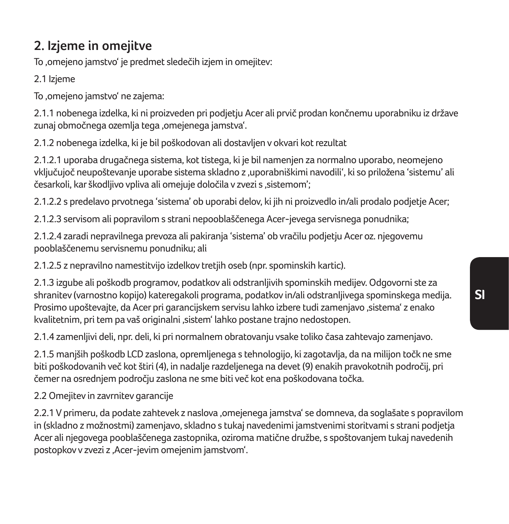## **2. Izjeme in omejitve**

To .omejeno jamstvo' je predmet sledečih izjem in omejitev:

2.1 Izjeme

To 'omejeno jamstvo' ne zajema:

2.1.1 nobenega izdelka, ki ni proizveden pri podjetju Acer ali prvič prodan končnemu uporabniku iz države zunaj območnega ozemlja tega .omejenega jamstva'.

2.1.2 nobenega izdelka, ki je bil poškodovan ali dostavljen v okvari kot rezultat

2.1.2.1 uporaba drugačnega sistema, kot tistega, ki je bil namenjen za normalno uporabo, neomejeno vključujoč neupoštevanje uporabe sistema skladno z 'uporabniškimi navodili', ki so priložena 'sistemu' ali česarkoli, kar škodlijvo vpliva ali omejuje določila v zvezi s .sistemom':

2.1.2.2 s predelavo prvotnega 'sistema' ob uporabi delov, ki jih ni proizvedlo in/ali prodalo podjetje Acer;

2.1.2.3 servisom ali popravilom s strani nepooblaščenega Acer-jevega servisnega ponudnika;

2.1.2.4 zaradi nepravilnega prevoza ali pakiranja 'sistema' ob vračilu podjetju Acer oz. njegovemu pooblaščenemu servisnemu ponudniku; ali

2.1.2.5 z nepravilno namestitvijo izdelkov tretjih oseb (npr. spominskih kartic).

2.1.3 izgube ali poškodb programov, podatkov ali odstranljivih spominskih medijev. Odgovorni ste za shranitev (varnostno kopijo) kateregakoli programa, podatkov in/ali odstranljivega spominskega medija. Prosimo upoštevajte, da Acer pri garancijskem servisu lahko izbere tudi zamenjavo ,sistema' z enako kvalitetnim, pri tem pa vaš originalni 'sistem' lahko postane trajno nedostopen.

2.1.4 zamenljivi deli, npr. deli, ki pri normalnem obratovanju vsake toliko časa zahtevajo zamenjavo.

2.1.5 manjših poškodb LCD zaslona, opremljenega s tehnologijo, ki zagotavlja, da na milijon točk ne sme biti poškodovanih več kot štiri (4), in nadalje razdeljenega na devet (9) enakih pravokotnih področij, pri čemer na osrednjem področju zaslona ne sme biti več kot ena poškodovana točka.

2.2 Omejitev in zavrnitev garancije

2.2.1 V primeru, da podate zahtevek z naslova ,omejenega jamstva' se domneva, da soglašate s popravilom in (skladno z možnostmi) zamenjavo, skladno s tukaj navedenimi jamstvenimi storitvami s strani podjetja Acer ali njegovega pooblaščenega zastopnika, oziroma matične družbe, s spoštovanjem tukaj navedenih postopkov v zvezi z 'Acer-jevim omejenim jamstvom'.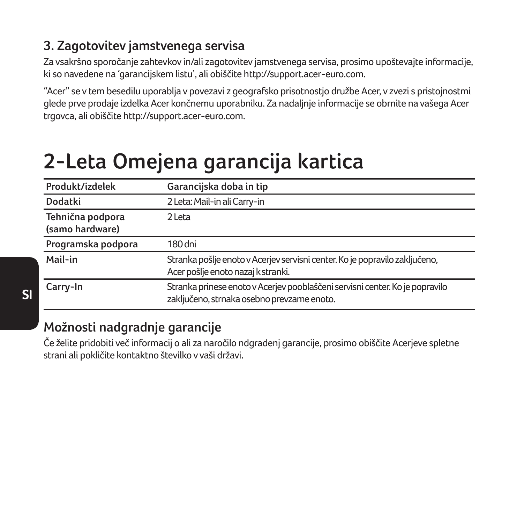## **3. Zagotovitev jamstvenega servisa**

Za vsakršno sporočanje zahtevkov in/ali zagotovitev jamstvenega servisa, prosimo upoštevajte informacije, ki so navedene na 'garancijskem listu', ali obiščite http://support.acer-euro.com.

"Acer" se v tem besedilu uporablja v povezavi z geografsko prisotnostjo družbe Acer, v zvezi s pristojnostmi glede prve prodaje izdelka Acer končnemu uporabniku. Za nadaljnje informacije se obrnite na vašega Acer trgovca, ali obiščite http://support.acer-euro.com.

# **2-Leta Omejena garancija kartica**

| Produkt/izdelek                     | Garancijska doba in tip                                                                                                    |
|-------------------------------------|----------------------------------------------------------------------------------------------------------------------------|
| Dodatki                             | 2 Leta: Mail-in ali Carry-in                                                                                               |
| Tehnična podpora<br>(samo hardware) | 2 Leta                                                                                                                     |
| Programska podpora                  | 180 dni                                                                                                                    |
| Mail-in                             | Stranka pošlje enoto v Acerjev servisni center. Ko je popravilo zaključeno,<br>Acer pošlje enoto nazaj k stranki.          |
| Carry-In                            | Stranka prinese enoto v Acerjev pooblaščeni servisni center. Ko je popravilo<br>zaključeno, strnaka osebno prevzame enoto. |

## **Možnosti nadgradnje garancije**

Če želite pridobiti več informacij o ali za naročilo ndgradenj garancije, prosimo obiščite Acerjeve spletne strani ali pokličite kontaktno številko v vaši državi.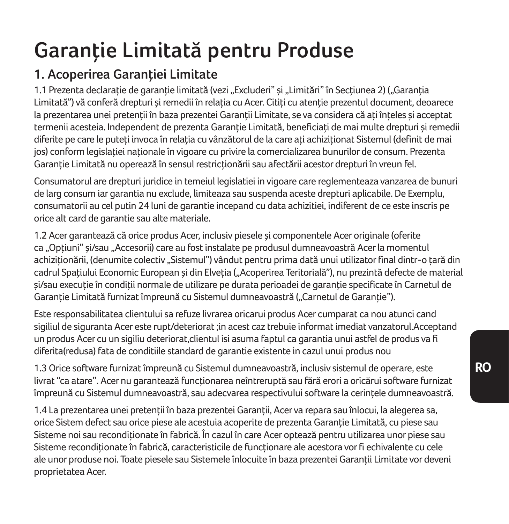# **Garanţie Limitată pentru Produse**

## **1. Acoperirea Garanţiei Limitate**

1.1 Prezenta declarație de garanție limitată (vezi "Excluderi" și "Limitări" în Secțiunea 2) ("Garanția Limitată") vă conferă drepturi și remedii în relația cu Acer. Citiți cu atenție prezentul document, deoarece la prezentarea unei pretenții în baza prezenței Garanții Limitate, se va considera că ați înțeles și acceptat termenii acesteia. Independent de prezenta Garantie Limitată, beneficiati de mai multe drepturi și remedii diferite pe care le puteți invoca în relația cu vânzătorul de la care ați achiziționat Sistemul (definit de mai jos) conform legislatiei nationale în vigoare cu privire la comercializarea bunurilor de consum. Prezenta Garantie Limitată nu operează în sensul restricționării sau afectării acestor drepturi în vreun fel.

Consumatorul are drepturi juridice in temeiul legislatiei in vigoare care reglementeaza vanzarea de bunuri de larg consum iar garantia nu exclude, limiteaza sau suspenda aceste drepturi aplicabile. De Exemplu, consumatorii au cel putin 24 luni de garantie incepand cu data achizitiei, indiferent de ce este inscris pe orice alt card de garantie sau alte materiale.

1.2 Acer garantează că orice produs Acer, inclusiv piesele şi componentele Acer originale (oferite ca "Optiuni" și/sau "Accesorii) care au fost instalate pe produsul dumneavoastră Acer la momentul achizitionării, (denumite colectiv "Sistemul") vândut pentru prima dată unui utilizator final dintr-o tară din cadrul Spatiului Economic European și din Elveția ("Acoperirea Teritorială"), nu prezintă defecte de material si/sau executie în condiții normale de utilizare pe durata perioadei de garanție specificate în Carnetul de Garanție Limitată furnizat împreună cu Sistemul dumneavoastră ("Carnetul de Garanție").

Este responsabilitatea clientului sa refuze livrarea oricarui produs Acer cumparat ca nou atunci cand sigiliul de siguranta Acer este rupt/deteriorat ;in acest caz trebuie informat imediat vanzatorul.Acceptand un produs Acer cu un sigiliu deteriorat,clientul isi asuma faptul ca garantia unui astfel de produs va fi diferita(redusa) fata de conditiile standard de garantie existente in cazul unui produs nou

1.3 Orice software furnizat împreună cu Sistemul dumneavoastră, inclusiv sistemul de operare, este livrat "ca atare". Acer nu garantează functionarea neîntreruptă sau fără erori a oricărui software furnizat împreună cu Sistemul dumneavoastră, sau adecvarea respectivului software la cerinţele dumneavoastră.

1.4 La prezentarea unei pretenții în baza prezentei Garanții, Acer va repara sau înlocui, la alegerea sa, orice Sistem defect sau orice piese ale acestuia acoperite de prezenta Garanţie Limitată, cu piese sau Sisteme noi sau recondiționate în fabrică. În cazul în care Acer optează pentru utilizarea unor piese sau Sisteme reconditionate în fabrică, caracteristicile de functionare ale acestora vor fi echivalente cu cele ale unor produse noi. Toate piesele sau Sistemele înlocuite în baza prezentei Garanții Limitate vor deveni proprietatea Acer.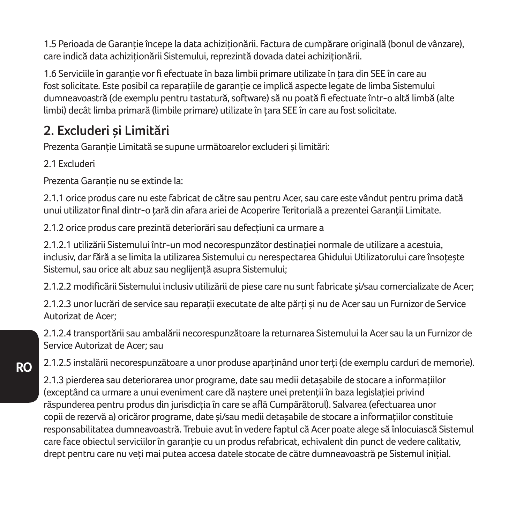1.5 Perioada de Garanție începe la data achiziționării. Factura de cumpărare originală (bonul de vânzare), care indică data achiziționării Sistemului, reprezintă dovada datei achiziționării.

1.6 Serviciile în garanție vor fi efectuate în baza limbii primare utilizate în țara din SEE în care au fost solicitate. Este posibil ca reparatiile de garanție ce implică aspecte legate de limba Sistemului dumneavoastră (de exemplu pentru tastatură, software) să nu poată fi efectuate într-o altă limbă (alte limbi) decât limba primară (limbile primare) utilizate în tara SEE în care au fost solicitate.

## **2. Excluderi şi Limitări**

Prezenta Garanție Limitată se supune următoarelor excluderi și limitări:

2.1 Excluderi

Prezenta Garantie nu se extinde la:

2.1.1 orice produs care nu este fabricat de către sau pentru Acer, sau care este vândut pentru prima dată unui utilizator final dintr-o tară din afara ariei de Acoperire Teritorială a prezentei Garanții Limitate.

2.1.2 orice produs care prezintă deteriorări sau defecțiuni ca urmare a

2.1.2.1 utilizării Sistemului într-un mod necorespunzător destinației normale de utilizare a acestuia. inclusiv, dar fără a se limita la utilizarea Sistemului cu nerespectarea Ghidului Utilizatorului care însotește Sistemul, sau orice alt abuz sau neglijenţă asupra Sistemului;

2.1.2.2 modificării Sistemului inclusiv utilizării de piese care nu sunt fabricate şi/sau comercializate de Acer;

2.1.2.3 unor lucrări de service sau reparații executate de alte părți și nu de Acer sau un Furnizor de Service Autorizat de Acer;

2.1.2.4 transportării sau ambalării necorespunzătoare la returnarea Sistemului la Acer sau la un Furnizor de Service Autorizat de Acer; sau

2.1.2.5 instalării necorespunzătoare a unor produse aparţinând unor terţi (de exemplu carduri de memorie).

2.1.3 pierderea sau deteriorarea unor programe, date sau medii detasabile de stocare a informatiilor (exceptând ca urmare a unui eveniment care dă naștere unei pretenții în baza legislației privind răspunderea pentru produs din jurisdicția în care se află Cumpărătorul). Salvarea (efectuarea unor copii de rezervă a) oricăror programe, date si/sau medii detasabile de stocare a informatiilor constituie responsabilitatea dumneavoastră. Trebuie avut în vedere faptul că Acer poate alege să înlocuiască Sistemul care face objectul serviciilor în garanție cu un produs refabricat, echivalent din punct de vedere calitativ, drept pentru care nu veți mai putea accesa datele stocate de către dumneavoastră pe Sistemul inițial.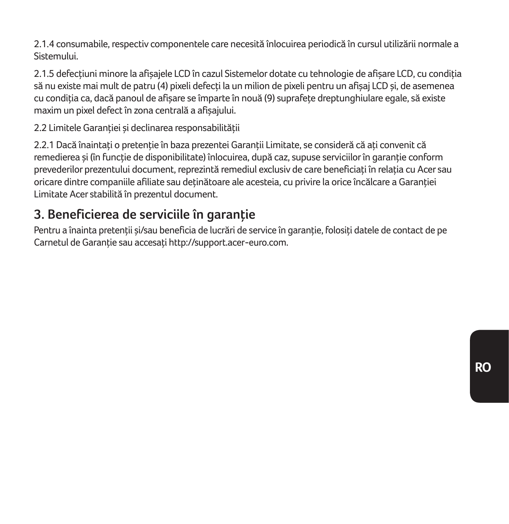2.1.4 consumabile, respectiv componentele care necesită înlocuirea periodică în cursul utilizării normale a Sistemului.

2.1.5 defectiuni minore la afisajele LCD în cazul Sistemelor dotate cu tehnologie de afisare LCD, cu conditia să nu existe mai mult de patru (4) pixeli defecți la un milion de pixeli pentru un afișaj LCD și, de asemenea cu conditia ca, dacă panoul de afisare se împarte în nouă (9) suprafețe dreptunghiulare egale, să existe maxim un pixel defect în zona centrală a afişajului.

2.2 Limitele Garanției și declinarea responsabilității

2.2.1 Dacă înaintați o pretenție în baza prezenței Garanții Limitate, se consideră că ați convenit că remedierea și (în funcție de disponibilitate) înlocuirea, după caz, supuse serviciilor în garanție conform prevederilor prezentului document, reprezintă remediul exclusiv de care beneficiati în relatia cu Acer sau oricare dintre companiile afiliate sau deținătoare ale acesteia, cu privire la orice încălcare a Garanției Limitate Acer stabilită în prezentul document.

## **3. Beneficierea de serviciile în garanţie**

Pentru a înainta pretenții și/sau beneficia de lucrări de service în garanție, folosiți datele de contact de pe Carnetul de Garantie sau accesati http://support.acer-euro.com.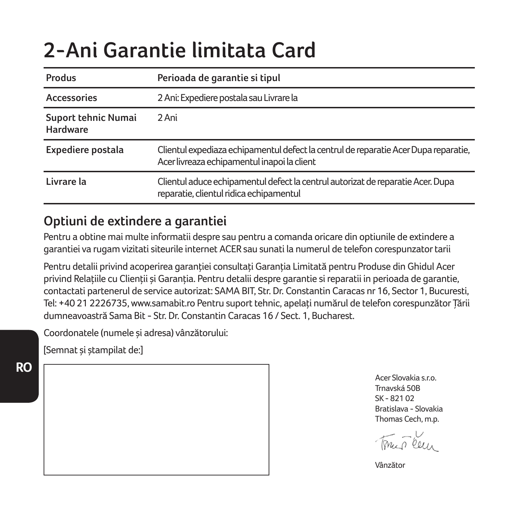# **2-Ani Garantie limitata Card**

| Produs                          | Perioada de garantie si tipul                                                                                                      |  |
|---------------------------------|------------------------------------------------------------------------------------------------------------------------------------|--|
| Accessories                     | 2 Ani: Expediere postala sau Livrare la                                                                                            |  |
| Suport tehnic Numai<br>Hardware | 2 Ani                                                                                                                              |  |
| Expediere postala               | Clientul expediaza echipamentul defect la centrul de reparatie Acer Dupa reparatie,<br>Acer livreaza echipamentul inapoi la client |  |
| Livrare la                      | Clientul aduce echipamentul defect la centrul autorizat de reparatie Acer. Dupa<br>reparatie, clientul ridica echipamentul         |  |

## **Optiuni de extindere a garantiei**

Pentru a obtine mai multe informatii despre sau pentru a comanda oricare din optiunile de extindere a garantiei va rugam vizitati siteurile internet ACER sau sunati la numerul de telefon corespunzator tarii

Pentru detalii privind acoperirea garantiei consultați Garanția Limitată pentru Produse din Ghidul Acer privind Relatiile cu Clientii și Garantia. Pentru detalii despre garantie și reparatii in perioada de garantie, contactati partenerul de service autorizat: SAMA BIT, Str. Dr. Constantin Caracas nr 16, Sector 1, Bucuresti, Tel: +40 21 2226735, www.samabit.ro Pentru suport tehnic, apelaţi numărul de telefon corespunzător Ţării dumneavoastră Sama Bit - Str. Dr. Constantin Caracas 16 / Sect. 1, Bucharest.

Coordonatele (numele şi adresa) vânzătorului:

[Semnat şi ştampilat de:]

**RO**

Acer Slovakia s.r.o. Trnavská 50B SK - 821.02 Bratislava - Slovakia Thomas Cech, m.p.

min Ceur

Vânzător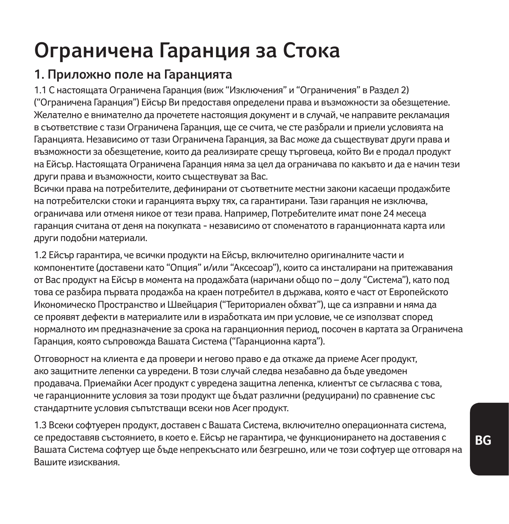# **Ограничена Гаранция за Стока**

## **1. Приложно поле на Гаранцията**

1.1 С настоящата Ограничена Гаранция (виж "Изключения" и "Ограничения" в Раздел 2) ("Ограничена Гаранция") Ейсър Ви предоставя определени права и възможности за обезщетение. Желателно е внимателно да прочетете настоящия документ и в случай, че направите рекламация в съответствие с тази Ограничена Гаранция, ще се счита, че сте разбрали и приели условията на Гаранцията. Независимо от тази Ограничена Гаранция, за Вас може да съществуват други права и възможности за обезщетение, които да реализирате срещу търговеца, който Ви е продал продукт на Ейсър. Настоящата Ограничена Гаранция няма за цел да ограничава по какъвто и да е начин тези други права и възможности, които съществуват за Вас.

Всички права на потребителите, дефинирани от съответните местни закони касаещи продажбите на потребителски стоки и гаранцията върху тях, са гарантирани. Тази гаранция не изключва, ограничава или отменя никое от тези права. Например, Потребителите имат поне 24 месеца гаранция считана от деня на покупката - независимо от споменатото в гаранционната карта или други подобни материали.

1.2 Ейсър гарантира, че всички продукти на Ейсър, включително оригиналните части и компонентите (доставени като "Опция" и/или "Аксесоар"), които са инсталирани на притежавания от Вас продукт на Ейсър в момента на продажбата (наричани общо по – долу "Система"), като под това се разбира първата продажба на краен потребител в държава, която е част от Европейското Икономическо Пространство и Швейцария ("Териториален обхват"), ще са изправни и няма да се проявят дефекти в материалите или в изработката им при условие, че се използват според нормалното им предназначение за срока на гаранционния период, посочен в картата за Ограничена Гаранция, която съпровожда Вашата Система ("Гаранционна карта").

Отговорност на клиента е да провери и негово право е да откаже да приеме Acer продукт, ако защитните лепенки са увредени. В този случай следва незабавно да бъде уведомен продавача. Приемайки Acer продукт с увредена защитна лепенка, клиентът се съгласява с това, че гаранционните условия за този продукт ще бъдат различни (редуцирани) по сравнение със стандартните условия съпътстващи всеки нов Acer продукт.

1.3 Всеки софтуерен продукт, доставен с Вашата Система, включително операционната система, се предоставяв състоянието, в което е. Ейсър не гарантира, че функционирането на доставения с Вашата Система софтуер ще бъде непрекъснато или безгрешно, или че този софтуер ще отговаря на Вашите изисквания.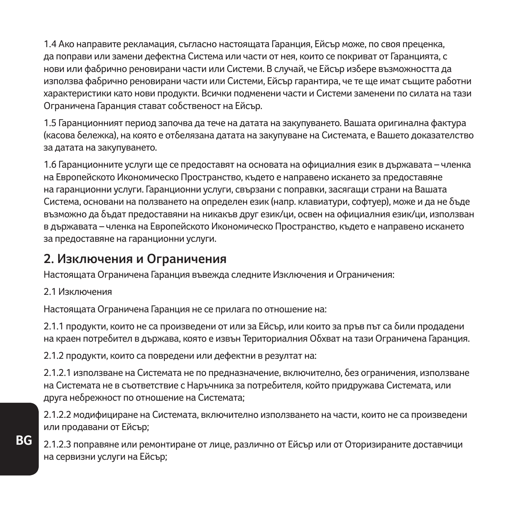1.4 Ако направите рекламация, съгласно настоящата Гаранция, Ейсър може, по своя преценка, да поправи или замени дефектна Система или части от нея, които се покриват от Гаранцията, с нови или фабрично реновирани части или Системи. В случай, че Ейсър избере възможността да използва фабрично реновирани части или Системи, Ейсър гарантира, че те ще имат същите работни характеристики като нови продукти. Всички подменени части и Системи заменени по силата на тази Ограничена Гаранция стават собственост на Ейсър.

1.5 Гаранционният период започва да тече на датата на закупуването. Вашата оригинална фактура (касова бележка), на която е отбелязана датата на закупуване на Системата, е Вашето доказателство за датата на закупуването.

1.6 Гаранционните услуги ще се предоставят на основата на официалния език в държавата – членка на Европейското Икономическо Пространство, където е направено искането за предоставяне на гаранционни услуги. Гаранционни услуги, свързани с поправки, засягащи страни на Вашата Система, основани на ползването на определен език (напр. клавиатури, софтуер), може и да не бъде възможно да бъдат предоставяни на никакъв друг език/ци, освен на официалния език/ци, използван в държавата – членка на Европейското Икономическо Пространство, където е направено искането за предоставяне на гаранционни услуги.

### **2. Изключения и Ограничения**

Настоящата Ограничена Гаранция въвежда следните Изключения и Ограничения:

#### 2.1 Изключения

Настоящата Ограничена Гаранция не се прилага по отношение на:

2.1.1 продукти, които не са произведени от или за Ейсър, или които за пръв път са били продадени на краен потребител в държава, която е извън Териториалния Обхват на тази Ограничена Гаранция.

2.1.2 продукти, които са повредени или дефектни в резултат на:

2.1.2.1 използване на Системата не по предназначение, включително, без ограничения, използване на Системата не в съответствие с Наръчника за потребителя, който придружава Системата, или друга небрежност по отношение на Системата;

2.1.2.2 модифициране на Системата, включително използването на части, които не са произведени или продавани от Ейсър;

2.1.2.3 поправяне или ремонтиране от лице, различно от Ейсър или от Оторизираните доставчици на сервизни услуги на Ейсър;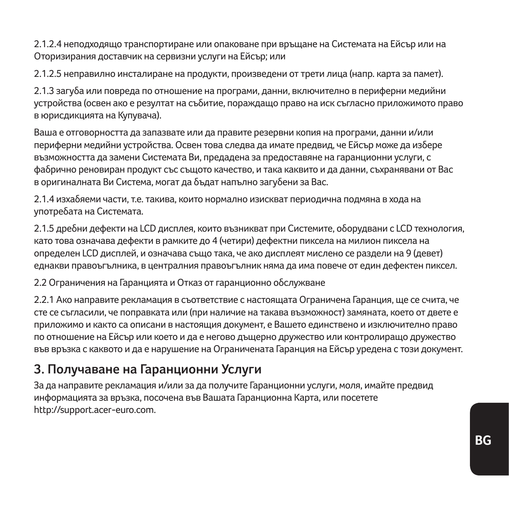2.1.2.4 неподходящо транспортиране или опаковане при връщане на Системата на Ейсър или на Оторизирания доставчик на сервизни услуги на Ейсър; или

2.1.2.5 неправилно инсталиране на продукти, произведени от трети лица (напр. карта за памет).

2.1.3 загуба или повреда по отношение на програми, данни, включително в периферни медийни устройства (освен ако е резултат на събитие, пораждащо право на иск съгласно приложимото право в юрисдикцията на Купувача).

Ваша е отговорността да запазвате или да правите резервни копия на програми, данни и/или периферни медийни устройства. Освен това следва да имате предвид, че Ейсър може да избере възможността да замени Системата Ви, предадена за предоставяне на гаранционни услуги, с фабрично реновиран продукт със същото качество, и така каквито и да данни, съхранявани от Вас в оригиналната Ви Система, могат да бъдат напълно загубени за Вас.

2.1.4 изхабяеми части, т.е. такива, които нормално изискват периодична подмяна в хода на употребата на Системата.

2.1.5 дребни дефекти на LCD дисплея, които възникват при Системите, оборудвани с LCD технология, като това означава дефекти в рамките до 4 (четири) дефектни пиксела на милион пиксела на определен LCD дисплей, и означава също така, че ако дисплеят мислено се раздели на 9 (девет) еднакви правоъгълника, в централния правоъгълник няма да има повече от един дефектен пиксел.

2.2 Ограничения на Гаранцията и Отказ от гаранционно обслужване

2.2.1 Ако направите рекламация в съответствие с настоящата Ограничена Гаранция, ще се счита, че сте се съгласили, че поправката или (при наличие на такава възможност) замяната, което от двете е приложимо и както са описани в настоящия документ, е Вашето единствено и изключително право по отношение на Ейсър или което и да е негово дъщерно дружество или контролиращо дружество във връзка с каквото и да е нарушение на Ограничената Гаранция на Ейсър уредена с този документ.

### **3. Получаване на Гаранционни Услуги**

За да направите рекламация и/или за да получите Гаранционни услуги, моля, имайте предвид информацията за връзка, посочена във Вашата Гаранционна Карта, или посетете http://support.acer-euro.com.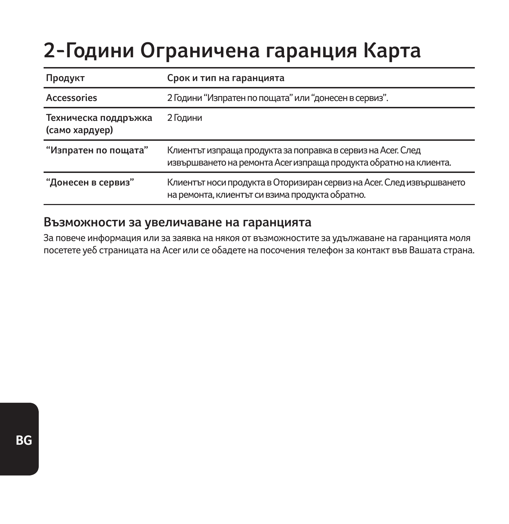# **2-Години Ограничена гаранция Карта**

| Продукт                                | Срок и тип на гаранцията                                                                                                          |  |
|----------------------------------------|-----------------------------------------------------------------------------------------------------------------------------------|--|
| <b>Accessories</b>                     | 2 Години "Изпратен по пощата" или "донесен в сервиз".                                                                             |  |
| Техническа поддръжка<br>(само хардуер) | 2 Години                                                                                                                          |  |
| "Изпратен по пощата"                   | Клиентът изпраща продукта за поправка в сервиз на Асег. След<br>извършването на ремонта Асег изпраща продукта обратно на клиента. |  |
| "Донесен в сервиз"                     | Клиентът носи продукта в Оторизиран сервиз на Асег. След извършването<br>на ремонта, клиентът си взима продукта обратно.          |  |

#### **Възможности за увеличаване на гаранцията**

За повече информация или за заявка на някоя от възможностите за удължаване на гаранцията моля посетете уеб страницата на Acer или се обадете на посочения телефон за контакт във Вашата страна.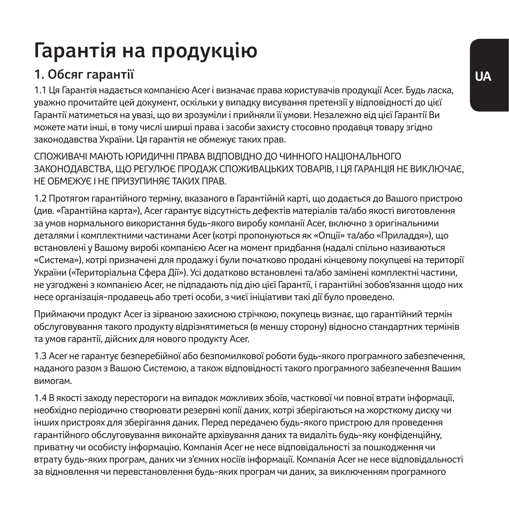# **Гарантія на продукцію**

## **1. Обсяг гарантії**

1.1 Ця Гарантія надається компанією Acer і визначає права користувачів продукції Acer. Будь ласка, уважно прочитайте цей документ, оскільки у випадку висування претензії у відповідності до цієї Гарантії матиметься на увазі, що ви зрозуміли і прийняли її умови. Незалежно від цієї Гарантії Ви можете мати інші, в тому числі ширші права і засоби захисту стосовно продавця товару згідно законодавства України. Ця гарантія не обмежує таких прав.

СПОЖИВАЧІ МАЮТЬ ЮРИДИЧНІ ПРАВА ВІДПОВІДНО ДО ЧИННОГО НАЦІОНАЛЬНОГО ЗАКОНОЛАВСТВА, ЩО РЕГУЛЮЄ ПРОЛАЖ СПОЖИВАЦЬКИХ ТОВАРІВ, І ЦЯ ГАРАНЦІЯ НЕ ВИКЛЮЧАЄ НЕ ОБМЕЖУЄ І НЕ ПРИЗУПИНЯЄ ТАКИХ ПРАВ.

1.2 Протягом гарантійного терміну, вказаного в Гарантійній карті, що додається до Вашого пристрою (див. «Гарантійна карта»), Acer гарантує відсутність дефектів матеріалів та/або якості виготовлення за умов нормального використання будь-якого виробу компанії Acer, включно з оригінальними деталями і комплектними частинами Acer (котрі пропонуються як «Опції» та/або «Приладдя»), що встановлені у Вашому виробі компанією Acer на момент придбання (надалі спільно називаються «Система»), котрі призначені для продажу і були початково продані кінцевому покупцеві на території України («Територіальна Сфера Дії»). Усі додатково встановлені та/або замінені комплектні частини, не узгоджені з компанією Acer, не підпадають під дію цієї Гарантії, і гарантійні зобов'язання щодо них несе організація-продавець або треті особи, з чиєї ініціативи такі дії було проведено.

Приймаючи продукт Acer із зірваною захисною стрічкою, покупець визнає, що гарантійний термін обслуговування такого продукту відрізнятиметься (в меншу сторону) відносно стандартних термінів та умов гарантії, дійсних для нового продукту Acer.

1.3 Acer не гарантує безперебійної або безпомилкової роботи будь-якого програмного забезпечення, наданого разом з Вашою Системою, а також відповідності такого програмного забезпечення Вашим вимогам.

1.4 В якості заходу перестороги на випадок можливих збоїв, часткової чи повної втрати інформації, необхідно періодично створювати резервні копії даних, котрі зберігаються на жорсткому диску чи інших пристроях для зберігання даних. Перед передачею будь-якого пристрою для проведення гарантійного обслуговування виконайте архівування даних та видаліть будь-яку конфіденційну, приватну чи особисту інформацію. Компанія Acer не несе відповідальності за пошкодження чи втрату будь-яких програм, даних чи з'ємних носіїв інформації. Компанія Acer не несе відповідальності за відновлення чи перевстановлення будь-яких програм чи даних, за виключенням програмного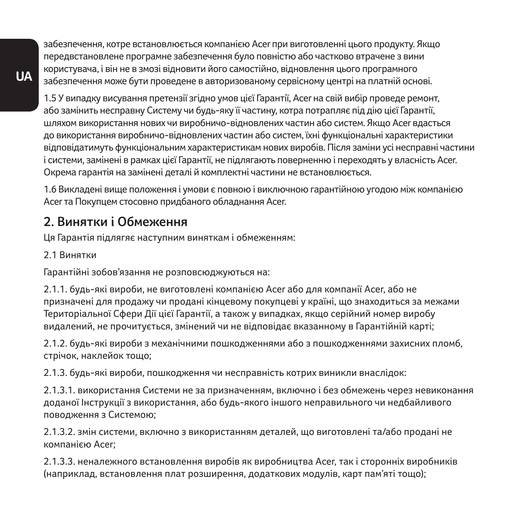забезпечення, котре встановлюється компанією Acer при виготовленні цього продукту. Якщо передвстановлене програмне забезпечення було повністю або частково втрачене з вини користувача, і він не в змозі відновити його самостійно, відновлення цього програмного забезпечення може бути проведене в авторизованому сервісному центрі на платній основі.

1.5 У випадку висування претензії згідно умов цієї Гарантії, Acer на свій вибір проведе ремонт, або замінить несправну Систему чи будь-яку її частину, котра потрапляє під дію цієї Гарантії, шляхом використання нових чи виробничо-відновлених частин або систем. Якщо Acer вдасться до використання виробничо-відновлених частин або систем, їхні функціональні характеристики відповідатимуть функціональним характеристикам нових виробів. Після заміни усі несправні частини і системи, замінені в рамках цієї Гарантії, не підлягають поверненню і переходять у власність Acer. Окрема гарантія на замінені деталі й комплектні частини не встановлюється.

1.6 Викладені вище положення і умови є повною і виключною гарантійною угодою між компанією Acer та Покупцем стосовно придбаного обладнання Acer.

### **2. Винятки і Обмеження**

Ця Гарантія підлягяє наступним виняткам і обмеженням:

2.1 Винятки

Гарантійні зобов'язання не розповсюджуються на:

2.1.1. будь-які вироби, не виготовлені компанією Acer або для компанії Acer, або не призначені для продажу чи продані кінцевому покупцеві у країні, що знаходиться за межами Територіальної Сфери Дії цієї Гарантії, а також у випадках, якщо серійний номер виробу видалений, не прочитується, змінений чи не відповідає вказанному в Гарантійній карті;

2.1.2. будь-які вироби з механічними пошкодженнями або з пошкодженнями захисних пломб, стрічок, наклейок тощо;

2.1.3. будь-які вироби, пошкодження чи несправність котрих виникли внаслідок:

2.1.3.1. використання Системи не за призначенням, включно і без обмежень через невиконання доданої Інструкції з використання, або будь-якого іншого неправильного чи недбайливого поводження з Системою;

2.1.3.2. змін системи, включно з використанням деталей, що виготовлені та/або продані не компанією Acer;

2.1.3.3. неналежного встановлення виробів як виробництва Acer, так і сторонніх виробників (наприклад, встановлення плат розширення, додаткових модулів, карт пам'яті тощо);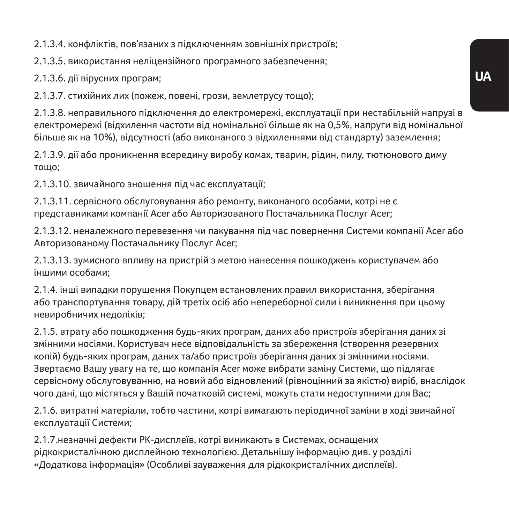2.1.3.4. конфліктів, пов'язаних з підключенням зовнішніх пристроїв;

2.1.3.5. використання неліцензійного програмного забезпечення;

2.1.3.6. дії вірусних програм;

2.1.3.7. стихійних лих (пожеж, повені, грози, землетрусу тощо);

2.1.3.8. неправильного підключення до електромережі, експлуатації при нестабільній напрузі в електромережі (відхилення частоти від номінальної більше як на 0,5%, напруги від номінальної більше як на 10%), відсутності (або виконаного з відхиленнями від стандарту) заземлення;

2.1.3.9. дії або проникнення всередину виробу комах, тварин, рідин, пилу, тютюнового диму тощо;

2.1.3.10. звичайного зношення під час експлуатації;

2.1.3.11. сервісного обслуговування або ремонту, виконаного особами, котрі не є представниками компанії Acer або Авторизованого Постачальника Послуг Acer;

2.1.3.12. неналежного перевезення чи пакування під час повернення Системи компанії Acer або Авторизованому Постачальнику Послуг Acer;

2.1.3.13. зумисного впливу на пристрій з метою нанесення пошкоджень користувачем або іншими особами;

2.1.4. інші випадки порушення Покупцем встановлених правил використання, зберігання або транспортування товару, дій третіх осіб або непереборної сили і виникнення при цьому невиробничих недоліків;

2.1.5. втрату або пошкодження будь-яких програм, даних або пристроїв зберігання даних зі змінними носіями. Користувач несе відповідальність за збереження (створення резервних копій) будь-яких програм, даних та/або пристроїв зберігання даних зі змінними носіями. Звертаємо Вашу увагу на те, що компанія Acer може вибрати заміну Системи, що підлягає сервісному обслуговуванню, на новий або відновлений (рівноцінний за якістю) виріб, внаслідок чого дані, що містяться у Вашій початковій системі, можуть стати недоступними для Вас;

2.1.6. витратні матеріали, тобто частини, котрі вимагають періодичної заміни в ході звичайної експлуатації Системи;

2.1.7.незначні дефекти РК-дисплеїв, котрі виникають в Системах, оснащених рідкокристалічною дисплейною технологією. Детальнішу інформацію див. у розділі «Додаткова інформація» (Особливі зауваження для рідкокристалічних дисплеїв).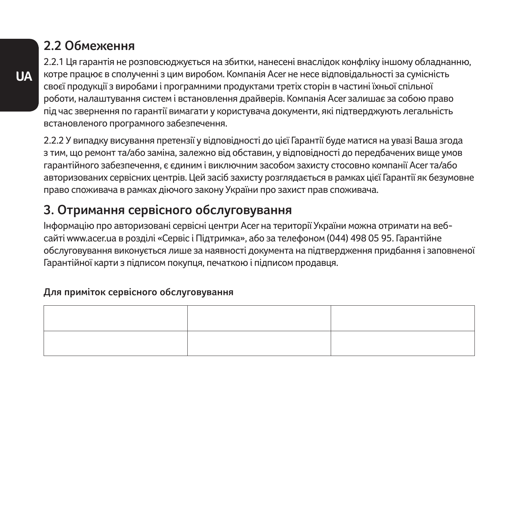### **2.2 Обмеження**

2.2.1 Ця гарантія не розповсюджується на збитки, нанесені внаслідок конфліку іншому обладнанню, котре працює в сполученні з цим виробом. Компанія Acer не несе відповідальності за сумісність своєї продукції з виробами і програмними продуктами третіх сторін в частині їхньої спільної роботи, налаштування систем і встановлення драйверів. Компанія Acer залишає за собою право під час звернення по гарантії вимагати у користувача документи, які підтверджують легальність встановленого програмного забезпечення.

2.2.2 У випадку висування претензії у відповідності до цієї Гарантії буде матися на увазі Ваша згода з тим, що ремонт та/або заміна, залежно від обставин, у відповідності до передбачених вище умов гарантійного забезпечення, є єдиним і виключним засобом захисту стосовно компанії Acer та/або авторизованих сервісних центрів. Цей засіб захисту розглядається в рамках цієї Гарантії як безумовне право споживача в рамках діючого закону України про захист прав споживача.

## **3. Отримання сервісного обслуговування**

Інформацію про авторизовані сервісні центри Acer на території України можна отримати на вебсайті www.acer.ua в розділі «Сервіс і Підтримка», або за телефоном (044) 498 05 95. Гарантійне обслуговування виконується лише за наявності документа на підтвердження придбання і заповненої Гарантійної карти з підписом покупця, печаткою і підписом продавця.

#### **Для приміток сервісного обслуговування**

| ,我们也不会有什么?""我们的话,我们也不会有什么?""我们的话,我们也不会有什么?""我们的话,我们也不会有什么?""我们的话,我们也不会有什么?""我们的话 |  |
|----------------------------------------------------------------------------------|--|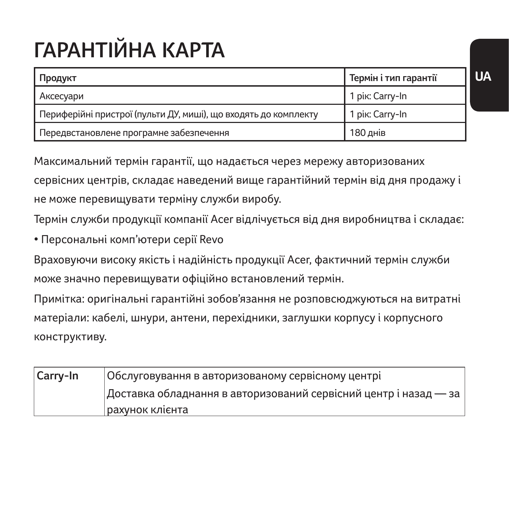# **ГАРАНТІЙНА КАРТА**

| Продукт                                                         | Термін і тип гарантії |
|-----------------------------------------------------------------|-----------------------|
| Аксесуари                                                       | 1 рік: Carry-In       |
| Периферійні пристрої (пульти ДУ, миші), що входять до комплекту | 1 рік: Carry-In       |
| Передвстановлене програмне забезпечення                         | 180 днів              |

Максимальний термін гарантії, що надається через мережу авторизованих

сервісних центрів, складає наведений вище гарантійний термін від дня продажу і не може перевищувати терміну служби виробу.

Термін служби продукції компанії Acer відлічується від дня виробництва і складає:

• Персональні комп'ютери серії Revo

Враховуючи високу якість і надійність продукції Acer, фактичний термін служби може значно перевищувати офіційно встановлений термін.

Примітка: оригінальні гарантійні зобов'язання не розповсюджуються на витратні матеріали: кабелі, шнури, антени, перехідники, заглушки корпусу і корпусного конструктиву.

| Carry-In | Обслуговування в авторизованому сервісному центрі                |
|----------|------------------------------------------------------------------|
|          | Доставка обладнання в авторизований сервісний центр і назад — за |
|          | рахунок клієнта                                                  |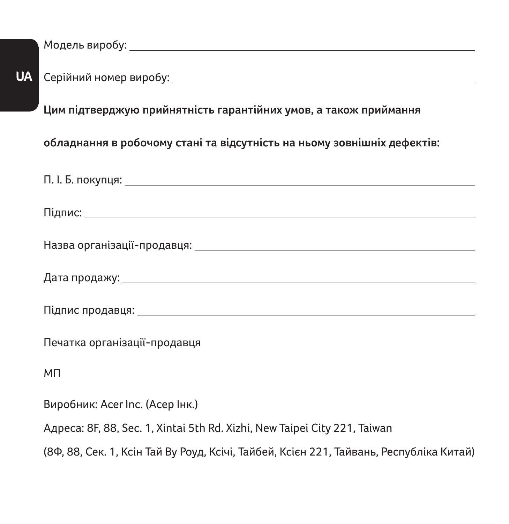**UA** Модель виробу: Серійний номер виробу: **Цим підтверджую прийнятність гарантійних умов, а також приймання обладнання в робочому стані та відсутність на ньому зовнішніх дефектів:** П. І. Б. покупця: Підпис: Назва організації-продавця: Дата продажу: Підпис продавця: Печатка організації-продавця МП Виробник: Acer Inc. (Асер Інк.) Адреса: 8F, 88, Sec. 1, Xintai 5th Rd. Xizhi, New Taipei City 221, Taiwan

(8Ф, 88, Сек. 1, Ксін Тай Ву Роуд, Ксічі, Тайбей, Ксієн 221, Тайвань, Республіка Китай)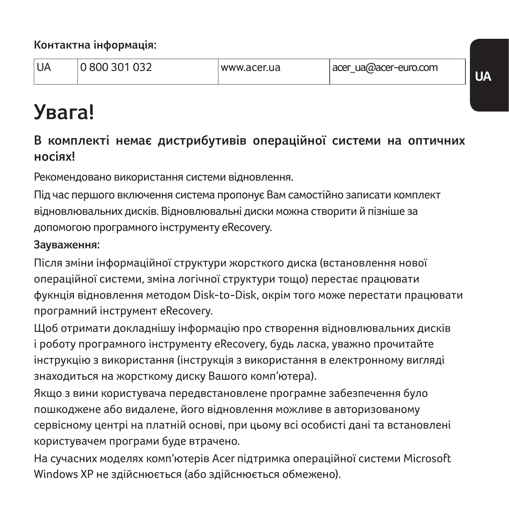**Контактна інформація:**

| <b>IUA</b> | 0 800 301 032 | www.acer.ua | acer ua@acer-euro.com |  |
|------------|---------------|-------------|-----------------------|--|
|------------|---------------|-------------|-----------------------|--|

# **Увага!**

### **В комплекті немає дистрибутивів операційної системи на оптичних носіях!**

Рекомендовано використання системи відновлення.

Під час першого включення система пропонує Вам самостійно записати комплект відновлювальних дисків. Відновлювальні диски можна створити й пізніше за допомогою програмного інструменту eRecovery.

#### **Зауваження:**

Після зміни інформаційної структури жорсткого диска (встановлення нової операційної системи, зміна логічної структури тощо) перестає працювати фукнція відновлення методом Disk-to-Disk, окрім того може перестати працювати програмний інструмент eRecovery.

Щоб отримати докладнішу інформацію про створення відновлювальних дисків і роботу програмного інструменту eRecovery, будь ласка, уважно прочитайте інструкцію з використання (інструкція з використання в електронному вигляді знаходиться на жорсткому диску Вашого комп'ютера).

Якщо з вини користувача передвстановлене програмне забезпечення було пошкоджене або видалене, його відновлення можливе в авторизованому сервісному центрі на платній основі, при цьому всі особисті дані та встановлені користувачем програми буде втрачено.

На сучасних моделях комп'ютерів Acer підтримка операційної системи Microsoft Windows XP не здійснюється (або здійснюється обмежено).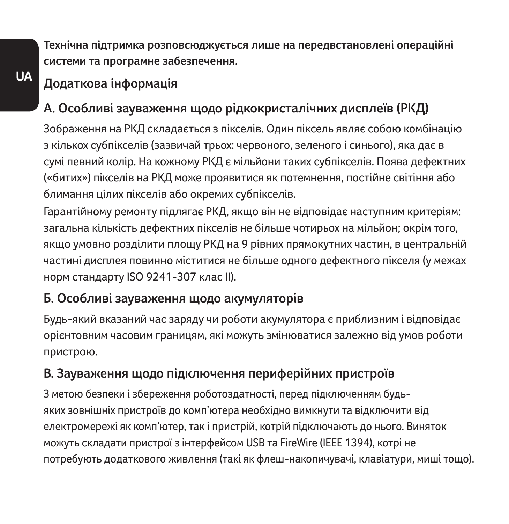**Технічна підтримка розповсюджується лише на передвстановлені операційні системи та програмне забезпечення.**

## **Додаткова інформація**

## **А. Особливі зауваження щодо рідкокристалічних дисплеїв (РКД)**

Зображення на РКД складається з пікселів. Один піксель являє собою комбінацію з кількох субпікселів (зазвичай трьох: червоного, зеленого і синього), яка дає в сумі певний колір. На кожному РКД є мільйони таких субпікселів. Поява дефектних («битих») пікселів на РКД може проявитися як потемнення, постійне світіння або блимання цілих пікселів або окремих субпікселів.

Гарантійному ремонту підлягає РКД, якщо він не відповідає наступним критеріям: загальна кількість дефектних пікселів не більше чотирьох на мільйон; окрім того, якщо умовно розділити площу РКД на 9 рівних прямокутних частин, в центральній частині дисплея повинно міститися не більше одного дефектного пікселя (у межах норм стандарту ISO 9241-307 клас II).

### **Б. Особливі зауваження щодо акумуляторів**

Будь-який вказаний час заряду чи роботи акумулятора є приблизним і відповідає орієнтовним часовим границям, які можуть змінюватися залежно від умов роботи пристрою.

## **В. Зауваження щодо підключення периферійних пристроїв**

З метою безпеки і збереження роботоздатності, перед підключенням будьяких зовнішніх пристроїв до комп'ютера необхідно вимкнути та відключити від електромережі як комп'ютер, так і пристрій, котрій підключають до нього. Виняток можуть складати пристрої з інтерфейсом USB та FireWire (IEEE 1394), котрі не потребують додаткового живлення (такі як флеш-накопичувачі, клавіатури, миші тощо).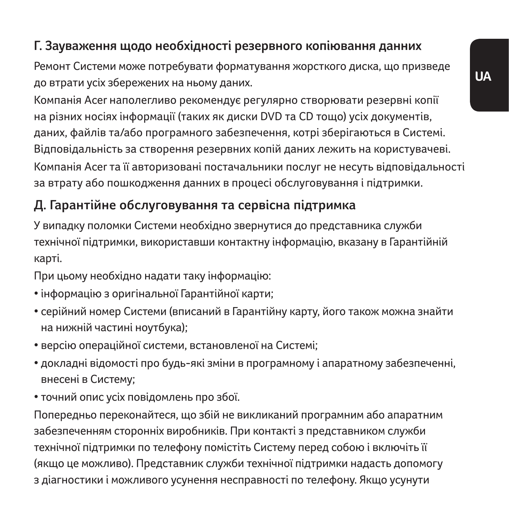## **Г. Зауваження щодо необхідності резервного копіювання данних**

Ремонт Системи може потребувати форматування жорсткого диска, що призведе до втрати усіх збережених на ньому даних.

Компанія Acer наполегливо рекомендує регулярно створювати резервні копії на різних носіях інформації (таких як диски DVD та CD тощо) усіх документів, даних, файлів та/або програмного забезпечення, котрі зберігаються в Системі. Відповідальність за створення резервних копій даних лежить на користувачеві. Компанія Acer та її авторизовані постачальники послуг не несуть відповідальності за втрату або пошкодження данних в процесі обслуговування і підтримки.

## **Д. Гарантійне обслуговування та сервісна підтримка**

У випадку поломки Системи необхідно звернутися до представника служби технічної підтримки, використавши контактну інформацію, вказану в Гарантійній карті.

При цьому необхідно надати таку інформацію:

- інформацію з оригінальної Гарантійної карти;
- серійний номер Системи (вписаний в Гарантійну карту, його також можна знайти на нижній частині ноутбука);
- версію операційної системи, встановленої на Системі;
- докладні відомості про будь-які зміни в програмному і апаратному забезпеченні, внесені в Систему;
- точний опис усіх повідомлень про збої.

Попередньо переконайтеся, що збій не викликаний програмним або апаратним забезпеченням сторонніх виробників. При контакті з представником служби технічної підтримки по телефону помістіть Систему перед собою і включіть її (якщо це можливо). Представник служби технічної підтримки надасть допомогу з діагностики і можливого усунення несправності по телефону. Якщо усунути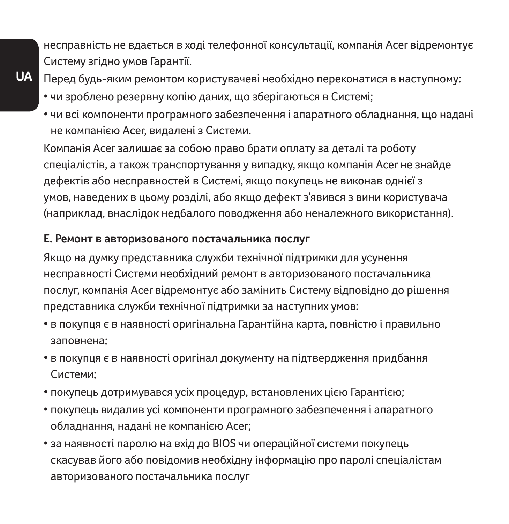несправність не вдається в ході телефонної консультації, компанія Acer відремонтує Систему згідно умов Гарантії.

- **UA**
- Перед будь-яким ремонтом користувачеві необхідно переконатися в наступному:
- чи зроблено резервну копію даних, що зберігаються в Системі;
- чи всі компоненти програмного забезпечення і апаратного обладнання, що надані не компанією Acer, видалені з Системи.

Компанія Acer залишає за собою право брати оплату за деталі та роботу спеціалістів, а також транспортування у випадку, якщо компанія Acer не знайде дефектів або несправностей в Системі, якщо покупець не виконав однієї з умов, наведених в цьому розділі, або якщо дефект з'явився з вини користувача (наприклад, внаслідок недбалого поводження або неналежного використання).

#### **Е. Ремонт в авторизованого постачальника послуг**

Якщо на думку представника служби технічної підтримки для усунення несправності Системи необхідний ремонт в авторизованого постачальника послуг, компанія Acer відремонтує або замінить Систему відповідно до рішення представника служби технічної підтримки за наступних умов:

- в покупця є в наявності оригінальна Гарантійна карта, повністю і правильно заповнена;
- в покупця є в наявності оригінал документу на підтвердження придбання Системи;
- покупець дотримувався усіх процедур, встановлених цією Гарантією;
- покупець видалив усі компоненти програмного забезпечення і апаратного обладнання, надані не компанією Acer;
- за наявності паролю на вхід до BIOS чи операційної системи покупець скасував його або повідомив необхідну інформацію про паролі спеціалістам авторизованого постачальника послуг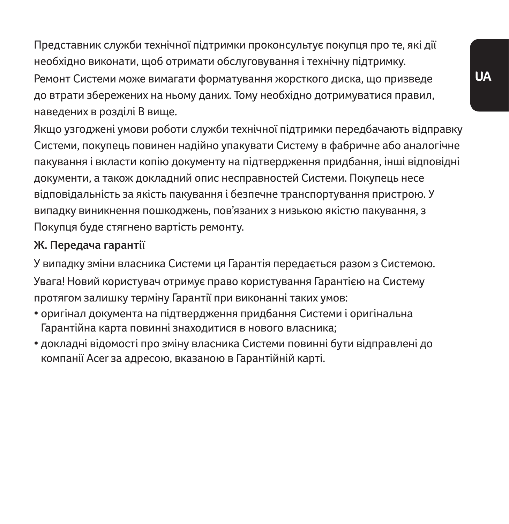Представник служби технічної підтримки проконсультує покупця про те, які дії необхідно виконати, щоб отримати обслуговування і технічну підтримку.

Ремонт Системи може вимагати форматування жорсткого диска, що призведе до втрати збережених на ньому даних. Тому необхідно дотримуватися правил, наведених в розділі B вище.

Якщо узгоджені умови роботи служби технічної підтримки передбачають відправку Системи, покупець повинен надійно упакувати Систему в фабричне або аналогічне пакування і вкласти копію документу на підтвердження придбання, інші відповідні документи, а також докладний опис несправностей Системи. Покупець несе відповідальність за якість пакування і безпечне транспортування пристрою. У випадку виникнення пошкоджень, пов'язаних з низькою якістю пакування, з Покупця буде стягнено вартість ремонту.

### **Ж. Передача гарантії**

У випадку зміни власника Системи ця Гарантія передається разом з Системою.

Увага! Новий користувач отримує право користування Гарантією на Систему протягом залишку терміну Гарантії при виконанні таких умов:

- оригінал документа на підтвердження придбання Системи і оригінальна Гарантійна карта повинні знаходитися в нового власника;
- докладні відомості про зміну власника Системи повинні бути відправлені до компанії Acer за адресою, вказаною в Гарантійній карті.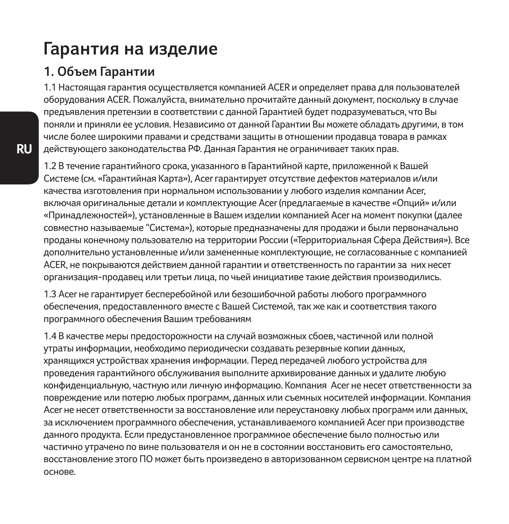# **Гарантия на изделие**

### **1. Объем Гарантии**

1.1 Настоящая гарантия осуществляется компанией ACER и определяет права для пользователей оборудования ACER. Пожалуйста, внимательно прочитайте данный документ, поскольку в случае предъявления претензии в соответствии с данной Гарантией будет подразумеваться, что Вы поняли и приняли ее условия. Независимо от данной Гарантии Вы можете обладать другими, в том числе более широкими правами и средствами защиты в отношении продавца товара в рамках действующего законодательства РФ. Данная Гарантия не ограничивает таких прав.

1.2 В течение гарантийного срока, указанного в Гарантийной карте, приложенной к Вашей Системе (см. «Гарантийная Карта»), Acer гарантирует отсутствие дефектов материалов и/или качества изготовления при нормальном использовании у любого изделия компании Acer, включая оригинальные детали и комплектующие Acer (предлагаемые в качестве «Опций» и/или «Принадлежностей»), установленные в Вашем изделии компанией Acer на момент покупки (далее совместно называемые "Система»), которые предназначены для продажи и были первоначально проданы конечному пользователю на территории России («Территориальная Сфера Действия»). Все дополнительно установленные и/или замененные комплектующие, не согласованные с компанией ACER, не покрываются действием данной гарантии и ответственность по гарантии за них несет организация-продавец или третьи лица, по чьей инициативе такие действия производились.

1.3 Acer не гарантирует бесперебойной или безошибочной работы любого программного обеспечения, предоставленного вместе с Вашей Системой, так же как и соответствия такого программного обеспечения Вашим требованиям

1.4 В качестве меры предосторожности на случай возможных сбоев, частичной или полной утраты информации, необходимо периодически создавать резервные копии данных, хранящихся устройствах хранения информации. Перед передачей любого устройства для проведения гарантийного обслуживания выполните архивирование данных и удалите любую конфиденциальную, частную или личную информацию. Компания Acer не несет ответственности за повреждение или потерю любых программ, данных или съемных носителей информации. Компания Acer не несет ответственности за восстановление или переустановку любых программ или данных, за исключением программного обеспечения, устанавливаемого компанией Acer при производстве данного продукта. Если предустановленное программное обеспечение было полностью или частично утрачено по вине пользователя и он не в состоянии восстановить его самостоятельно, восстановление этого ПО может быть произведено в авторизованном сервисном центре на платной основе.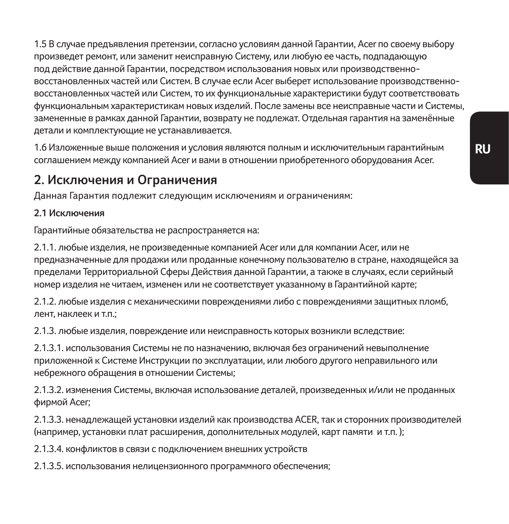1.5 В случае предъявления претензии, согласно условиям данной Гарантии, Acer по своему выбору произведет ремонт, или заменит неисправную Систему, или любую ее часть, подпадающую под действие данной Гарантии, посредством использования новых или производственновосстановленных частей или Систем. В случае если Acer выберет использование производственновосстановленных частей или Систем, то их функциональные характеристики будут соответствовать функциональным характеристикам новых изделий. После замены все неисправные части и Системы, замененные в рамках данной Гарантии, возврату не подлежат. Отдельная гарантия на заменённые детали и комплектующие не устанавливается.

1.6 Изложенные выше положения и условия являются полным и исключительным гарантийным соглашением между компанией Acer и вами в отношении приобретенного оборудования Acer.

### **2. Исключения и Ограничения**

Данная Гарантия подлежит следующим исключениям и ограничениям:

#### **2.1 Исключения**

Гарантийные обязательства не распространяется на:

2.1.1. любые изделия, не произведенные компанией Acer или для компании Acer, или не предназначенные для продажи или проданные конечному пользователю в стране, находящейся за пределами Территориальной Сферы Действия данной Гарантии, а также в случаях, если серийный номер изделия не читаем, изменен или не соответствует указанному в Гарантийной карте;

2.1.2. любые изделия с механическими повреждениями либо с повреждениями защитных пломб, лент, наклеек и т.п.;

2.1.3. любые изделия, повреждение или неисправность которых возникли вследствие:

2.1.3.1. использования Системы не по назначению, включая без ограничений невыполнение приложенной к Системе Инструкции по эксплуатации, или любого другого неправильного или небрежного обращения в отношении Системы;

2.1.3.2. изменения Системы, включая использование деталей, произведенных и/или не проданных фирмой Acer;

2.1.3.3. ненадлежащей установки изделий как производства ACER, так и сторонних производителей (например, установки плат расширения, дополнительных модулей, карт памяти и т.п. );

2.1.3.4. конфликтов в связи с подключением внешних устройств

2.1.3.5. использования нелицензионного программного обеспечения;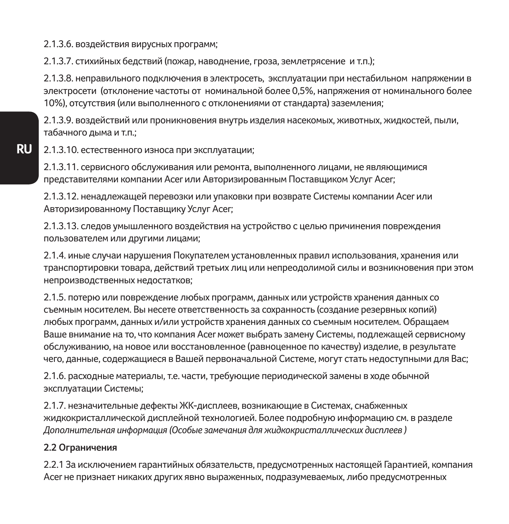2.1.3.6. воздействия вирусных программ;

2.1.3.7. стихийных бедствий (пожар, наводнение, гроза, землетрясение и т.п.);

2.1.3.8. неправильного подключения в электросеть, эксплуатации при нестабильном напряжении в электросети (отклонение частоты от номинальной более 0,5%, напряжения от номинального более 10%), отсутствия (или выполненного с отклонениями от стандарта) заземления;

2.1.3.9. воздействий или проникновения внутрь изделия насекомых, животных, жидкостей, пыли, табачного дыма и т.п.;

2.1.3.10. естественного износа при эксплуатации;

2.1.3.11. сервисного обслуживания или ремонта, выполненного лицами, не являющимися представителями компании Acer или Авторизированным Поставщиком Услуг Acer;

2.1.3.12. ненадлежащей перевозки или упаковки при возврате Системы компании Acer или Авторизированному Поставщику Услуг Acer;

2.1.3.13. следов умышленного воздействия на устройство с целью причинения повреждения пользователем или другими лицами;

2.1.4. иные случаи нарушения Покупателем установленных правил использования, хранения или транспортировки товара, действий третьих лиц или непреодолимой силы и возникновения при этом непроизводственных недостатков;

2.1.5. потерю или повреждение любых программ, данных или устройств хранения данных со съемным носителем. Вы несете ответственность за сохранность (создание резервных копий) любых программ, данных и/или устройств хранения данных со съемным носителем. Обращаем Ваше внимание на то, что компания Acer может выбрать замену Системы, подлежащей сервисному обслуживанию, на новое или восстановленное (равноценное по качеству) изделие, в результате чего, данные, содержащиеся в Вашей первоначальной Системе, могут стать недоступными для Вас;

2.1.6. расходные материалы, т.е. части, требующие периодической замены в ходе обычной эксплуатации Системы;

2.1.7. незначительные дефекты ЖК-дисплеев, возникающие в Системах, снабженных жидкокристаллической дисплейной технологией. Более подробную информацию см. в разделе *Дополнительная информация (Особые замечания для жидкокристаллических дисплеев )* 

#### **2.2 Ограничения**

2.2.1 За исключением гарантийных обязательств, предусмотренных настоящей Гарантией, компания Acer не признает никаких других явно выраженных, подразумеваемых, либо предусмотренных

**RU**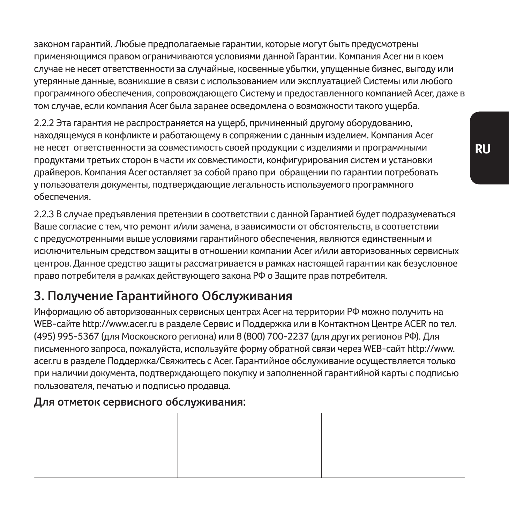законом гарантий. Любые предполагаемые гарантии, которые могут быть предусмотрены применяющимся правом ограничиваются условиями данной Гарантии. Компания Acer ни в коем случае не несет ответственности за случайные, косвенные убытки, упущенные бизнес, выгоду или утерянные данные, возникшие в связи с использованием или эксплуатацией Системы или любого программного обеспечения, сопровождающего Систему и предоставленного компанией Acer, даже в том случае, если компания Acer была заранее осведомлена о возможности такого ущерба.

2.2.2 Эта гарантия не распространяется на ущерб, причиненный другому оборудованию, находящемуся в конфликте и работающему в сопряжении с данным изделием. Компания Acer не несет ответственности за совместимость своей продукции с изделиями и программными продуктами третьих сторон в части их совместимости, конфигурирования систем и установки драйверов. Компания Acer оставляет за собой право при обращении по гарантии потребовать у пользователя документы, подтверждающие легальность используемого программного обеспечения.

2.2.3 В случае предъявления претензии в соответствии с данной Гарантией будет подразумеваться Ваше согласие с тем, что ремонт и/или замена, в зависимости от обстоятельств, в соответствии с предусмотренными выше условиями гарантийного обеспечения, являются единственным и исключительным средством защиты в отношении компании Acer и/или авторизованных сервисных центров. Данное средство защиты рассматривается в рамках настоящей гарантии как безусловное право потребителя в рамках действующего закона РФ о Защите прав потребителя.

## **3. Получение Гарантийного Обслуживания**

Информацию об авторизованных сервисных центрах Acer на территории РФ можно получить на WEB-сайте http://www.acer.ru в разделе Сервис и Поддержка или в Контактном Центре ACER по тел. (495) 995-5367 (для Московского региона) или 8 (800) 700-2237 (для других регионов РФ). Для письменного запроса, пожалуйста, используйте форму обратной связи через WEB-сайт http://www. acer.ru в разделе Поддержка/Свяжитесь с Acer. Гарантийное обслуживание осуществляется только при наличии документа, подтверждающего покупку и заполненной гарантийной карты с подписью пользователя, печатью и подписью продавца.

### **Для отметок сервисного обслуживания:**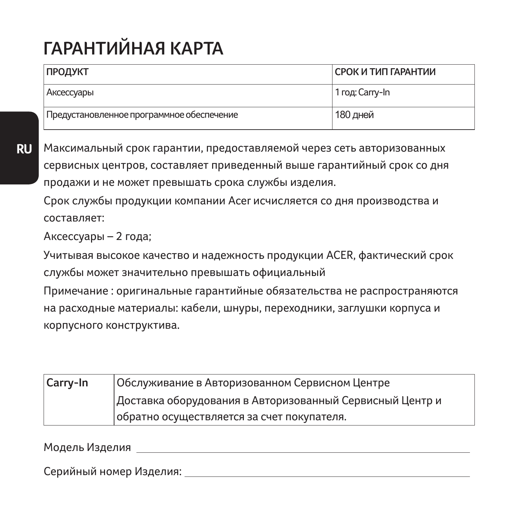# **ГАРАНТИЙНАЯ КАРТА**

| ПРОДУКТ                                   | СРОК И ТИП ГАРАНТИИ |
|-------------------------------------------|---------------------|
| Аксессуары                                | 1 год: Carry-In     |
| Предустановленное программное обеспечение | 180 дней            |

**RU** Максимальный срок гарантии, предоставляемой через сеть авторизованных сервисных центров, составляет приведенный выше гарантийный срок со дня продажи и не может превышать срока службы изделия.

Срок службы продукции компании Acer исчисляется со дня производства и составляет:

Аксессуары – 2 года;

Учитывая высокое качество и надежность продукции ACER, фактический срок службы может значительно превышать официальный

Примечание : оригинальные гарантийные обязательства не распространяются на расходные материалы: кабели, шнуры, переходники, заглушки корпуса и корпусного конструктива.

| Carry-In | Обслуживание в Авторизованном Сервисном Центре           |
|----------|----------------------------------------------------------|
|          | Доставка оборудования в Авторизованный Сервисный Центр и |
|          | обратно осуществляется за счет покупателя.               |

Модель Изделия

Серийный номер Изделия: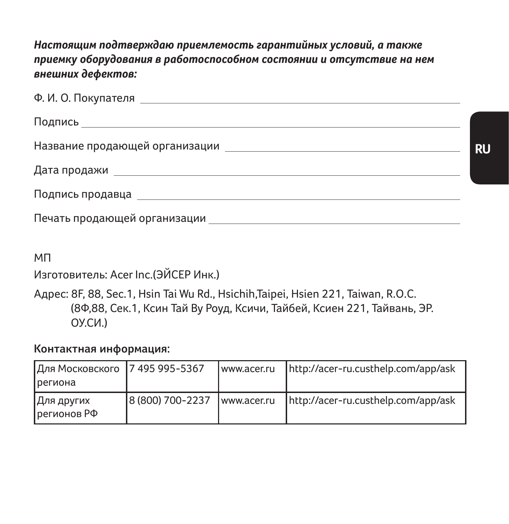*Настоящим подтверждаю приемлемость гарантийных условий, а также приемку оборудования в работоспособном состоянии и отсутствие на нем внешних дефектов:*

| Печать продающей организации |  |  |
|------------------------------|--|--|

МП

Изготовитель: Acer Inc.(ЭЙСЕР Инк.)

Адрес: 8F, 88, Sec.1, Hsin Tai Wu Rd., Hsichih,Taipei, Hsien 221, Taiwan, R.O.C. (8Ф,88, Сек.1, Ксин Тай Ву Роуд, Ксичи, Тайбей, Ксиен 221, Тайвань, ЭР. ОУ.СИ.)

**Контактная информация:**

| Для Московского   7 495 995-5367<br><b>региона</b> |                  | www.acer.ru | http://acer-ru.custhelp.com/app/ask |
|----------------------------------------------------|------------------|-------------|-------------------------------------|
| Для других<br>регионов РФ                          | 8 (800) 700-2237 | www.acer.ru | http://acer-ru.custhelp.com/app/ask |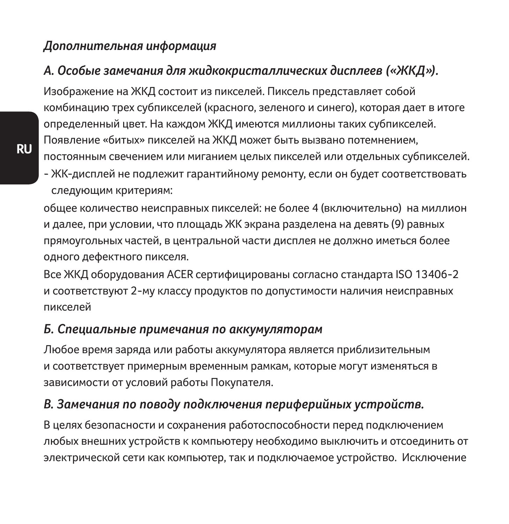#### *Дополнительная информация*

# *А. Особые замечания для жидкокристаллических дисплеев («ЖКД»).*

Изображение на ЖКД состоит из пикселей. Пиксель представляет собой комбинацию трех субпикселей (красного, зеленого и синего), которая дает в итоге определенный цвет. На каждом ЖКД имеются миллионы таких субпикселей. Появление «битых» пикселей на ЖКД может быть вызвано потемнением, постоянным свечением или миганием целых пикселей или отдельных субпикселей.

- ЖК-дисплей не подлежит гарантийному ремонту, если он будет соответствовать следующим критериям:

общее количество неисправных пикселей: не более 4 (включительно) на миллион и далее, при условии, что площадь ЖК экрана разделена на девять (9) равных прямоугольных частей, в центральной части дисплея не должно иметься более одного дефектного пикселя.

Все ЖКД оборудования ACER сертифицированы согласно стандарта ISO 13406-2 и соответствуют 2-му классу продуктов по допустимости наличия неисправных пикселей

#### *Б. Специальные примечания по аккумуляторам*

Любое время заряда или работы аккумулятора является приблизительным и соответствует примерным временным рамкам, которые могут изменяться в зависимости от условий работы Покупателя.

# *В. Замечания по поводу подключения периферийных устройств.*

В целях безопасности и сохранения работоспособности перед подключением любых внешних устройств к компьютеру необходимо выключить и отсоединить от электрической сети как компьютер, так и подключаемое устройство. Исключение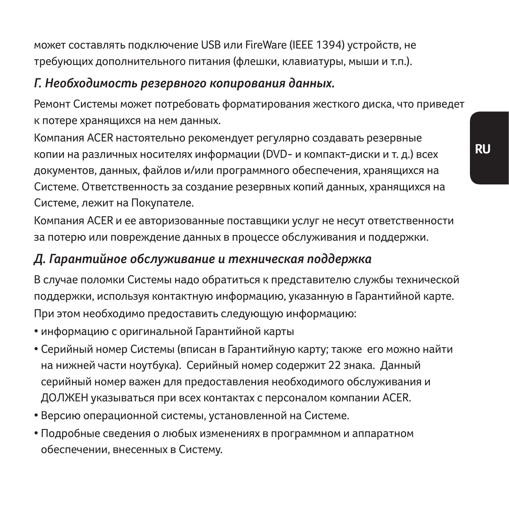может составлять подключение USB или FireWare (IEEE 1394) устройств, не требующих дополнительного питания (флешки, клавиатуры, мыши и т.п.).

### *Г. Необходимость резервного копирования данных.*

Ремонт Системы может потребовать форматирования жесткого диска, что приведет к потере хранящихся на нем данных.

Компания ACER настоятельно рекомендует регулярно создавать резервные копии на различных носителях информации (DVD- и компакт-диски и т. д.) всех документов, данных, файлов и/или программного обеспечения, хранящихся на Системе. Ответственность за создание резервных копий данных, хранящихся на Системе, лежит на Покупателе.

Компания ACER и ее авторизованные поставщики услуг не несут ответственности за потерю или повреждение данных в процессе обслуживания и поддержки.

## *Д. Гарантийное обслуживание и техническая поддержка*

В случае поломки Системы надо обратиться к представителю службы технической поддержки, используя контактную информацию, указанную в Гарантийной карте. При этом необходимо предоставить следующую информацию:

- информацию с оригинальной Гарантийной карты
- Серийный номер Системы (вписан в Гарантийную карту; также его можно найти на нижней части ноутбука). Серийный номер содержит 22 знака. Данный серийный номер важен для предоставления необходимого обслуживания и ДОЛЖЕН указываться при всех контактах с персоналом компании ACER.
- Версию операционной системы, установленной на Системе.
- Подробные сведения о любых изменениях в программном и аппаратном обеспечении, внесенных в Систему.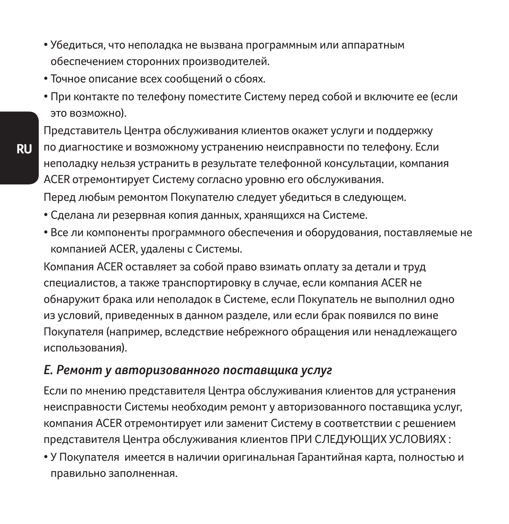- Убедиться, что неполадка не вызвана программным или аппаратным обеспечением сторонних производителей.
- Точное описание всех сообщений о сбоях.
- При контакте по телефону поместите Систему перед собой и включите ее (если это возможно).

Представитель Центра обслуживания клиентов окажет услуги и поддержку по диагностике и возможному устранению неисправности по телефону. Если неполадку нельзя устранить в результате телефонной консультации, компания ACER отремонтирует Систему согласно уровню его обслуживания.

Перед любым ремонтом Покупателю следует убедиться в следующем.

- Сделана ли резервная копия данных, хранящихся на Системе.
- Все ли компоненты программного обеспечения и оборудования, поставляемые не компанией ACER, удалены с Системы.

Компания ACER оставляет за собой право взимать оплату за детали и труд специалистов, а также транспортировку в случае, если компания ACER не обнаружит брака или неполадок в Системе, если Покупатель не выполнил одно из условий, приведенных в данном разделе, или если брак появился по вине Покупателя (например, вследствие небрежного обращения или ненадлежащего использования).

#### *Е. Ремонт у авторизованного поставщика услуг*

Если по мнению представителя Центра обслуживания клиентов для устранения неисправности Системы необходим ремонт у авторизованного поставщика услуг, компания ACER отремонтирует или заменит Систему в соответствии с решением представителя Центра обслуживания клиентов ПРИ СЛЕДУЮЩИХ УСЛОВИЯХ :

• У Покупателя имеется в наличии оригинальная Гарантийная карта, полностью и правильно заполненная.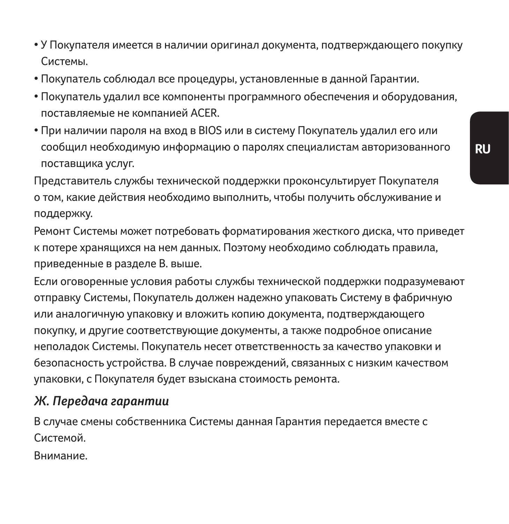- У Покупателя имеется в наличии оригинал документа, подтверждающего покупку Системы.
- Покупатель соблюдал все процедуры, установленные в данной Гарантии.
- Покупатель удалил все компоненты программного обеспечения и оборудования, поставляемые не компанией ACER.
- При наличии пароля на вход в BIOS или в систему Покупатель удалил его или сообщил необходимую информацию о паролях специалистам авторизованного поставщика услуг.

Представитель службы технической поддержки проконсультирует Покупателя о том, какие действия необходимо выполнить, чтобы получить обслуживание и поддержку.

Ремонт Системы может потребовать форматирования жесткого диска, что приведет к потере хранящихся на нем данных. Поэтому необходимо соблюдать правила, приведенные в разделе В. выше.

Если оговоренные условия работы службы технической поддержки подразумевают отправку Системы, Покупатель должен надежно упаковать Систему в фабричную или аналогичную упаковку и вложить копию документа, подтверждающего покупку, и другие соответствующие документы, а также подробное описание неполадок Системы. Покупатель несет ответственность за качество упаковки и безопасность устройства. В случае повреждений, связанных с низким качеством упаковки, с Покупателя будет взыскана стоимость ремонта.

#### *Ж. Передача гарантии*

В случае смены собственника Системы данная Гарантия передается вместе с Системой.

Внимание.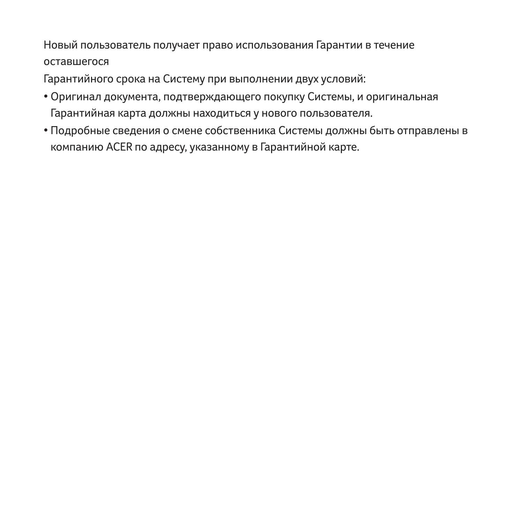Новый пользователь получает право использования Гарантии в течение оставшегося

Гарантийного срока на Систему при выполнении двух условий:

- Оригинал документа, подтверждающего покупку Системы, и оригинальная Гарантийная карта должны находиться у нового пользователя.
- Подробные сведения о смене собственника Системы должны быть отправлены в компанию ACER по адресу, указанному в Гарантийной карте.